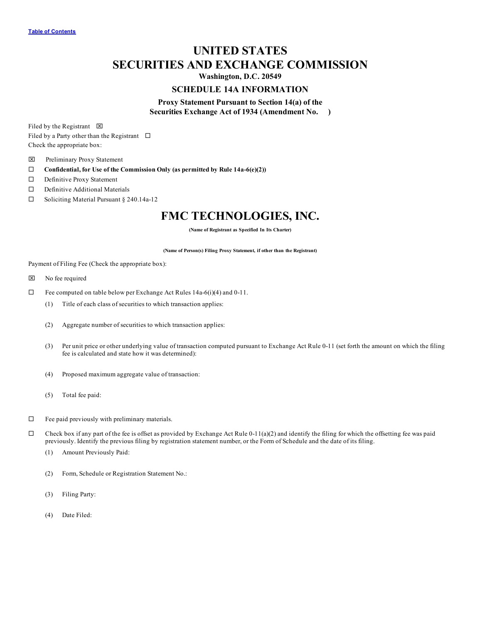# **UNITED STATES SECURITIES AND EXCHANGE COMMISSION**

**Washington, D.C. 20549**

# **SCHEDULE 14A INFORMATION**

# **Proxy Statement Pursuant to Section 14(a) of the Securities Exchange Act of 1934 (Amendment No. )**

Filed by the Registrant  $\boxtimes$ Filed by a Party other than the Registrant  $\square$ Check the appropriate box:

- x Preliminary Proxy Statement
- ¨ **Confidential, for Use of the Commission Only (as permitted by Rule 14a-6(e)(2))**
- □ Definitive Proxy Statement
- $\square$  Definitive Additional Materials
- $\Box$  Soliciting Material Pursuant § 240.14a-12

# **FMC TECHNOLOGIES, INC.**

**(Name of Registrant as Specified In Its Charter)**

**(Name of Person(s) Filing Proxy Statement, if other than the Registrant)**

Payment of Filing Fee (Check the appropriate box):

- $\boxtimes$  No fee required
- $\Box$  Fee computed on table below per Exchange Act Rules 14a-6(i)(4) and 0-11.
	- (1) Title of each class of securities to which transaction applies:
	- (2) Aggregate number of securities to which transaction applies:
	- (3) Per unit price or other underlying value of transaction computed pursuant to Exchange Act Rule 0-11 (set forth the amount on which the filing fee is calculated and state how it was determined):
	- (4) Proposed maximum aggregate value of transaction:
	- (5) Total fee paid:
- $\Box$  Fee paid previously with preliminary materials.
- $\Box$  Check box if any part of the fee is offset as provided by Exchange Act Rule 0-11(a)(2) and identify the filing for which the offsetting fee was paid previously. Identify the previous filing by registration statement number, or the Form of Schedule and the date of its filing.
	- (1) Amount Previously Paid:
	- (2) Form, Schedule or Registration Statement No.:
	- (3) Filing Party:
	- (4) Date Filed: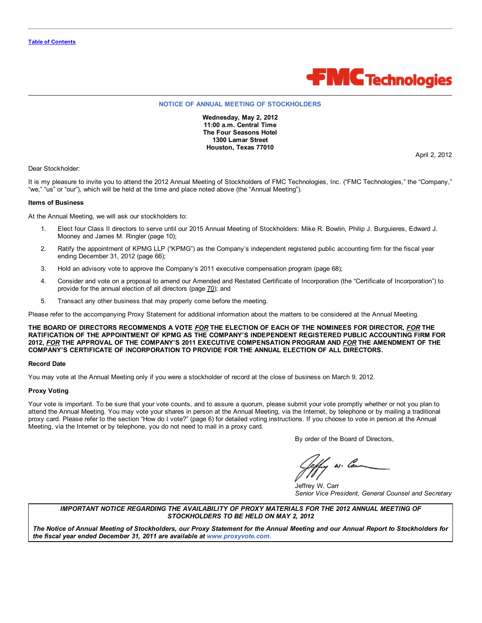

### **NOTICE OF ANNUAL MEETING OF STOCKHOLDERS**

**Wednesday, May 2, 2012 11:00 a.m. Central Time The Four Seasons Hotel 1300 Lamar Street Houston, Texas 77010**

April 2, 2012

Dear Stockholder:

It is my pleasure to invite you to attend the 2012 Annual Meeting of Stockholders of FMC Technologies, Inc. ("FMC Technologies," the "Company," "we," "us" or "our"), which will be held at the time and place noted above (the "Annual Meeting").

### **Items of Business**

At the Annual Meeting, we will ask our stockholders to:

- 1. Elect four Class II directors to serve until our 2015 Annual Meeting of Stockholders: Mike R. Bowlin, Philip J. Burguieres, Edward J. Mooney and James M. Ringler (page 10);
- 2. Ratify the appointment of KPMG LLP ("KPMG") as the Company's independent registered public accounting firm for the fiscal year ending December 31, 2012 (page 66);
- 3. Hold an advisory vote to approve the Company's 2011 executive compensation program (page 68);
- 4. Consider and vote on a proposal to amend our Amended and Restated Certificate of Incorporation (the "Certificate of Incorporation") to provide for the annual election of all directors (page 70); and
- 5. Transact any other business that may properly come before the meeting.

Please refer to the accompanying Proxy Statement for additional information about the matters to be considered at the Annual Meeting.

THE BOARD OF DIRECTORS RECOMMENDS A VOTE FOR THE ELECTION OF EACH OF THE NOMINEES FOR DIRECTOR, FOR THE **RATIFICATION OF THE APPOINTMENT OF KPMG AS THE COMPANY'S INDEPENDENT REGISTERED PUBLIC ACCOUNTING FIRM FOR 2012,** *FOR* **THE APPROVAL OF THE COMPANY'S 2011 EXECUTIVE COMPENSATION PROGRAM AND** *FOR* **THE AMENDMENT OF THE COMPANY'S CERTIFICATE OF INCORPORATION TO PROVIDE FOR THE ANNUAL ELECTION OF ALL DIRECTORS.**

#### **Record Date**

You may vote at the Annual Meeting only if you were a stockholder of record at the close of business on March 9, 2012.

#### **Proxy Voting**

Your vote is important. To be sure that your vote counts, and to assure a quorum, please submit your vote promptly whether or not you plan to attend the Annual Meeting. You may vote your shares in person at the Annual Meeting, via the Internet, by telephone or by mailing a traditional proxy card. Please refer to the section "How do I vote?" (page 6) for detailed voting instructions. If you choose to vote in person at the Annual Meeting, via the Internet or by telephone, you do not need to mail in a proxy card.

By order of the Board of Directors,

, w. lon

Jeffrey W. Carr *Senior Vice President, General Counsel and Secretary*

# *IMPORTANT NOTICE REGARDING THE AVAILABILITY OF PROXY MATERIALS FOR THE 2012 ANNUAL MEETING OF STOCKHOLDERS TO BE HELD ON MAY 2, 2012*

The Notice of Annual Meeting of Stockholders, our Proxy Statement for the Annual Meeting and our Annual Report to Stockholders for *the fiscal year ended December 31, 2011 are available at www.proxyvote.com***.**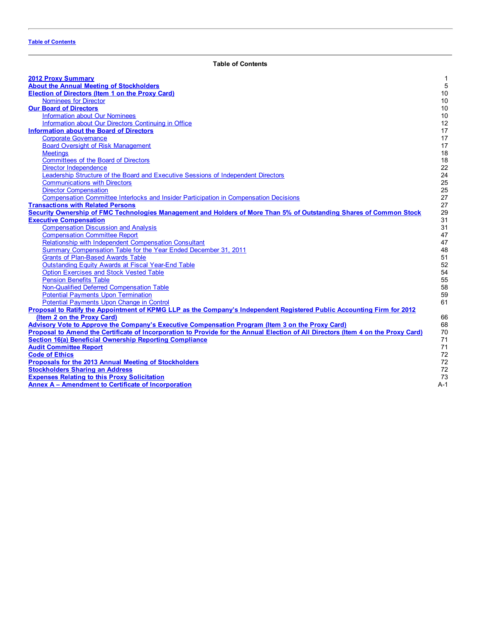<span id="page-2-0"></span>

| <b>2012 Proxy Summary</b>                                                                                                         | 1           |
|-----------------------------------------------------------------------------------------------------------------------------------|-------------|
| <b>About the Annual Meeting of Stockholders</b>                                                                                   | $\mathbf 5$ |
| <b>Election of Directors (Item 1 on the Proxy Card)</b>                                                                           | 10          |
| <b>Nominees for Director</b>                                                                                                      | 10          |
| <b>Our Board of Directors</b>                                                                                                     | 10          |
| <b>Information about Our Nominees</b>                                                                                             | 10          |
| Information about Our Directors Continuing in Office                                                                              | 12          |
| <b>Information about the Board of Directors</b>                                                                                   | 17          |
| <b>Corporate Governance</b>                                                                                                       | 17          |
| <b>Board Oversight of Risk Management</b>                                                                                         | 17          |
| <b>Meetings</b>                                                                                                                   | 18          |
| <b>Committees of the Board of Directors</b>                                                                                       | 18          |
| <b>Director Independence</b>                                                                                                      | 22          |
| Leadership Structure of the Board and Executive Sessions of Independent Directors                                                 | 24          |
| <b>Communications with Directors</b>                                                                                              | 25          |
| <b>Director Compensation</b>                                                                                                      | 25          |
| Compensation Committee Interlocks and Insider Participation in Compensation Decisions                                             | 27          |
| <b>Transactions with Related Persons</b>                                                                                          | 27          |
| Security Ownership of FMC Technologies Management and Holders of More Than 5% of Outstanding Shares of Common Stock               | 29          |
| <b>Executive Compensation</b>                                                                                                     | 31          |
| <b>Compensation Discussion and Analysis</b>                                                                                       | 31          |
| <b>Compensation Committee Report</b>                                                                                              | 47          |
| Relationship with Independent Compensation Consultant                                                                             | 47          |
| Summary Compensation Table for the Year Ended December 31, 2011                                                                   | 48          |
| <b>Grants of Plan-Based Awards Table</b>                                                                                          | 51          |
| <b>Outstanding Equity Awards at Fiscal Year-End Table</b>                                                                         | 52          |
| <b>Option Exercises and Stock Vested Table</b>                                                                                    | 54          |
| <b>Pension Benefits Table</b>                                                                                                     | 55          |
| Non-Qualified Deferred Compensation Table                                                                                         | 58          |
| <b>Potential Payments Upon Termination</b>                                                                                        | 59          |
| Potential Payments Upon Change in Control                                                                                         | 61          |
| Proposal to Ratify the Appointment of KPMG LLP as the Company's Independent Registered Public Accounting Firm for 2012            |             |
| (Item 2 on the Proxy Card)                                                                                                        | 66          |
| Advisory Vote to Approve the Company's Executive Compensation Program (Item 3 on the Proxy Card)                                  | 68          |
| Proposal to Amend the Certificate of Incorporation to Provide for the Annual Election of All Directors (Item 4 on the Proxy Card) | 70          |
| <b>Section 16(a) Beneficial Ownership Reporting Compliance</b>                                                                    | 71          |
| <b>Audit Committee Report</b>                                                                                                     | 71          |
| <b>Code of Ethics</b>                                                                                                             | 72          |
| Proposals for the 2013 Annual Meeting of Stockholders                                                                             | 72          |
| <b>Stockholders Sharing an Address</b>                                                                                            | 72          |
| <b>Expenses Relating to this Proxy Solicitation</b>                                                                               | 73          |
| Annex A - Amendment to Certificate of Incorporation                                                                               | $A-1$       |
|                                                                                                                                   |             |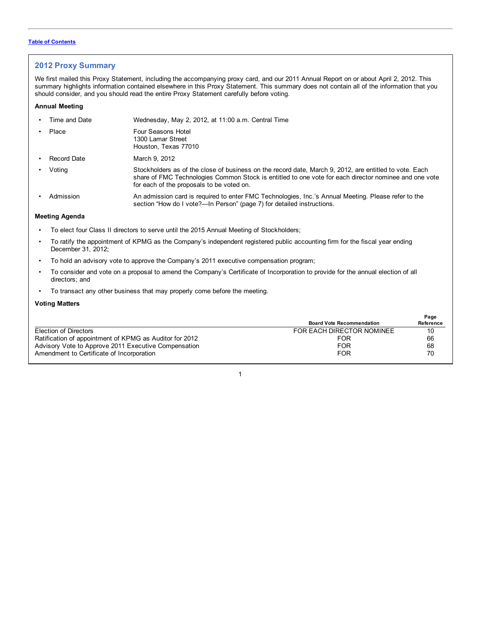# <span id="page-3-0"></span>**2012 Proxy Summary**

We first mailed this Proxy Statement, including the accompanying proxy card, and our 2011 Annual Report on or about April 2, 2012. This summary highlights information contained elsewhere in this Proxy Statement. This summary does not contain all of the information that you should consider, and you should read the entire Proxy Statement carefully before voting.

# **Annual Meeting**

| Time and Date  | Wednesday, May 2, 2012, at 11:00 a.m. Central Time                                                                                                                                                                                                           |
|----------------|--------------------------------------------------------------------------------------------------------------------------------------------------------------------------------------------------------------------------------------------------------------|
| Place          | Four Seasons Hotel<br>1300 Lamar Street<br>Houston, Texas 77010                                                                                                                                                                                              |
| Record Date    | March 9, 2012                                                                                                                                                                                                                                                |
| Voting         | Stockholders as of the close of business on the record date, March 9, 2012, are entitled to vote. Each<br>share of FMC Technologies Common Stock is entitled to one vote for each director nominee and one vote<br>for each of the proposals to be voted on. |
| Admission      | An admission card is required to enter FMC Technologies, Inc.'s Annual Meeting. Please refer to the<br>section "How do I vote?—In Person" (page 7) for detailed instructions.                                                                                |
| Meeting Agenda |                                                                                                                                                                                                                                                              |

- To elect four Class II directors to serve until the 2015 Annual Meeting of Stockholders;
- To ratify the appointment of KPMG as the Company's independent registered public accounting firm for the fiscal year ending December 31, 2012;
- To hold an advisory vote to approve the Company's 2011 executive compensation program;
- To consider and vote on a proposal to amend the Company's Certificate of Incorporation to provide for the annual election of all directors; and
- To transact any other business that may properly come before the meeting.

# **Voting Matters**

|                                                         |                                  | Page      |
|---------------------------------------------------------|----------------------------------|-----------|
|                                                         | <b>Board Vote Recommendation</b> | Reference |
| Election of Directors                                   | FOR EACH DIRECTOR NOMINEE        | 10        |
| Ratification of appointment of KPMG as Auditor for 2012 | FOR                              | 66        |
| Advisory Vote to Approve 2011 Executive Compensation    | FOR                              | 68        |
| Amendment to Certificate of Incorporation               | FOR                              | 70        |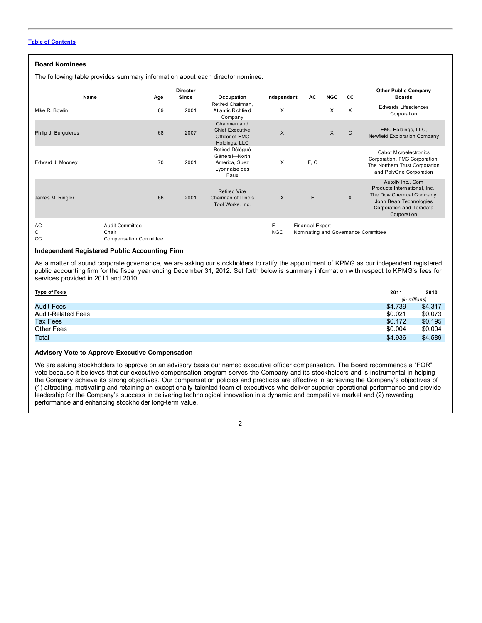# **Board Nominees**

The following table provides summary information about each director nominee.

| Name                 | Age                                                       | <b>Director</b><br>Since | Occupation                                                                 | Independent     | AC.                     | <b>NGC</b> | CC.          | <b>Other Public Company</b><br><b>Boards</b>                                                                                                          |
|----------------------|-----------------------------------------------------------|--------------------------|----------------------------------------------------------------------------|-----------------|-------------------------|------------|--------------|-------------------------------------------------------------------------------------------------------------------------------------------------------|
| Mike R. Bowlin       | 69                                                        | 2001                     | Retired Chairman,<br><b>Atlantic Richfield</b><br>Company                  | X               |                         | X          | X            | <b>Edwards Lifesciences</b><br>Corporation                                                                                                            |
| Philip J. Burguieres | 68                                                        | 2007                     | Chairman and<br><b>Chief Executive</b><br>Officer of EMC<br>Holdings, LLC  | X               |                         | X          | $\mathsf{C}$ | EMC Holdings, LLC,<br>Newfield Exploration Company                                                                                                    |
| Edward J. Mooney     | 70                                                        | 2001                     | Retired Délégué<br>Général-North<br>America, Suez<br>Lyonnaise des<br>Eaux | X               | F, C                    |            |              | <b>Cabot Microelectronics</b><br>Corporation, FMC Corporation,<br>The Northern Trust Corporation<br>and PolyOne Corporation                           |
| James M. Ringler     | 66                                                        | 2001                     | <b>Retired Vice</b><br>Chairman of Illinois<br>Tool Works, Inc.            | X               | F                       |            | X            | Autoliv Inc., Corn<br>Products International, Inc.,<br>The Dow Chemical Company,<br>John Bean Technologies<br>Corporation and Teradata<br>Corporation |
| <b>AC</b><br>C<br>CC | Audit Committee<br>Chair<br><b>Compensation Committee</b> |                          |                                                                            | F<br><b>NGC</b> | <b>Financial Expert</b> |            |              | Nominating and Governance Committee                                                                                                                   |

# **Independent Registered Public Accounting Firm**

As a matter of sound corporate governance, we are asking our stockholders to ratify the appointment of KPMG as our independent registered public accounting firm for the fiscal year ending December 31, 2012. Set forth below is summary information with respect to KPMG's fees for services provided in 2011 and 2010.

| <b>Type of Fees</b>       | 2011    | 2010          |
|---------------------------|---------|---------------|
|                           |         | (in millions) |
| <b>Audit Fees</b>         | \$4.739 | \$4.317       |
| <b>Audit-Related Fees</b> | \$0.021 | \$0.073       |
| Tax Fees                  | \$0.172 | \$0.195       |
| Other Fees                | \$0.004 | \$0.004       |
| Total                     | \$4.936 | \$4.589       |

### **Advisory Vote to Approve Executive Compensation**

We are asking stockholders to approve on an advisory basis our named executive officer compensation. The Board recommends a "FOR" vote because it believes that our executive compensation program serves the Company and its stockholders and is instrumental in helping the Company achieve its strong objectives. Our compensation policies and practices are effective in achieving the Company's objectives of (1) attracting, motivating and retaining an exceptionally talented team of executives who deliver superior operational performance and provide leadership for the Company's success in delivering technological innovation in a dynamic and competitive market and (2) rewarding performance and enhancing stockholder long-term value.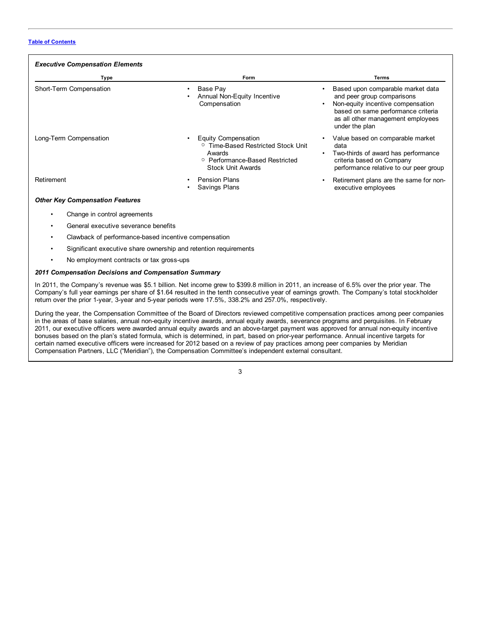| <b>Executive Compensation Elements</b> |                                                                                                                                                         |                                                                                                                                                                                                        |  |  |
|----------------------------------------|---------------------------------------------------------------------------------------------------------------------------------------------------------|--------------------------------------------------------------------------------------------------------------------------------------------------------------------------------------------------------|--|--|
| Type                                   | Form                                                                                                                                                    | Terms                                                                                                                                                                                                  |  |  |
| Short-Term Compensation                | Base Pay<br>Annual Non-Equity Incentive<br>Compensation                                                                                                 | Based upon comparable market data<br>and peer group comparisons<br>Non-equity incentive compensation<br>٠<br>based on same performance criteria<br>as all other management employees<br>under the plan |  |  |
| Long-Term Compensation                 | Equity Compensation<br><sup>o</sup> Time-Based Restricted Stock Unit<br>Awards<br><sup>o</sup> Performance-Based Restricted<br><b>Stock Unit Awards</b> | Value based on comparable market<br>data<br>Two-thirds of award has performance<br>criteria based on Company<br>performance relative to our peer group                                                 |  |  |
| Retirement                             | <b>Pension Plans</b><br>Savings Plans                                                                                                                   | Retirement plans are the same for non-<br>executive employees                                                                                                                                          |  |  |
| <b>Other Key Compensation Features</b> |                                                                                                                                                         |                                                                                                                                                                                                        |  |  |
| Change in control agreements           |                                                                                                                                                         |                                                                                                                                                                                                        |  |  |

- 
- General executive severance benefits
- Clawback of performance-based incentive compensation
- Significant executive share ownership and retention requirements
- No employment contracts or tax gross-ups

# *2011 Compensation Decisions and Compensation Summary*

In 2011, the Company's revenue was \$5.1 billion. Net income grew to \$399.8 million in 2011, an increase of 6.5% over the prior year. The Company's full year earnings per share of \$1.64 resulted in the tenth consecutive year of earnings growth. The Company's total stockholder return over the prior 1-year, 3-year and 5-year periods were 17.5%, 338.2% and 257.0%, respectively.

During the year, the Compensation Committee of the Board of Directors reviewed competitive compensation practices among peer companies in the areas of base salaries, annual non-equity incentive awards, annual equity awards, severance programs and perquisites. In February 2011, our executive officers were awarded annual equity awards and an above-target payment was approved for annual non-equity incentive bonuses based on the plan's stated formula, which is determined, in part, based on prior-year performance. Annual incentive targets for certain named executive officers were increased for 2012 based on a review of pay practices among peer companies by Meridian Compensation Partners, LLC ("Meridian"), the Compensation Committee's independent external consultant.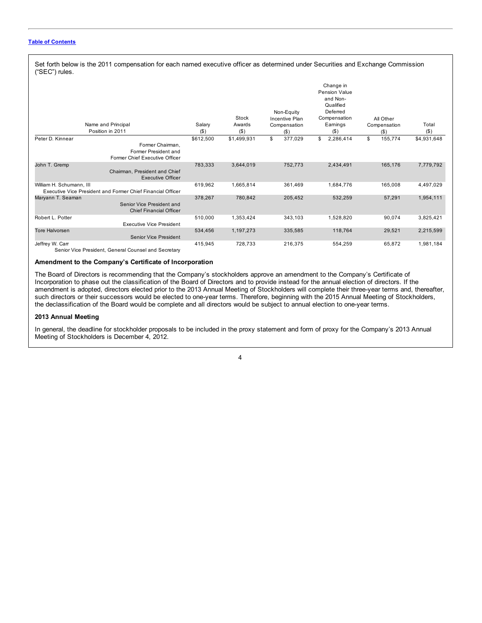Set forth below is the 2011 compensation for each named executive officer as determined under Securities and Exchange Commission ("SEC") rules.

|                          | Name and Principal<br>Position in 2011                                     | Salary<br>$($ \$ | Stock<br>Awards<br>$($ \$ | Non-Equity<br>Incentive Plan<br>Compensation<br>$($ \$ |         | Change in<br>Pension Value<br>and Non-<br>Qualified<br>Deferred<br>Compensation<br>Earnings<br>$($ \$) | All Other<br>Compensation<br>$($ \$) | Total<br>$($ \$) |
|--------------------------|----------------------------------------------------------------------------|------------------|---------------------------|--------------------------------------------------------|---------|--------------------------------------------------------------------------------------------------------|--------------------------------------|------------------|
| Peter D. Kinnear         | Former Chairman,<br>Former President and<br>Former Chief Executive Officer | \$612,500        | \$1,499,931               | \$                                                     | 377,029 | \$<br>2,286,414                                                                                        | \$<br>155,774                        | \$4,931,648      |
| John T. Gremp            | Chairman, President and Chief<br><b>Executive Officer</b>                  | 783,333          | 3,644,019                 |                                                        | 752,773 | 2,434,491                                                                                              | 165,176                              | 7,779,792        |
| William H. Schumann, III | Executive Vice President and Former Chief Financial Officer                | 619,962          | 1,665,814                 |                                                        | 361,469 | 1,684,776                                                                                              | 165,008                              | 4,497,029        |
| Maryann T. Seaman        | Senior Vice President and<br><b>Chief Financial Officer</b>                | 378,267          | 780,842                   |                                                        | 205,452 | 532,259                                                                                                | 57,291                               | 1,954,111        |
| Robert L. Potter         | <b>Executive Vice President</b>                                            | 510,000          | 1,353,424                 |                                                        | 343,103 | 1,528,820                                                                                              | 90,074                               | 3,825,421        |
| Tore Halvorsen           | Senior Vice President                                                      | 534,456          | 1,197,273                 |                                                        | 335,585 | 118,764                                                                                                | 29,521                               | 2,215,599        |
| Jeffrey W. Carr          |                                                                            | 415,945          | 728,733                   |                                                        | 216,375 | 554,259                                                                                                | 65,872                               | 1,981,184        |

Senior Vice President, General Counsel and Secretary

# **Amendment to the Company's Certificate of Incorporation**

The Board of Directors is recommending that the Company's stockholders approve an amendment to the Company's Certificate of Incorporation to phase out the classification of the Board of Directors and to provide instead for the annual election of directors. If the amendment is adopted, directors elected prior to the 2013 Annual Meeting of Stockholders will complete their three-year terms and, thereafter, such directors or their successors would be elected to one-year terms. Therefore, beginning with the 2015 Annual Meeting of Stockholders, the declassification of the Board would be complete and all directors would be subject to annual election to one-year terms.

### **2013 Annual Meeting**

In general, the deadline for stockholder proposals to be included in the proxy statement and form of proxy for the Company's 2013 Annual Meeting of Stockholders is December 4, 2012.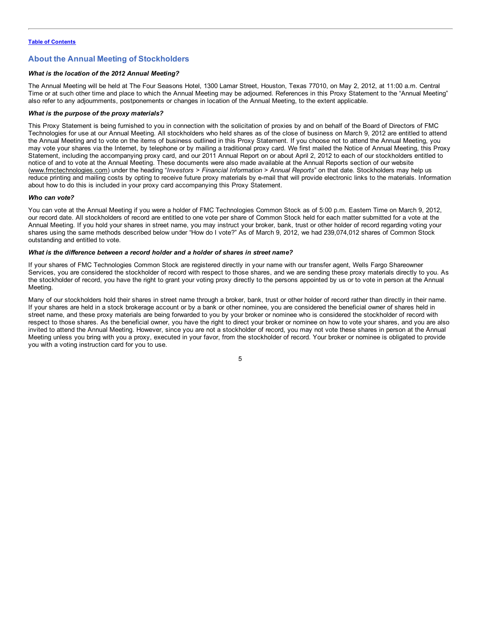# <span id="page-7-0"></span>**About the Annual Meeting of Stockholders**

# *What is the location of the 2012 Annual Meeting?*

The Annual Meeting will be held at The Four Seasons Hotel, 1300 Lamar Street, Houston, Texas 77010, on May 2, 2012, at 11:00 a.m. Central Time or at such other time and place to which the Annual Meeting may be adjourned. References in this Proxy Statement to the "Annual Meeting" also refer to any adjournments, postponements or changes in location of the Annual Meeting, to the extent applicable.

### *What is the purpose of the proxy materials?*

This Proxy Statement is being furnished to you in connection with the solicitation of proxies by and on behalf of the Board of Directors of FMC Technologies for use at our Annual Meeting. All stockholders who held shares as of the close of business on March 9, 2012 are entitled to attend the Annual Meeting and to vote on the items of business outlined in this Proxy Statement. If you choose not to attend the Annual Meeting, you may vote your shares via the Internet, by telephone or by mailing a traditional proxy card. We first mailed the Notice of Annual Meeting, this Proxy Statement, including the accompanying proxy card, and our 2011 Annual Report on or about April 2, 2012 to each of our stockholders entitled to notice of and to vote at the Annual Meeting. These documents were also made available at the Annual Reports section of our website (www.fmctechnologies.com) under the heading "*Investors > Financial Information > Annual Reports*" on that date. Stockholders may help us reduce printing and mailing costs by opting to receive future proxy materials by e-mail that will provide electronic links to the materials. Information about how to do this is included in your proxy card accompanying this Proxy Statement.

### *Who can vote?*

You can vote at the Annual Meeting if you were a holder of FMC Technologies Common Stock as of 5:00 p.m. Eastern Time on March 9, 2012, our record date. All stockholders of record are entitled to one vote per share of Common Stock held for each matter submitted for a vote at the Annual Meeting. If you hold your shares in street name, you may instruct your broker, bank, trust or other holder of record regarding voting your shares using the same methods described below under "How do I vote?" As of March 9, 2012, we had 239,074,012 shares of Common Stock outstanding and entitled to vote.

# *What is the difference between a record holder and a holder of shares in street name?*

If your shares of FMC Technologies Common Stock are registered directly in your name with our transfer agent, Wells Fargo Shareowner Services, you are considered the stockholder of record with respect to those shares, and we are sending these proxy materials directly to you. As the stockholder of record, you have the right to grant your voting proxy directly to the persons appointed by us or to vote in person at the Annual Meeting.

Many of our stockholders hold their shares in street name through a broker, bank, trust or other holder of record rather than directly in their name. If your shares are held in a stock brokerage account or by a bank or other nominee, you are considered the beneficial owner of shares held in street name, and these proxy materials are being forwarded to you by your broker or nominee who is considered the stockholder of record with respect to those shares. As the beneficial owner, you have the right to direct your broker or nominee on how to vote your shares, and you are also invited to attend the Annual Meeting. However, since you are not a stockholder of record, you may not vote these shares in person at the Annual Meeting unless you bring with you a proxy, executed in your favor, from the stockholder of record. Your broker or nominee is obligated to provide you with a voting instruction card for you to use.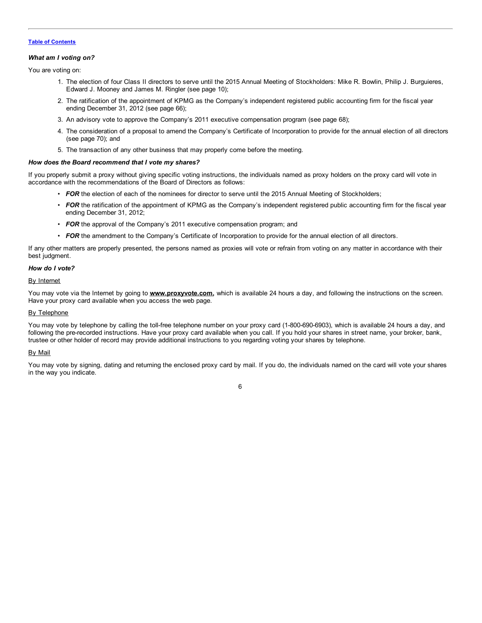### *What am I voting on?*

You are voting on:

- 1. The election of four Class II directors to serve until the 2015 Annual Meeting of Stockholders: Mike R. Bowlin, Philip J. Burguieres, Edward J. Mooney and James M. Ringler (see page 10);
- 2. The ratification of the appointment of KPMG as the Company's independent registered public accounting firm for the fiscal year ending December 31, 2012 (see page 66);
- 3. An advisory vote to approve the Company's 2011 executive compensation program (see page 68);
- 4. The consideration of a proposal to amend the Company's Certificate of Incorporation to provide for the annual election of all directors (see page 70); and
- 5. The transaction of any other business that may properly come before the meeting.

### *How does the Board recommend that I vote my shares?*

If you properly submit a proxy without giving specific voting instructions, the individuals named as proxy holders on the proxy card will vote in accordance with the recommendations of the Board of Directors as follows:

- *FOR* the election of each of the nominees for director to serve until the 2015 Annual Meeting of Stockholders;
- FOR the ratification of the appointment of KPMG as the Company's independent registered public accounting firm for the fiscal year ending December 31, 2012;
- **FOR** the approval of the Company's 2011 executive compensation program; and
- *FOR* the amendment to the Company's Certificate of Incorporation to provide for the annual election of all directors.

If any other matters are properly presented, the persons named as proxies will vote or refrain from voting on any matter in accordance with their best judgment.

# *How do I vote?*

### By Internet

You may vote via the Internet by going to **www.proxyvote.com**, which is available 24 hours a day, and following the instructions on the screen. Have your proxy card available when you access the web page.

### By Telephone

You may vote by telephone by calling the toll-free telephone number on your proxy card (1-800-690-6903), which is available 24 hours a day, and following the pre-recorded instructions. Have your proxy card available when you call. If you hold your shares in street name, your broker, bank, trustee or other holder of record may provide additional instructions to you regarding voting your shares by telephone.

# By Mail

You may vote by signing, dating and returning the enclosed proxy card by mail. If you do, the individuals named on the card will vote your shares in the way you indicate.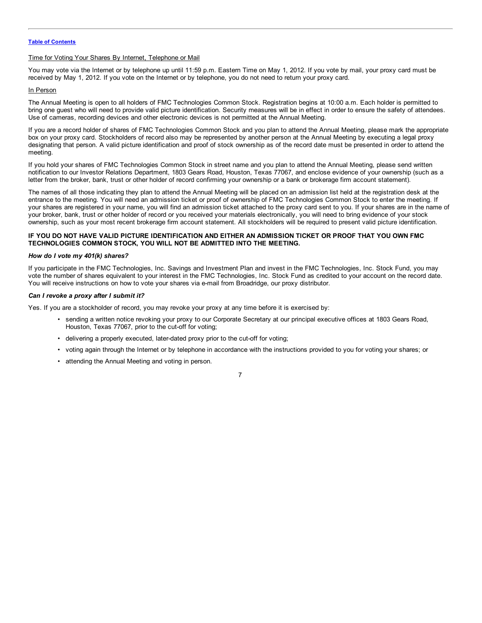### Time for Voting Your Shares By Internet, Telephone or Mail

You may vote via the Internet or by telephone up until 11:59 p.m. Eastern Time on May 1, 2012. If you vote by mail, your proxy card must be received by May 1, 2012. If you vote on the Internet or by telephone, you do not need to return your proxy card.

# In Person

The Annual Meeting is open to all holders of FMC Technologies Common Stock. Registration begins at 10:00 a.m. Each holder is permitted to bring one guest who will need to provide valid picture identification. Security measures will be in effect in order to ensure the safety of attendees. Use of cameras, recording devices and other electronic devices is not permitted at the Annual Meeting.

If you are a record holder of shares of FMC Technologies Common Stock and you plan to attend the Annual Meeting, please mark the appropriate box on your proxy card. Stockholders of record also may be represented by another person at the Annual Meeting by executing a legal proxy designating that person. A valid picture identification and proof of stock ownership as of the record date must be presented in order to attend the meeting.

If you hold your shares of FMC Technologies Common Stock in street name and you plan to attend the Annual Meeting, please send written notification to our Investor Relations Department, 1803 Gears Road, Houston, Texas 77067, and enclose evidence of your ownership (such as a letter from the broker, bank, trust or other holder of record confirming your ownership or a bank or brokerage firm account statement).

The names of all those indicating they plan to attend the Annual Meeting will be placed on an admission list held at the registration desk at the entrance to the meeting. You will need an admission ticket or proof of ownership of FMC Technologies Common Stock to enter the meeting. If your shares are registered in your name, you will find an admission ticket attached to the proxy card sent to you. If your shares are in the name of your broker, bank, trust or other holder of record or you received your materials electronically, you will need to bring evidence of your stock ownership, such as your most recent brokerage firm account statement. All stockholders will be required to present valid picture identification.

# IF YOU DO NOT HAVE VALID PICTURE IDENTIFICATION AND EITHER AN ADMISSION TICKET OR PROOF THAT YOU OWN FMC **TECHNOLOGIES COMMON STOCK, YOU WILL NOT BE ADMITTED INTO THE MEETING.**

# *How do I vote my 401(k) shares?*

If you participate in the FMC Technologies, Inc. Savings and Investment Plan and invest in the FMC Technologies, Inc. Stock Fund, you may vote the number of shares equivalent to your interest in the FMC Technologies, Inc. Stock Fund as credited to your account on the record date. You will receive instructions on how to vote your shares via e-mail from Broadridge, our proxy distributor.

# *Can I revoke a proxy after I submit it?*

Yes. If you are a stockholder of record, you may revoke your proxy at any time before it is exercised by:

- sending a written notice revoking your proxy to our Corporate Secretary at our principal executive offices at 1803 Gears Road, Houston, Texas 77067, prior to the cut-off for voting;
- delivering a properly executed, later-dated proxy prior to the cut-off for voting;
- voting again through the Internet or by telephone in accordance with the instructions provided to you for voting your shares; or
- attending the Annual Meeting and voting in person.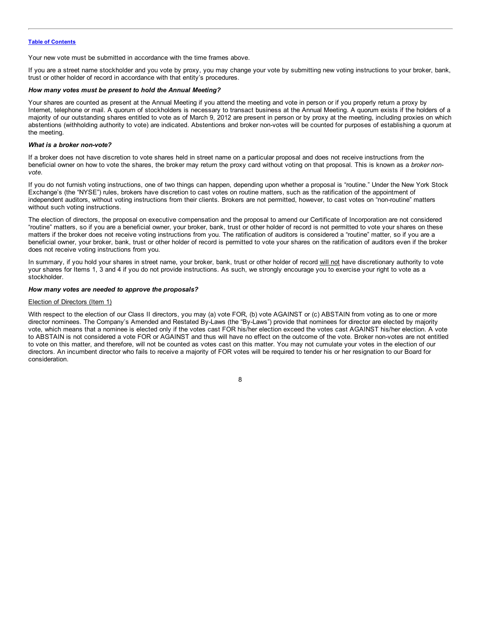Your new vote must be submitted in accordance with the time frames above.

If you are a street name stockholder and you vote by proxy, you may change your vote by submitting new voting instructions to your broker, bank, trust or other holder of record in accordance with that entity's procedures.

### *How many votes must be present to hold the Annual Meeting?*

Your shares are counted as present at the Annual Meeting if you attend the meeting and vote in person or if you properly return a proxy by Internet, telephone or mail. A quorum of stockholders is necessary to transact business at the Annual Meeting. A quorum exists if the holders of a majority of our outstanding shares entitled to vote as of March 9, 2012 are present in person or by proxy at the meeting, including proxies on which abstentions (withholding authority to vote) are indicated. Abstentions and broker non-votes will be counted for purposes of establishing a quorum at the meeting.

### *What is a broker non-vote?*

If a broker does not have discretion to vote shares held in street name on a particular proposal and does not receive instructions from the beneficial owner on how to vote the shares, the broker may return the proxy card without voting on that proposal. This is known as a *broker nonvote*.

If you do not furnish voting instructions, one of two things can happen, depending upon whether a proposal is "routine." Under the New York Stock Exchange's (the "NYSE") rules, brokers have discretion to cast votes on routine matters, such as the ratification of the appointment of independent auditors, without voting instructions from their clients. Brokers are not permitted, however, to cast votes on "non-routine" matters without such voting instructions.

The election of directors, the proposal on executive compensation and the proposal to amend our Certificate of Incorporation are not considered "routine" matters, so if you are a beneficial owner, your broker, bank, trust or other holder of record is not permitted to vote your shares on these matters if the broker does not receive voting instructions from you. The ratification of auditors is considered a "routine" matter, so if you are a beneficial owner, your broker, bank, trust or other holder of record is permitted to vote your shares on the ratification of auditors even if the broker does not receive voting instructions from you.

In summary, if you hold your shares in street name, your broker, bank, trust or other holder of record will not have discretionary authority to vote your shares for Items 1, 3 and 4 if you do not provide instructions. As such, we strongly encourage you to exercise your right to vote as a stockholder.

### *How many votes are needed to approve the proposals?*

### Election of Directors (Item 1)

With respect to the election of our Class II directors, you may (a) vote FOR, (b) vote AGAINST or (c) ABSTAIN from voting as to one or more director nominees. The Company's Amended and Restated By-Laws (the "By-Laws") provide that nominees for director are elected by majority vote, which means that a nominee is elected only if the votes cast FOR his/her election exceed the votes cast AGAINST his/her election. A vote to ABSTAIN is not considered a vote FOR or AGAINST and thus will have no effect on the outcome of the vote. Broker non-votes are not entitled to vote on this matter, and therefore, will not be counted as votes cast on this matter. You may not cumulate your votes in the election of our directors. An incumbent director who fails to receive a majority of FOR votes will be required to tender his or her resignation to our Board for consideration.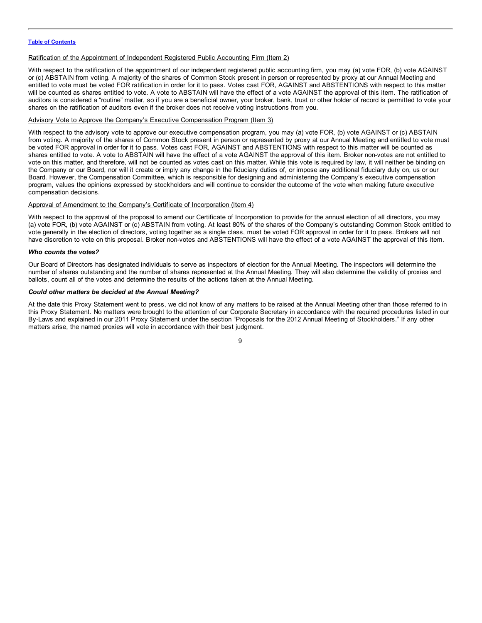## Ratification of the Appointment of Independent Registered Public Accounting Firm (Item 2)

With respect to the ratification of the appointment of our independent registered public accounting firm, you may (a) vote FOR, (b) vote AGAINST or (c) ABSTAIN from voting. A majority of the shares of Common Stock present in person or represented by proxy at our Annual Meeting and entitled to vote must be voted FOR ratification in order for it to pass. Votes cast FOR, AGAINST and ABSTENTIONS with respect to this matter will be counted as shares entitled to vote. A vote to ABSTAIN will have the effect of a vote AGAINST the approval of this item. The ratification of auditors is considered a "routine" matter, so if you are a beneficial owner, your broker, bank, trust or other holder of record is permitted to vote your shares on the ratification of auditors even if the broker does not receive voting instructions from you.

# Advisory Vote to Approve the Company's Executive Compensation Program (Item 3)

With respect to the advisory vote to approve our executive compensation program, you may (a) vote FOR, (b) vote AGAINST or (c) ABSTAIN from voting. A majority of the shares of Common Stock present in person or represented by proxy at our Annual Meeting and entitled to vote must be voted FOR approval in order for it to pass. Votes cast FOR, AGAINST and ABSTENTIONS with respect to this matter will be counted as shares entitled to vote. A vote to ABSTAIN will have the effect of a vote AGAINST the approval of this item. Broker non-votes are not entitled to vote on this matter, and therefore, will not be counted as votes cast on this matter. While this vote is required by law, it will neither be binding on the Company or our Board, nor will it create or imply any change in the fiduciary duties of, or impose any additional fiduciary duty on, us or our Board. However, the Compensation Committee, which is responsible for designing and administering the Company's executive compensation program, values the opinions expressed by stockholders and will continue to consider the outcome of the vote when making future executive compensation decisions.

### Approval of Amendment to the Company's Certificate of Incorporation (Item 4)

With respect to the approval of the proposal to amend our Certificate of Incorporation to provide for the annual election of all directors, you may (a) vote FOR, (b) vote AGAINST or (c) ABSTAIN from voting. At least 80% of the shares of the Company's outstanding Common Stock entitled to vote generally in the election of directors, voting together as a single class, must be voted FOR approval in order for it to pass. Brokers will not have discretion to vote on this proposal. Broker non-votes and ABSTENTIONS will have the effect of a vote AGAINST the approval of this item.

### *Who counts the votes?*

Our Board of Directors has designated individuals to serve as inspectors of election for the Annual Meeting. The inspectors will determine the number of shares outstanding and the number of shares represented at the Annual Meeting. They will also determine the validity of proxies and ballots, count all of the votes and determine the results of the actions taken at the Annual Meeting.

### *Could other matters be decided at the Annual Meeting?*

At the date this Proxy Statement went to press, we did not know of any matters to be raised at the Annual Meeting other than those referred to in this Proxy Statement. No matters were brought to the attention of our Corporate Secretary in accordance with the required procedures listed in our By-Laws and explained in our 2011 Proxy Statement under the section "Proposals for the 2012 Annual Meeting of Stockholders." If any other matters arise, the named proxies will vote in accordance with their best judgment.

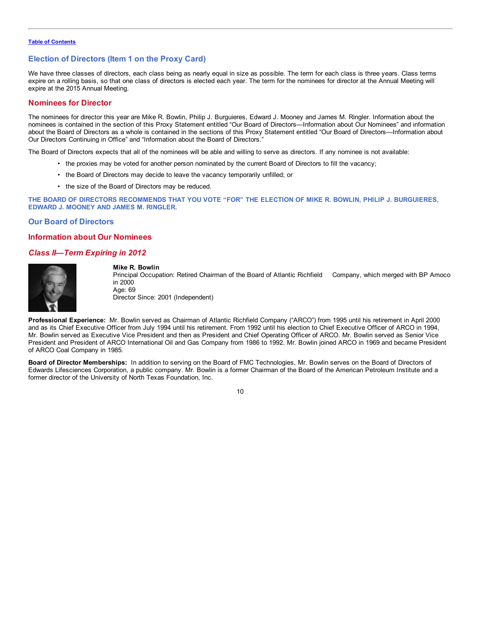# <span id="page-12-0"></span>**Election of Directors (Item 1 on the Proxy Card)**

We have three classes of directors, each class being as nearly equal in size as possible. The term for each class is three years. Class terms expire on a rolling basis, so that one class of directors is elected each year. The term for the nominees for director at the Annual Meeting will expire at the 2015 Annual Meeting.

# **Nominees for Director**

The nominees for director this year are Mike R. Bowlin, Philip J. Burguieres, Edward J. Mooney and James M. Ringler. Information about the nominees is contained in the section of this Proxy Statement entitled "Our Board of Directors—Information about Our Nominees" and information about the Board of Directors as a whole is contained in the sections of this Proxy Statement entitled "Our Board of Directors—Information about Our Directors Continuing in Office" and "Information about the Board of Directors."

The Board of Directors expects that all of the nominees will be able and willing to serve as directors. If any nominee is not available:

- the proxies may be voted for another person nominated by the current Board of Directors to fill the vacancy;
- the Board of Directors may decide to leave the vacancy temporarily unfilled; or
- the size of the Board of Directors may be reduced.

THE BOARD OF DIRECTORS RECOMMENDS THAT YOU VOTE "FOR" THE ELECTION OF MIKE R. BOWLIN, PHILIP J. BURGUIERES, **EDWARD J. MOONEY AND JAMES M. RINGLER.**

# **Our Board of Directors**

# **Information about Our Nominees**

# *Class II—Term Expiring in 2012*



#### **Mike R. Bowlin**

Principal Occupation: Retired Chairman of the Board of Atlantic Richfield Company, which merged with BP Amoco in 2000 Age: 69

Director Since: 2001 (Independent)

**Professional Experience:** Mr. Bowlin served as Chairman of Atlantic Richfield Company ("ARCO") from 1995 until his retirement in April 2000 and as its Chief Executive Officer from July 1994 until his retirement. From 1992 until his election to Chief Executive Officer of ARCO in 1994, Mr. Bowlin served as Executive Vice President and then as President and Chief Operating Officer of ARCO. Mr. Bowlin served as Senior Vice President and President of ARCO International Oil and Gas Company from 1986 to 1992. Mr. Bowlin joined ARCO in 1969 and became President of ARCO Coal Company in 1985.

**Board of Director Memberships:** In addition to serving on the Board of FMC Technologies, Mr. Bowlin serves on the Board of Directors of Edwards Lifesciences Corporation, a public company. Mr. Bowlin is a former Chairman of the Board of the American Petroleum Institute and a former director of the University of North Texas Foundation, Inc.

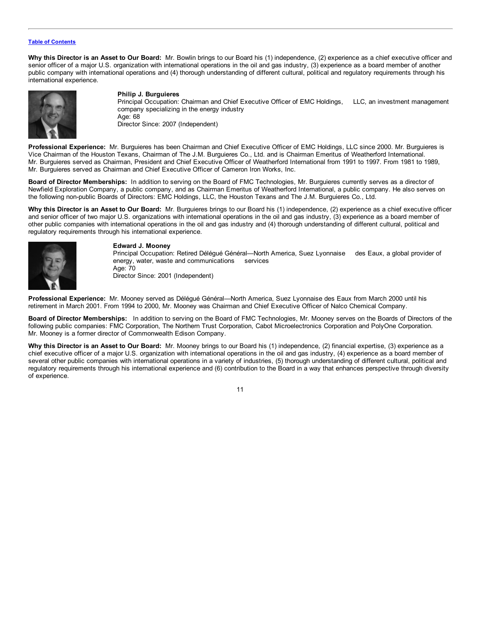**Why this Director is an Asset to Our Board:** Mr. Bowlin brings to our Board his (1) independence, (2) experience as a chief executive officer and senior officer of a major U.S. organization with international operations in the oil and gas industry, (3) experience as a board member of another public company with international operations and (4) thorough understanding of different cultural, political and regulatory requirements through his international experience.



### **Philip J. Burguieres**

Principal Occupation: Chairman and Chief Executive Officer of EMC Holdings, LLC, an investment management company specializing in the energy industry Age: 68 Director Since: 2007 (Independent)

**Professional Experience:** Mr. Burguieres has been Chairman and Chief Executive Officer of EMC Holdings, LLC since 2000. Mr. Burguieres is Vice Chairman of the Houston Texans, Chairman of The J.M. Burguieres Co., Ltd. and is Chairman Emeritus of Weatherford International. Mr. Burguieres served as Chairman, President and Chief Executive Officer of Weatherford International from 1991 to 1997. From 1981 to 1989, Mr. Burguieres served as Chairman and Chief Executive Officer of Cameron Iron Works, Inc.

**Board of Director Memberships:** In addition to serving on the Board of FMC Technologies, Mr. Burguieres currently serves as a director of Newfield Exploration Company, a public company, and as Chairman Emeritus of Weatherford International, a public company. He also serves on the following non-public Boards of Directors: EMC Holdings, LLC, the Houston Texans and The J.M. Burguieres Co., Ltd.

**Why this Director is an Asset to Our Board:** Mr. Burguieres brings to our Board his (1) independence, (2) experience as a chief executive officer and senior officer of two major U.S. organizations with international operations in the oil and gas industry, (3) experience as a board member of other public companies with international operations in the oil and gas industry and (4) thorough understanding of different cultural, political and regulatory requirements through his international experience.



## **Edward J. Mooney**

Principal Occupation: Retired Délégué Général—North America, Suez Lyonnaise des Eaux, a global provider of energy, water, waste and communications services Age: 70 Director Since: 2001 (Independent)

**Professional Experience:** Mr. Mooney served as Délégué Général—North America, Suez Lyonnaise des Eaux from March 2000 until his retirement in March 2001. From 1994 to 2000, Mr. Mooney was Chairman and Chief Executive Officer of Nalco Chemical Company.

**Board of Director Memberships:** In addition to serving on the Board of FMC Technologies, Mr. Mooney serves on the Boards of Directors of the following public companies: FMC Corporation, The Northern Trust Corporation, Cabot Microelectronics Corporation and PolyOne Corporation. Mr. Mooney is a former director of Commonwealth Edison Company.

**Why this Director is an Asset to Our Board:** Mr. Mooney brings to our Board his (1) independence, (2) financial expertise, (3) experience as a chief executive officer of a major U.S. organization with international operations in the oil and gas industry, (4) experience as a board member of several other public companies with international operations in a variety of industries, (5) thorough understanding of different cultural, political and regulatory requirements through his international experience and (6) contribution to the Board in a way that enhances perspective through diversity of experience.

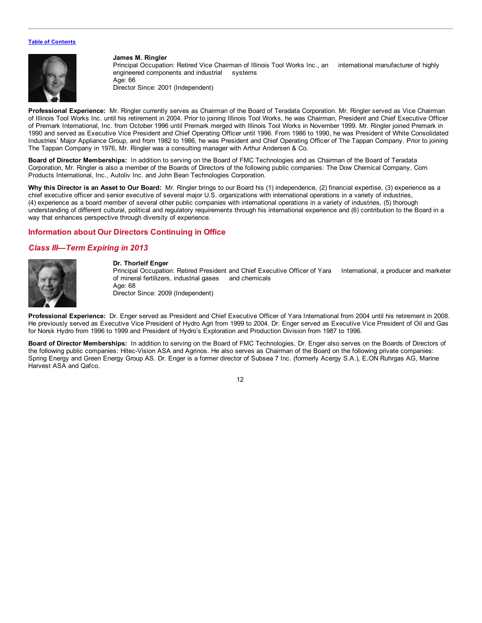<span id="page-14-0"></span>

#### **James M. Ringler**

Principal Occupation: Retired Vice Chairman of Illinois Tool Works Inc., an international manufacturer of highly engineered components and industrial systems Age: 66

Director Since: 2001 (Independent)

**Professional Experience:** Mr. Ringler currently serves as Chairman of the Board of Teradata Corporation. Mr. Ringler served as Vice Chairman of Illinois Tool Works Inc. until his retirement in 2004. Prior to joining Illinois Tool Works, he was Chairman, President and Chief Executive Officer of Premark International, Inc. from October 1996 until Premark merged with Illinois Tool Works in November 1999. Mr. Ringler joined Premark in 1990 and served as Executive Vice President and Chief Operating Officer until 1996. From 1986 to 1990, he was President of White Consolidated Industries' Major Appliance Group, and from 1982 to 1986, he was President and Chief Operating Officer of The Tappan Company. Prior to joining The Tappan Company in 1976, Mr. Ringler was a consulting manager with Arthur Andersen & Co.

**Board of Director Memberships:** In addition to serving on the Board of FMC Technologies and as Chairman of the Board of Teradata Corporation, Mr. Ringler is also a member of the Boards of Directors of the following public companies: The Dow Chemical Company, Corn Products International, Inc., Autoliv Inc. and John Bean Technologies Corporation.

**Why this Director is an Asset to Our Board:** Mr. Ringler brings to our Board his (1) independence, (2) financial expertise, (3) experience as a chief executive officer and senior executive of several major U.S. organizations with international operations in a variety of industries, (4) experience as a board member of several other public companies with international operations in a variety of industries, (5) thorough understanding of different cultural, political and regulatory requirements through his international experience and (6) contribution to the Board in a way that enhances perspective through diversity of experience.

# **Information about Our Directors Continuing in Office**

# *Class III—Term Expiring in 2013*



# **Dr. Thorleif Enger**

Principal Occupation: Retired President and Chief Executive Officer of Yara International, a producer and marketer of mineral fertilizers, industrial gases and chemicals Age: 68

Director Since: 2009 (Independent)

**Professional Experience:** Dr. Enger served as President and Chief Executive Officer of Yara International from 2004 until his retirement in 2008. He previously served as Executive Vice President of Hydro Agri from 1999 to 2004. Dr. Enger served as Executive Vice President of Oil and Gas for Norsk Hydro from 1996 to 1999 and President of Hydro's Exploration and Production Division from 1987 to 1996.

**Board of Director Memberships:** In addition to serving on the Board of FMC Technologies, Dr. Enger also serves on the Boards of Directors of the following public companies: Hitec-Vision ASA and Agrinos. He also serves as Chairman of the Board on the following private companies: Spring Energy and Green Energy Group AS. Dr. Enger is a former director of Subsea 7 Inc. (formerly Acergy S.A.), E**.**ON Ruhrgas AG, Marine Harvest ASA and Qafco.

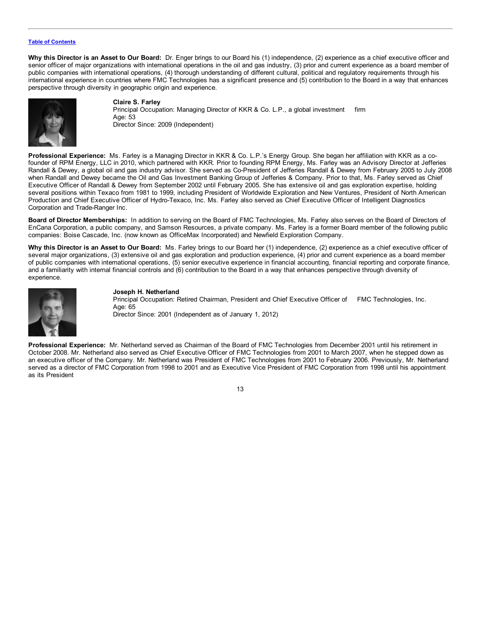**Why this Director is an Asset to Our Board:** Dr. Enger brings to our Board his (1) independence, (2) experience as a chief executive officer and senior officer of major organizations with international operations in the oil and gas industry, (3) prior and current experience as a board member of public companies with international operations, (4) thorough understanding of different cultural, political and regulatory requirements through his international experience in countries where FMC Technologies has a significant presence and (5) contribution to the Board in a way that enhances perspective through diversity in geographic origin and experience.



**Claire S. Farley** Principal Occupation: Managing Director of KKR & Co. L.P., a global investment firm Age: 53 Director Since: 2009 (Independent)

**Professional Experience:** Ms. Farley is a Managing Director in KKR & Co. L.P.'s Energy Group. She began her affiliation with KKR as a cofounder of RPM Energy, LLC in 2010, which partnered with KKR. Prior to founding RPM Energy, Ms. Farley was an Advisory Director at Jefferies Randall & Dewey, a global oil and gas industry advisor. She served as Co-President of Jefferies Randall & Dewey from February 2005 to July 2008 when Randall and Dewey became the Oil and Gas Investment Banking Group of Jefferies & Company. Prior to that, Ms. Farley served as Chief Executive Officer of Randall & Dewey from September 2002 until February 2005. She has extensive oil and gas exploration expertise, holding several positions within Texaco from 1981 to 1999, including President of Worldwide Exploration and New Ventures, President of North American Production and Chief Executive Officer of Hydro-Texaco, Inc. Ms. Farley also served as Chief Executive Officer of Intelligent Diagnostics Corporation and Trade-Ranger Inc.

**Board of Director Memberships:** In addition to serving on the Board of FMC Technologies, Ms. Farley also serves on the Board of Directors of EnCana Corporation, a public company, and Samson Resources, a private company. Ms. Farley is a former Board member of the following public companies: Boise Cascade, Inc. (now known as OfficeMax Incorporated) and Newfield Exploration Company.

**Why this Director is an Asset to Our Board:** Ms. Farley brings to our Board her (1) independence, (2) experience as a chief executive officer of several major organizations, (3) extensive oil and gas exploration and production experience, (4) prior and current experience as a board member of public companies with international operations, (5) senior executive experience in financial accounting, financial reporting and corporate finance, and a familiarity with internal financial controls and (6) contribution to the Board in a way that enhances perspective through diversity of experience.



### **Joseph H. Netherland**

Principal Occupation: Retired Chairman, President and Chief Executive Officer of FMC Technologies, Inc. Age: 65 Director Since: 2001 (Independent as of January 1, 2012)

**Professional Experience:** Mr. Netherland served as Chairman of the Board of FMC Technologies from December 2001 until his retirement in October 2008. Mr. Netherland also served as Chief Executive Officer of FMC Technologies from 2001 to March 2007, when he stepped down as an executive officer of the Company. Mr. Netherland was President of FMC Technologies from 2001 to February 2006. Previously, Mr. Netherland served as a director of FMC Corporation from 1998 to 2001 and as Executive Vice President of FMC Corporation from 1998 until his appointment as its President

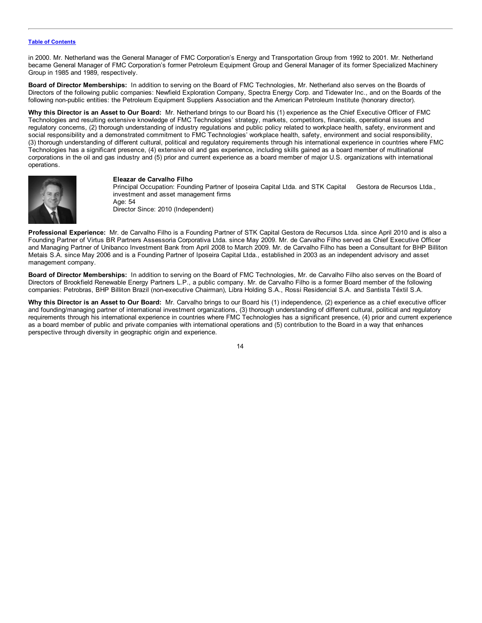in 2000. Mr. Netherland was the General Manager of FMC Corporation's Energy and Transportation Group from 1992 to 2001. Mr. Netherland became General Manager of FMC Corporation's former Petroleum Equipment Group and General Manager of its former Specialized Machinery Group in 1985 and 1989, respectively.

**Board of Director Memberships:** In addition to serving on the Board of FMC Technologies, Mr. Netherland also serves on the Boards of Directors of the following public companies: Newfield Exploration Company, Spectra Energy Corp. and Tidewater Inc., and on the Boards of the following non-public entities: the Petroleum Equipment Suppliers Association and the American Petroleum Institute (honorary director).

**Why this Director is an Asset to Our Board:** Mr. Netherland brings to our Board his (1) experience as the Chief Executive Officer of FMC Technologies and resulting extensive knowledge of FMC Technologies' strategy, markets, competitors, financials, operational issues and regulatory concerns, (2) thorough understanding of industry regulations and public policy related to workplace health, safety, environment and social responsibility and a demonstrated commitment to FMC Technologies' workplace health, safety, environment and social responsibility, (3) thorough understanding of different cultural, political and regulatory requirements through his international experience in countries where FMC Technologies has a significant presence, (4) extensive oil and gas experience, including skills gained as a board member of multinational corporations in the oil and gas industry and (5) prior and current experience as a board member of major U.S. organizations with international operations.



### **Eleazar de Carvalho Filho**

Principal Occupation: Founding Partner of Iposeira Capital Ltda. and STK Capital Gestora de Recursos Ltda., investment and asset management firms Age: 54 Director Since: 2010 (Independent)

**Professional Experience:** Mr. de Carvalho Filho is a Founding Partner of STK Capital Gestora de Recursos Ltda. since April 2010 and is also a Founding Partner of Virtus BR Partners Assessoria Corporativa Ltda. since May 2009. Mr. de Carvalho Filho served as Chief Executive Officer and Managing Partner of Unibanco Investment Bank from April 2008 to March 2009. Mr. de Carvalho Filho has been a Consultant for BHP Billiton Metais S.A. since May 2006 and is a Founding Partner of Iposeira Capital Ltda., established in 2003 as an independent advisory and asset management company.

**Board of Director Memberships:** In addition to serving on the Board of FMC Technologies, Mr. de Carvalho Filho also serves on the Board of Directors of Brookfield Renewable Energy Partners L.P., a public company. Mr. de Carvalho Filho is a former Board member of the following companies: Petrobras, BHP Billiton Brazil (non-executive Chairman), Libra Holding S.A., Rossi Residencial S.A. and Santista Téxtil S.A.

**Why this Director is an Asset to Our Board:** Mr. Carvalho brings to our Board his (1) independence, (2) experience as a chief executive officer and founding/managing partner of international investment organizations, (3) thorough understanding of different cultural, political and regulatory requirements through his international experience in countries where FMC Technologies has a significant presence, (4) prior and current experience as a board member of public and private companies with international operations and (5) contribution to the Board in a way that enhances perspective through diversity in geographic origin and experience.

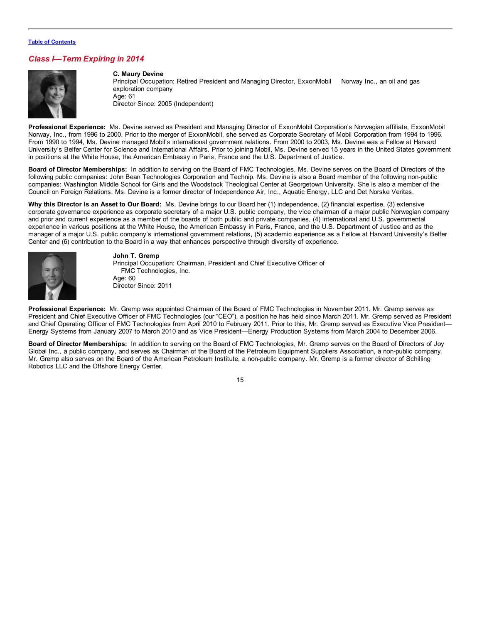# *Class I—Term Expiring in 2014*



**C. Maury Devine** Principal Occupation: Retired President and Managing Director, ExxonMobil Norway Inc., an oil and gas exploration company Age: 61 Director Since: 2005 (Independent)

**Professional Experience:** Ms. Devine served as President and Managing Director of ExxonMobil Corporation's Norwegian affiliate, ExxonMobil Norway, Inc., from 1996 to 2000. Prior to the merger of ExxonMobil, she served as Corporate Secretary of Mobil Corporation from 1994 to 1996. From 1990 to 1994, Ms. Devine managed Mobil's international government relations. From 2000 to 2003, Ms. Devine was a Fellow at Harvard University's Belfer Center for Science and International Affairs. Prior to joining Mobil, Ms. Devine served 15 years in the United States government in positions at the White House, the American Embassy in Paris, France and the U.S. Department of Justice.

**Board of Director Memberships:** In addition to serving on the Board of FMC Technologies, Ms. Devine serves on the Board of Directors of the following public companies: John Bean Technologies Corporation and Technip. Ms. Devine is also a Board member of the following non-public companies: Washington Middle School for Girls and the Woodstock Theological Center at Georgetown University. She is also a member of the Council on Foreign Relations. Ms. Devine is a former director of Independence Air, Inc., Aquatic Energy, LLC and Det Norske Veritas.

**Why this Director is an Asset to Our Board:** Ms. Devine brings to our Board her (1) independence, (2) financial expertise, (3) extensive corporate governance experience as corporate secretary of a major U.S. public company, the vice chairman of a major public Norwegian company and prior and current experience as a member of the boards of both public and private companies, (4) international and U.S. governmental experience in various positions at the White House, the American Embassy in Paris, France, and the U.S. Department of Justice and as the manager of a major U.S. public company's international government relations, (5) academic experience as a Fellow at Harvard University's Belfer Center and (6) contribution to the Board in a way that enhances perspective through diversity of experience.



### **John T. Gremp**

Principal Occupation: Chairman, President and Chief Executive Officer of FMC Technologies, Inc. Age: 60 Director Since: 2011

**Professional Experience:** Mr. Gremp was appointed Chairman of the Board of FMC Technologies in November 2011. Mr. Gremp serves as President and Chief Executive Officer of FMC Technologies (our "CEO"), a position he has held since March 2011. Mr. Gremp served as President and Chief Operating Officer of FMC Technologies from April 2010 to February 2011. Prior to this, Mr. Gremp served as Executive Vice President— Energy Systems from January 2007 to March 2010 and as Vice President—Energy Production Systems from March 2004 to December 2006.

**Board of Director Memberships:** In addition to serving on the Board of FMC Technologies, Mr. Gremp serves on the Board of Directors of Joy Global Inc., a public company, and serves as Chairman of the Board of the Petroleum Equipment Suppliers Association, a non-public company. Mr. Gremp also serves on the Board of the American Petroleum Institute, a non-public company. Mr. Gremp is a former director of Schilling Robotics LLC and the Offshore Energy Center.

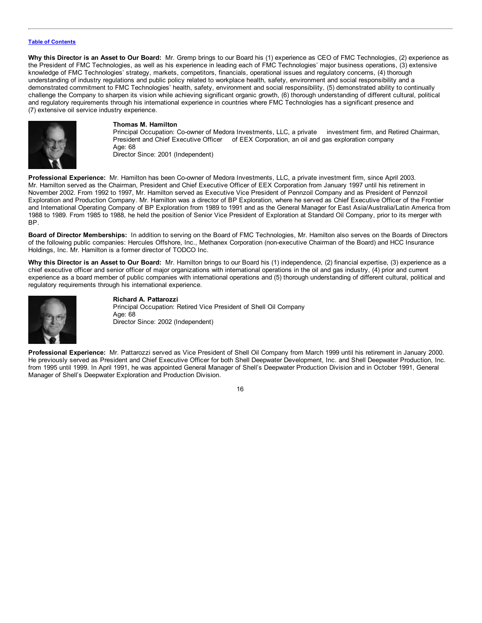**Why this Director is an Asset to Our Board:** Mr. Gremp brings to our Board his (1) experience as CEO of FMC Technologies, (2) experience as the President of FMC Technologies, as well as his experience in leading each of FMC Technologies' major business operations, (3) extensive knowledge of FMC Technologies' strategy, markets, competitors, financials, operational issues and regulatory concerns, (4) thorough understanding of industry regulations and public policy related to workplace health, safety, environment and social responsibility and a demonstrated commitment to FMC Technologies' health, safety, environment and social responsibility, (5) demonstrated ability to continually challenge the Company to sharpen its vision while achieving significant organic growth, (6) thorough understanding of different cultural, political and regulatory requirements through his international experience in countries where FMC Technologies has a significant presence and (7) extensive oil service industry experience.



### **Thomas M. Hamilton**

Principal Occupation: Co-owner of Medora Investments, LLC, a private investment firm, and Retired Chairman, President and Chief Executive Officer of EEX Corporation, an oil and gas exploration company Age: 68 Director Since: 2001 (Independent)

**Professional Experience:** Mr. Hamilton has been Co-owner of Medora Investments, LLC, a private investment firm, since April 2003. Mr. Hamilton served as the Chairman, President and Chief Executive Officer of EEX Corporation from January 1997 until his retirement in November 2002. From 1992 to 1997, Mr. Hamilton served as Executive Vice President of Pennzoil Company and as President of Pennzoil Exploration and Production Company. Mr. Hamilton was a director of BP Exploration, where he served as Chief Executive Officer of the Frontier and International Operating Company of BP Exploration from 1989 to 1991 and as the General Manager for East Asia/Australia/Latin America from 1988 to 1989. From 1985 to 1988, he held the position of Senior Vice President of Exploration at Standard Oil Company, prior to its merger with BP.

**Board of Director Memberships:** In addition to serving on the Board of FMC Technologies, Mr. Hamilton also serves on the Boards of Directors of the following public companies: Hercules Offshore, Inc., Methanex Corporation (non-executive Chairman of the Board) and HCC Insurance Holdings, Inc. Mr. Hamilton is a former director of TODCO Inc.

**Why this Director is an Asset to Our Board:** Mr. Hamilton brings to our Board his (1) independence, (2) financial expertise, (3) experience as a chief executive officer and senior officer of major organizations with international operations in the oil and gas industry, (4) prior and current experience as a board member of public companies with international operations and (5) thorough understanding of different cultural, political and regulatory requirements through his international experience.



### **Richard A. Pattarozzi**

Principal Occupation: Retired Vice President of Shell Oil Company Age: 68 Director Since: 2002 (Independent)

**Professional Experience:** Mr. Pattarozzi served as Vice President of Shell Oil Company from March 1999 until his retirement in January 2000. He previously served as President and Chief Executive Officer for both Shell Deepwater Development, Inc. and Shell Deepwater Production, Inc. from 1995 until 1999. In April 1991, he was appointed General Manager of Shell's Deepwater Production Division and in October 1991, General Manager of Shell's Deepwater Exploration and Production Division.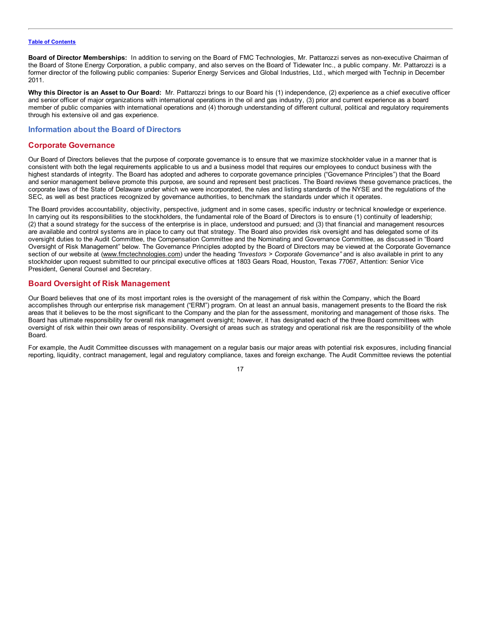<span id="page-19-0"></span>**Board of Director Memberships:** In addition to serving on the Board of FMC Technologies, Mr. Pattarozzi serves as non-executive Chairman of the Board of Stone Energy Corporation, a public company, and also serves on the Board of Tidewater Inc., a public company. Mr. Pattarozzi is a former director of the following public companies: Superior Energy Services and Global Industries, Ltd., which merged with Technip in December 2011.

**Why this Director is an Asset to Our Board:** Mr. Pattarozzi brings to our Board his (1) independence, (2) experience as a chief executive officer and senior officer of major organizations with international operations in the oil and gas industry, (3) prior and current experience as a board member of public companies with international operations and (4) thorough understanding of different cultural, political and regulatory requirements through his extensive oil and gas experience.

# **Information about the Board of Directors**

# **Corporate Governance**

Our Board of Directors believes that the purpose of corporate governance is to ensure that we maximize stockholder value in a manner that is consistent with both the legal requirements applicable to us and a business model that requires our employees to conduct business with the highest standards of integrity. The Board has adopted and adheres to corporate governance principles ("Governance Principles") that the Board and senior management believe promote this purpose, are sound and represent best practices. The Board reviews these governance practices, the corporate laws of the State of Delaware under which we were incorporated, the rules and listing standards of the NYSE and the regulations of the SEC, as well as best practices recognized by governance authorities, to benchmark the standards under which it operates.

The Board provides accountability, objectivity, perspective, judgment and in some cases, specific industry or technical knowledge or experience. In carrying out its responsibilities to the stockholders, the fundamental role of the Board of Directors is to ensure (1) continuity of leadership; (2) that a sound strategy for the success of the enterprise is in place, understood and pursued; and (3) that financial and management resources are available and control systems are in place to carry out that strategy. The Board also provides risk oversight and has delegated some of its oversight duties to the Audit Committee, the Compensation Committee and the Nominating and Governance Committee, as discussed in "Board Oversight of Risk Management" below. The Governance Principles adopted by the Board of Directors may be viewed at the Corporate Governance section of our website at (www.fmctechnologies.com) under the heading *"Investors > Corporate Governance"* and is also available in print to any stockholder upon request submitted to our principal executive offices at 1803 Gears Road, Houston, Texas 77067, Attention: Senior Vice President, General Counsel and Secretary.

# **Board Oversight of Risk Management**

Our Board believes that one of its most important roles is the oversight of the management of risk within the Company, which the Board accomplishes through our enterprise risk management ("ERM") program. On at least an annual basis, management presents to the Board the risk areas that it believes to be the most significant to the Company and the plan for the assessment, monitoring and management of those risks. The Board has ultimate responsibility for overall risk management oversight; however, it has designated each of the three Board committees with oversight of risk within their own areas of responsibility. Oversight of areas such as strategy and operational risk are the responsibility of the whole Board.

For example, the Audit Committee discusses with management on a regular basis our major areas with potential risk exposures, including financial reporting, liquidity, contract management, legal and regulatory compliance, taxes and foreign exchange. The Audit Committee reviews the potential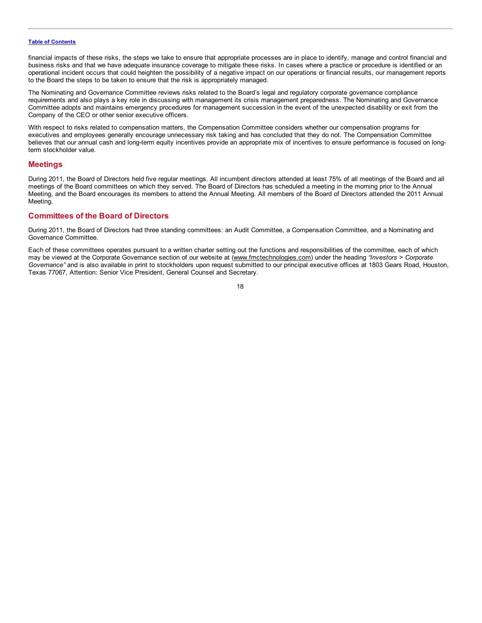<span id="page-20-0"></span>financial impacts of these risks, the steps we take to ensure that appropriate processes are in place to identify, manage and control financial and business risks and that we have adequate insurance coverage to mitigate these risks. In cases where a practice or procedure is identified or an operational incident occurs that could heighten the possibility of a negative impact on our operations or financial results, our management reports to the Board the steps to be taken to ensure that the risk is appropriately managed.

The Nominating and Governance Committee reviews risks related to the Board's legal and regulatory corporate governance compliance requirements and also plays a key role in discussing with management its crisis management preparedness. The Nominating and Governance Committee adopts and maintains emergency procedures for management succession in the event of the unexpected disability or exit from the Company of the CEO or other senior executive officers.

With respect to risks related to compensation matters, the Compensation Committee considers whether our compensation programs for executives and employees generally encourage unnecessary risk taking and has concluded that they do not. The Compensation Committee believes that our annual cash and long-term equity incentives provide an appropriate mix of incentives to ensure performance is focused on longterm stockholder value.

# **Meetings**

During 2011, the Board of Directors held five regular meetings. All incumbent directors attended at least 75% of all meetings of the Board and all meetings of the Board committees on which they served. The Board of Directors has scheduled a meeting in the morning prior to the Annual Meeting, and the Board encourages its members to attend the Annual Meeting. All members of the Board of Directors attended the 2011 Annual Meeting.

# **Committees of the Board of Directors**

During 2011, the Board of Directors had three standing committees: an Audit Committee, a Compensation Committee, and a Nominating and Governance Committee.

Each of these committees operates pursuant to a written charter setting out the functions and responsibilities of the committee, each of which may be viewed at the Corporate Governance section of our website at (www.fmctechnologies.com) under the heading *"Investors > Corporate Governance"* and is also available in print to stockholders upon request submitted to our principal executive offices at 1803 Gears Road, Houston, Texas 77067, Attention: Senior Vice President, General Counsel and Secretary.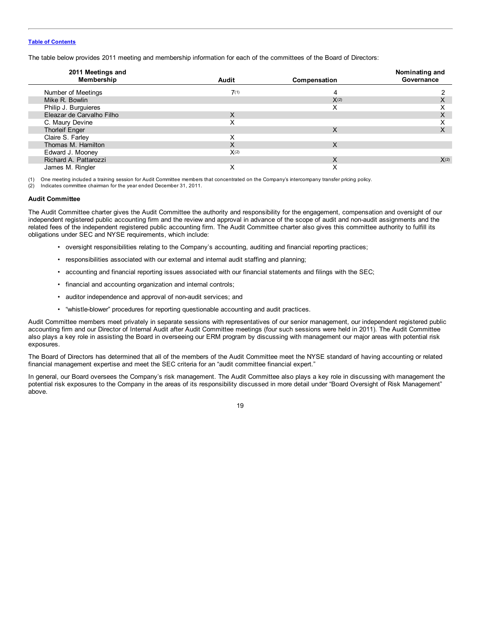The table below provides 2011 meeting and membership information for each of the committees of the Board of Directors:

| 2011 Meetings and<br>Membership | Audit | Compensation | Nominating and<br>Governance |
|---------------------------------|-------|--------------|------------------------------|
|                                 |       |              |                              |
| Number of Meetings              | 7(1)  |              |                              |
| Mike R. Bowlin                  |       | X(2)         |                              |
| Philip J. Burguieres            |       | X            |                              |
| Eleazar de Carvalho Filho       | X     |              | ∧                            |
| C. Maury Devine                 | X     |              |                              |
| <b>Thorleif Enger</b>           |       | X            | ∧                            |
| Claire S. Farley                | x     |              |                              |
| Thomas M. Hamilton              | X     | X            |                              |
| Edward J. Mooney                | X(2)  |              |                              |
| Richard A. Pattarozzi           |       | X            | X(2)                         |
| James M. Ringler                |       | ∧            |                              |

(1) One meeting included a training session for Audit Committee members that concentrated on the Company's intercompany transfer pricing policy.

(2) Indicates committee chairman for the year ended December 31, 2011.

#### **Audit Committee**

The Audit Committee charter gives the Audit Committee the authority and responsibility for the engagement, compensation and oversight of our independent registered public accounting firm and the review and approval in advance of the scope of audit and non-audit assignments and the related fees of the independent registered public accounting firm. The Audit Committee charter also gives this committee authority to fulfill its obligations under SEC and NYSE requirements, which include:

- oversight responsibilities relating to the Company's accounting, auditing and financial reporting practices;
- responsibilities associated with our external and internal audit staffing and planning;
- accounting and financial reporting issues associated with our financial statements and filings with the SEC;
- financial and accounting organization and internal controls;
- auditor independence and approval of non-audit services; and
- "whistle-blower" procedures for reporting questionable accounting and audit practices.

Audit Committee members meet privately in separate sessions with representatives of our senior management, our independent registered public accounting firm and our Director of Internal Audit after Audit Committee meetings (four such sessions were held in 2011). The Audit Committee also plays a key role in assisting the Board in overseeing our ERM program by discussing with management our major areas with potential risk exposures.

The Board of Directors has determined that all of the members of the Audit Committee meet the NYSE standard of having accounting or related financial management expertise and meet the SEC criteria for an "audit committee financial expert."

In general, our Board oversees the Company's risk management. The Audit Committee also plays a key role in discussing with management the potential risk exposures to the Company in the areas of its responsibility discussed in more detail under "Board Oversight of Risk Management" above.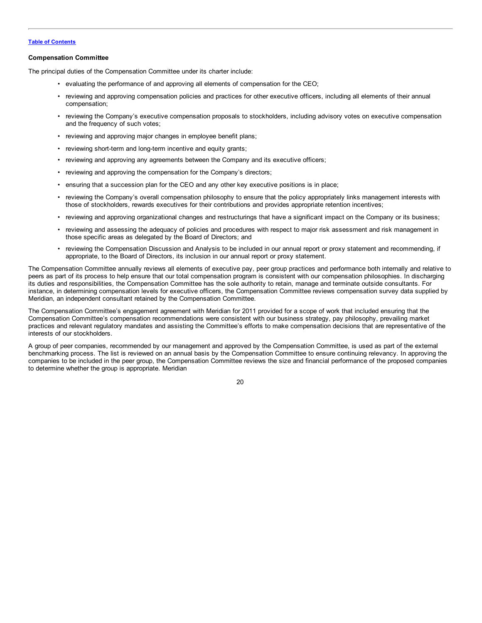### **Compensation Committee**

The principal duties of the Compensation Committee under its charter include:

- evaluating the performance of and approving all elements of compensation for the CEO;
- reviewing and approving compensation policies and practices for other executive officers, including all elements of their annual compensation;
- reviewing the Company's executive compensation proposals to stockholders, including advisory votes on executive compensation and the frequency of such votes;
- reviewing and approving major changes in employee benefit plans;
- reviewing short-term and long-term incentive and equity grants;
- reviewing and approving any agreements between the Company and its executive officers;
- reviewing and approving the compensation for the Company's directors;
- ensuring that a succession plan for the CEO and any other key executive positions is in place;
- reviewing the Company's overall compensation philosophy to ensure that the policy appropriately links management interests with those of stockholders, rewards executives for their contributions and provides appropriate retention incentives;
- reviewing and approving organizational changes and restructurings that have a significant impact on the Company or its business;
- reviewing and assessing the adequacy of policies and procedures with respect to major risk assessment and risk management in those specific areas as delegated by the Board of Directors; and
- reviewing the Compensation Discussion and Analysis to be included in our annual report or proxy statement and recommending, if appropriate, to the Board of Directors, its inclusion in our annual report or proxy statement.

The Compensation Committee annually reviews all elements of executive pay, peer group practices and performance both internally and relative to peers as part of its process to help ensure that our total compensation program is consistent with our compensation philosophies. In discharging its duties and responsibilities, the Compensation Committee has the sole authority to retain, manage and terminate outside consultants. For instance, in determining compensation levels for executive officers, the Compensation Committee reviews compensation survey data supplied by Meridian, an independent consultant retained by the Compensation Committee.

The Compensation Committee's engagement agreement with Meridian for 2011 provided for a scope of work that included ensuring that the Compensation Committee's compensation recommendations were consistent with our business strategy, pay philosophy, prevailing market practices and relevant regulatory mandates and assisting the Committee's efforts to make compensation decisions that are representative of the interests of our stockholders.

A group of peer companies, recommended by our management and approved by the Compensation Committee, is used as part of the external benchmarking process. The list is reviewed on an annual basis by the Compensation Committee to ensure continuing relevancy. In approving the companies to be included in the peer group, the Compensation Committee reviews the size and financial performance of the proposed companies to determine whether the group is appropriate. Meridian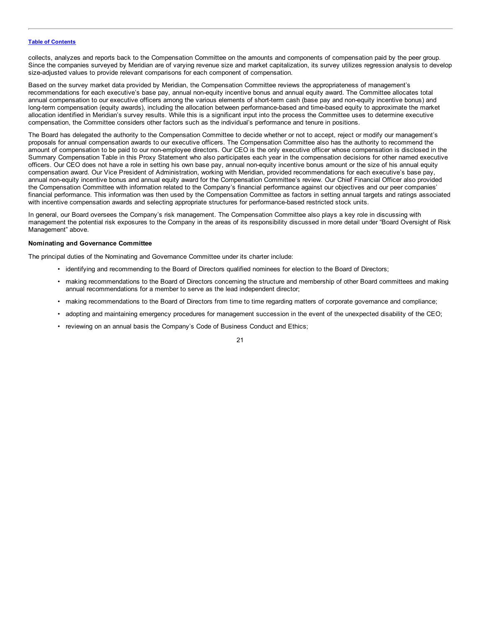collects, analyzes and reports back to the Compensation Committee on the amounts and components of compensation paid by the peer group. Since the companies surveyed by Meridian are of varying revenue size and market capitalization, its survey utilizes regression analysis to develop size-adjusted values to provide relevant comparisons for each component of compensation.

Based on the survey market data provided by Meridian, the Compensation Committee reviews the appropriateness of management's recommendations for each executive's base pay, annual non-equity incentive bonus and annual equity award. The Committee allocates total annual compensation to our executive officers among the various elements of short-term cash (base pay and non-equity incentive bonus) and long-term compensation (equity awards), including the allocation between performance-based and time-based equity to approximate the market allocation identified in Meridian's survey results. While this is a significant input into the process the Committee uses to determine executive compensation, the Committee considers other factors such as the individual's performance and tenure in positions.

The Board has delegated the authority to the Compensation Committee to decide whether or not to accept, reject or modify our management's proposals for annual compensation awards to our executive officers. The Compensation Committee also has the authority to recommend the amount of compensation to be paid to our non-employee directors. Our CEO is the only executive officer whose compensation is disclosed in the Summary Compensation Table in this Proxy Statement who also participates each year in the compensation decisions for other named executive officers. Our CEO does not have a role in setting his own base pay, annual non-equity incentive bonus amount or the size of his annual equity compensation award. Our Vice President of Administration, working with Meridian, provided recommendations for each executive's base pay, annual non-equity incentive bonus and annual equity award for the Compensation Committee's review. Our Chief Financial Officer also provided the Compensation Committee with information related to the Company's financial performance against our objectives and our peer companies' financial performance. This information was then used by the Compensation Committee as factors in setting annual targets and ratings associated with incentive compensation awards and selecting appropriate structures for performance-based restricted stock units.

In general, our Board oversees the Company's risk management. The Compensation Committee also plays a key role in discussing with management the potential risk exposures to the Company in the areas of its responsibility discussed in more detail under "Board Oversight of Risk Management" above.

### **Nominating and Governance Committee**

The principal duties of the Nominating and Governance Committee under its charter include:

- identifying and recommending to the Board of Directors qualified nominees for election to the Board of Directors;
- making recommendations to the Board of Directors concerning the structure and membership of other Board committees and making annual recommendations for a member to serve as the lead independent director;
- making recommendations to the Board of Directors from time to time regarding matters of corporate governance and compliance;
- adopting and maintaining emergency procedures for management succession in the event of the unexpected disability of the CEO;
- reviewing on an annual basis the Company's Code of Business Conduct and Ethics;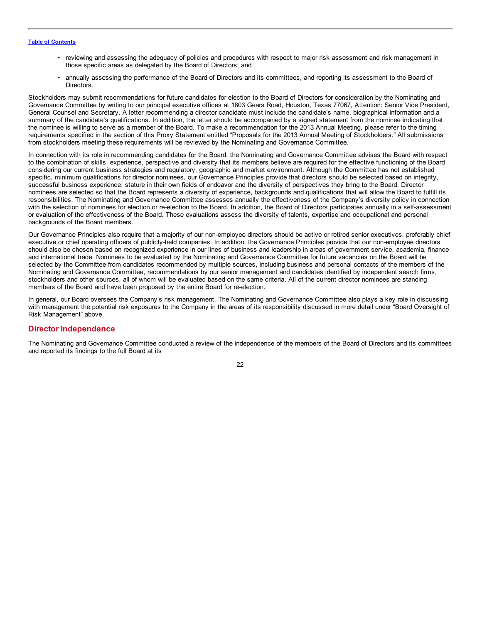- <span id="page-24-0"></span>• reviewing and assessing the adequacy of policies and procedures with respect to major risk assessment and risk management in those specific areas as delegated by the Board of Directors; and
- annually assessing the performance of the Board of Directors and its committees, and reporting its assessment to the Board of **Directors**

Stockholders may submit recommendations for future candidates for election to the Board of Directors for consideration by the Nominating and Governance Committee by writing to our principal executive offices at 1803 Gears Road, Houston, Texas 77067, Attention: Senior Vice President, General Counsel and Secretary. A letter recommending a director candidate must include the candidate's name, biographical information and a summary of the candidate's qualifications. In addition, the letter should be accompanied by a signed statement from the nominee indicating that the nominee is willing to serve as a member of the Board. To make a recommendation for the 2013 Annual Meeting, please refer to the timing requirements specified in the section of this Proxy Statement entitled "Proposals for the 2013 Annual Meeting of Stockholders." All submissions from stockholders meeting these requirements will be reviewed by the Nominating and Governance Committee.

In connection with its role in recommending candidates for the Board, the Nominating and Governance Committee advises the Board with respect to the combination of skills, experience, perspective and diversity that its members believe are required for the effective functioning of the Board considering our current business strategies and regulatory, geographic and market environment. Although the Committee has not established specific, minimum qualifications for director nominees, our Governance Principles provide that directors should be selected based on integrity, successful business experience, stature in their own fields of endeavor and the diversity of perspectives they bring to the Board. Director nominees are selected so that the Board represents a diversity of experience, backgrounds and qualifications that will allow the Board to fulfill its responsibilities. The Nominating and Governance Committee assesses annually the effectiveness of the Company's diversity policy in connection with the selection of nominees for election or re-election to the Board. In addition, the Board of Directors participates annually in a self-assessment or evaluation of the effectiveness of the Board. These evaluations assess the diversity of talents, expertise and occupational and personal backgrounds of the Board members.

Our Governance Principles also require that a majority of our non-employee directors should be active or retired senior executives, preferably chief executive or chief operating officers of publicly-held companies. In addition, the Governance Principles provide that our non-employee directors should also be chosen based on recognized experience in our lines of business and leadership in areas of government service, academia, finance and international trade. Nominees to be evaluated by the Nominating and Governance Committee for future vacancies on the Board will be selected by the Committee from candidates recommended by multiple sources, including business and personal contacts of the members of the Nominating and Governance Committee, recommendations by our senior management and candidates identified by independent search firms, stockholders and other sources, all of whom will be evaluated based on the same criteria. All of the current director nominees are standing members of the Board and have been proposed by the entire Board for re-election.

In general, our Board oversees the Company's risk management. The Nominating and Governance Committee also plays a key role in discussing with management the potential risk exposures to the Company in the areas of its responsibility discussed in more detail under "Board Oversight of Risk Management" above.

# **Director Independence**

The Nominating and Governance Committee conducted a review of the independence of the members of the Board of Directors and its committees and reported its findings to the full Board at its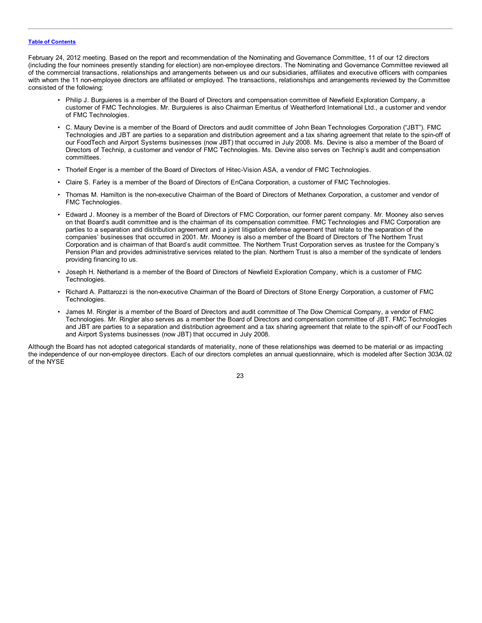February 24, 2012 meeting. Based on the report and recommendation of the Nominating and Governance Committee, 11 of our 12 directors (including the four nominees presently standing for election) are non-employee directors. The Nominating and Governance Committee reviewed all of the commercial transactions, relationships and arrangements between us and our subsidiaries, affiliates and executive officers with companies with whom the 11 non-employee directors are affiliated or employed. The transactions, relationships and arrangements reviewed by the Committee consisted of the following:

- Philip J. Burguieres is a member of the Board of Directors and compensation committee of Newfield Exploration Company, a customer of FMC Technologies. Mr. Burguieres is also Chairman Emeritus of Weatherford International Ltd., a customer and vendor of FMC Technologies.
- C. Maury Devine is a member of the Board of Directors and audit committee of John Bean Technologies Corporation ("JBT"). FMC Technologies and JBT are parties to a separation and distribution agreement and a tax sharing agreement that relate to the spin-off of our FoodTech and Airport Systems businesses (now JBT) that occurred in July 2008. Ms. Devine is also a member of the Board of Directors of Technip, a customer and vendor of FMC Technologies. Ms. Devine also serves on Technip's audit and compensation committees.
- Thorleif Enger is a member of the Board of Directors of Hitec-Vision ASA, a vendor of FMC Technologies.
- Claire S. Farley is a member of the Board of Directors of EnCana Corporation, a customer of FMC Technologies.
- Thomas M. Hamilton is the non-executive Chairman of the Board of Directors of Methanex Corporation, a customer and vendor of FMC Technologies.
- Edward J. Mooney is a member of the Board of Directors of FMC Corporation, our former parent company. Mr. Mooney also serves on that Board's audit committee and is the chairman of its compensation committee. FMC Technologies and FMC Corporation are parties to a separation and distribution agreement and a joint litigation defense agreement that relate to the separation of the companies' businesses that occurred in 2001. Mr. Mooney is also a member of the Board of Directors of The Northern Trust Corporation and is chairman of that Board's audit committee. The Northern Trust Corporation serves as trustee for the Company's Pension Plan and provides administrative services related to the plan. Northern Trust is also a member of the syndicate of lenders providing financing to us.
- Joseph H. Netherland is a member of the Board of Directors of Newfield Exploration Company, which is a customer of FMC Technologies.
- Richard A. Pattarozzi is the non-executive Chairman of the Board of Directors of Stone Energy Corporation, a customer of FMC Technologies.
- James M. Ringler is a member of the Board of Directors and audit committee of The Dow Chemical Company, a vendor of FMC Technologies. Mr. Ringler also serves as a member the Board of Directors and compensation committee of JBT. FMC Technologies and JBT are parties to a separation and distribution agreement and a tax sharing agreement that relate to the spin-off of our FoodTech and Airport Systems businesses (now JBT) that occurred in July 2008.

Although the Board has not adopted categorical standards of materiality, none of these relationships was deemed to be material or as impacting the independence of our non-employee directors. Each of our directors completes an annual questionnaire, which is modeled after Section 303A.02 of the NYSE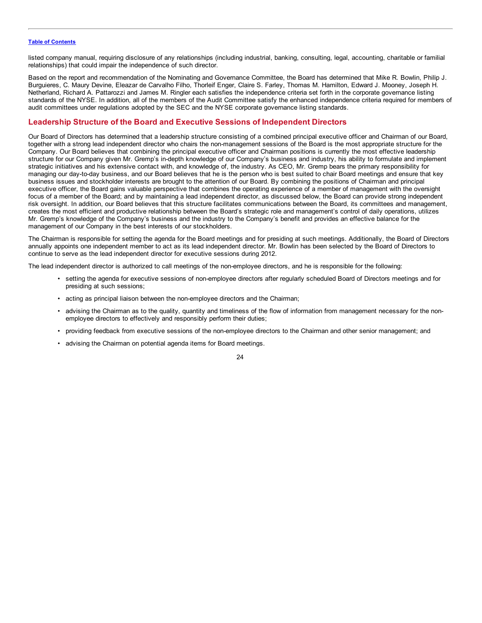<span id="page-26-0"></span>listed company manual, requiring disclosure of any relationships (including industrial, banking, consulting, legal, accounting, charitable or familial relationships) that could impair the independence of such director.

Based on the report and recommendation of the Nominating and Governance Committee, the Board has determined that Mike R. Bowlin, Philip J. Burguieres, C. Maury Devine, Eleazar de Carvalho Filho, Thorleif Enger, Claire S. Farley, Thomas M. Hamilton, Edward J. Mooney, Joseph H. Netherland, Richard A. Pattarozzi and James M. Ringler each satisfies the independence criteria set forth in the corporate governance listing standards of the NYSE. In addition, all of the members of the Audit Committee satisfy the enhanced independence criteria required for members of audit committees under regulations adopted by the SEC and the NYSE corporate governance listing standards.

# **Leadership Structure of the Board and Executive Sessions of Independent Directors**

Our Board of Directors has determined that a leadership structure consisting of a combined principal executive officer and Chairman of our Board, together with a strong lead independent director who chairs the non-management sessions of the Board is the most appropriate structure for the Company. Our Board believes that combining the principal executive officer and Chairman positions is currently the most effective leadership structure for our Company given Mr. Gremp's in-depth knowledge of our Company's business and industry, his ability to formulate and implement strategic initiatives and his extensive contact with, and knowledge of, the industry. As CEO, Mr. Gremp bears the primary responsibility for managing our day-to-day business, and our Board believes that he is the person who is best suited to chair Board meetings and ensure that key business issues and stockholder interests are brought to the attention of our Board. By combining the positions of Chairman and principal executive officer, the Board gains valuable perspective that combines the operating experience of a member of management with the oversight focus of a member of the Board; and by maintaining a lead independent director, as discussed below, the Board can provide strong independent risk oversight. In addition, our Board believes that this structure facilitates communications between the Board, its committees and management, creates the most efficient and productive relationship between the Board's strategic role and management's control of daily operations, utilizes Mr. Gremp's knowledge of the Company's business and the industry to the Company's benefit and provides an effective balance for the management of our Company in the best interests of our stockholders.

The Chairman is responsible for setting the agenda for the Board meetings and for presiding at such meetings. Additionally, the Board of Directors annually appoints one independent member to act as its lead independent director. Mr. Bowlin has been selected by the Board of Directors to continue to serve as the lead independent director for executive sessions during 2012.

The lead independent director is authorized to call meetings of the non-employee directors, and he is responsible for the following:

- setting the agenda for executive sessions of non-employee directors after regularly scheduled Board of Directors meetings and for presiding at such sessions;
- acting as principal liaison between the non-employee directors and the Chairman;
- advising the Chairman as to the quality, quantity and timeliness of the flow of information from management necessary for the nonemployee directors to effectively and responsibly perform their duties;
- providing feedback from executive sessions of the non-employee directors to the Chairman and other senior management; and
- advising the Chairman on potential agenda items for Board meetings.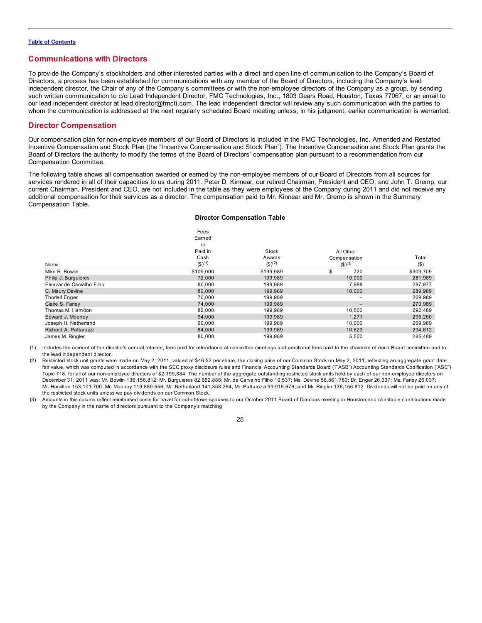# <span id="page-27-0"></span>**Communications with Directors**

To provide the Company's stockholders and other interested parties with a direct and open line of communication to the Company's Board of Directors, a process has been established for communications with any member of the Board of Directors, including the Company's lead independent director, the Chair of any of the Company's committees or with the non-employee directors of the Company as a group, by sending such written communication to c/o Lead Independent Director, FMC Technologies, Inc., 1803 Gears Road, Houston, Texas 77067, or an email to our lead independent director at lead.director@fmcti.com. The lead independent director will review any such communication with the parties to whom the communication is addressed at the next regularly scheduled Board meeting unless, in his judgment, earlier communication is warranted.

# **Director Compensation**

Our compensation plan for non-employee members of our Board of Directors is included in the FMC Technologies, Inc. Amended and Restated Incentive Compensation and Stock Plan (the "Incentive Compensation and Stock Plan"). The Incentive Compensation and Stock Plan grants the Board of Directors the authority to modify the terms of the Board of Directors' compensation plan pursuant to a recommendation from our Compensation Committee.

The following table shows all compensation awarded or earned by the non-employee members of our Board of Directors from all sources for services rendered in all of their capacities to us during 2011. Peter D. Kinnear, our retired Chairman, President and CEO, and John T. Gremp, our current Chairman, President and CEO, are not included in the table as they were employees of the Company during 2011 and did not receive any additional compensation for their services as a director. The compensation paid to Mr. Kinnear and Mr. Gremp is shown in the Summary Compensation Table.

#### **Director Compensation Table**

|                           | Fees<br>Eamed          |                        |                          |           |
|---------------------------|------------------------|------------------------|--------------------------|-----------|
|                           | or                     |                        |                          |           |
|                           | Paid in                | Stock                  | All Other                |           |
|                           | Cash                   | Awards                 | Compensation             | Total     |
| Name                      | $($ \$) <sup>(1)</sup> | $($ \$) <sup>(2)</sup> | $($ \$) <sup>(3)</sup>   | $($ \$)   |
| Mike R. Bowlin            | \$109,000              | \$199,989              | 720<br>æ                 | \$309,709 |
| Philip J. Burguieres      | 72,000                 | 199,989                | 10,000                   | 281,989   |
| Eleazar de Carvalho Filho | 80,000                 | 199,989                | 7,988                    | 287,977   |
| C. Maury Devine           | 80,000                 | 199,989                | 10,000                   | 289,989   |
| <b>Thorleif Enger</b>     | 70,000                 | 199,989                | $\overline{\phantom{m}}$ | 269,989   |
| Claire S. Farley          | 74,000                 | 199,989                | $\qquad \qquad -$        | 273,989   |
| Thomas M. Hamilton        | 82,000                 | 199,989                | 10,500                   | 292,489   |
| Edward J. Mooney          | 94,000                 | 199,989                | 1,271                    | 295,260   |
| Joseph H. Netherland      | 60,000                 | 199,989                | 10,000                   | 269,989   |
| Richard A. Pattarozzi     | 84,000                 | 199,989                | 10,623                   | 294,612   |
| James M. Ringler          | 80,000                 | 199,989                | 5,500                    | 285.489   |

(1) Includes the amount of the director's annual retainer, fees paid for attendance at committee meetings and additional fees paid to the chairman of each Board committee and to the lead independent director.

Restricted stock unit grants were made on May 2, 2011, valued at \$46.52 per share, the closing price of our Common Stock on May 2, 2011, reflecting an aggregate grant date fair value, which was computed in accordance with the SEC proxy disclosure rules and Financial Accounting Standards Board ("FASB") Accounting Standards Codification ("ASC") Topic 718, for all of our non-employee directors of \$2,199,884. The number of the aggregate outstanding restricted stock units held by each of our non-employee directors on December 31, 2011 was: Mr. Bowlin 136,156.812; Mr. Burguieres 82,652.888; Mr. de Carvalho Filho 10,537; Ms. Devine 56,861.780; Dr. Enger 26,037; Ms. Farley 26,037; Mr. Hamilton 153,101.700; Mr. Mooney 119,880.556; Mr. Netherland 141,358.254; Mr. Pattarozzi 99,915.676; and Mr. Ringler 136,156.812. Dividends will not be paid on any of the restricted stock units unless we pay dividends on our Common Stock.

<sup>(3)</sup> Amounts in this column reflect reimbursed costs for travel for out-of-town spouses to our October 2011 Board of Directors meeting in Houston and charitable contributions made by the Company in the name of directors pursuant to the Company's matching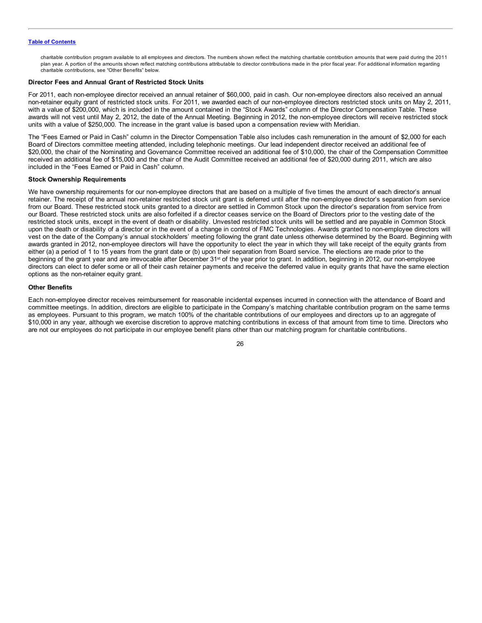charitable contribution program available to all employees and directors. The numbers shown reflect the matching charitable contribution amounts that were paid during the 2011 plan year. A portion of the amounts shown reflect matching contributions attributable to director contributions made in the prior fiscal year. For additional information regarding charitable contributions, see "Other Benefits" below.

### **Director Fees and Annual Grant of Restricted Stock Units**

For 2011, each non-employee director received an annual retainer of \$60,000, paid in cash. Our non-employee directors also received an annual non-retainer equity grant of restricted stock units. For 2011, we awarded each of our non-employee directors restricted stock units on May 2, 2011, with a value of \$200,000, which is included in the amount contained in the "Stock Awards" column of the Director Compensation Table. These awards will not vest until May 2, 2012, the date of the Annual Meeting. Beginning in 2012, the non-employee directors will receive restricted stock units with a value of \$250,000. The increase in the grant value is based upon a compensation review with Meridian.

The "Fees Earned or Paid in Cash" column in the Director Compensation Table also includes cash remuneration in the amount of \$2,000 for each Board of Directors committee meeting attended, including telephonic meetings. Our lead independent director received an additional fee of \$20,000, the chair of the Nominating and Governance Committee received an additional fee of \$10,000, the chair of the Compensation Committee received an additional fee of \$15,000 and the chair of the Audit Committee received an additional fee of \$20,000 during 2011, which are also included in the "Fees Earned or Paid in Cash" column.

### **Stock Ownership Requirements**

We have ownership requirements for our non-employee directors that are based on a multiple of five times the amount of each director's annual retainer. The receipt of the annual non-retainer restricted stock unit grant is deferred until after the non-employee director's separation from service from our Board. These restricted stock units granted to a director are settled in Common Stock upon the director's separation from service from our Board. These restricted stock units are also forfeited if a director ceases service on the Board of Directors prior to the vesting date of the restricted stock units, except in the event of death or disability. Unvested restricted stock units will be settled and are payable in Common Stock upon the death or disability of a director or in the event of a change in control of FMC Technologies. Awards granted to non-employee directors will vest on the date of the Company's annual stockholders' meeting following the grant date unless otherwise determined by the Board. Beginning with awards granted in 2012, non-employee directors will have the opportunity to elect the year in which they will take receipt of the equity grants from either (a) a period of 1 to 15 years from the grant date or (b) upon their separation from Board service. The elections are made prior to the beginning of the grant year and are irrevocable after December 31st of the year prior to grant. In addition, beginning in 2012, our non-employee directors can elect to defer some or all of their cash retainer payments and receive the deferred value in equity grants that have the same election options as the non-retainer equity grant.

### **Other Benefits**

Each non-employee director receives reimbursement for reasonable incidental expenses incurred in connection with the attendance of Board and committee meetings. In addition, directors are eligible to participate in the Company's matching charitable contribution program on the same terms as employees. Pursuant to this program, we match 100% of the charitable contributions of our employees and directors up to an aggregate of \$10,000 in any year, although we exercise discretion to approve matching contributions in excess of that amount from time to time. Directors who are not our employees do not participate in our employee benefit plans other than our matching program for charitable contributions.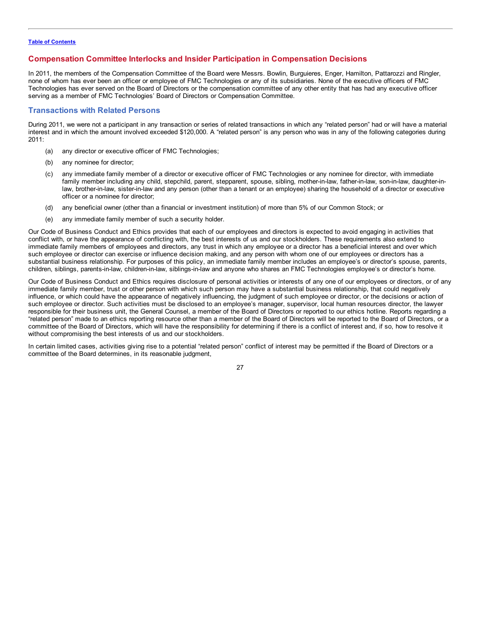# <span id="page-29-0"></span>**Compensation Committee Interlocks and Insider Participation in Compensation Decisions**

In 2011, the members of the Compensation Committee of the Board were Messrs. Bowlin, Burguieres, Enger, Hamilton, Pattarozzi and Ringler, none of whom has ever been an officer or employee of FMC Technologies or any of its subsidiaries. None of the executive officers of FMC Technologies has ever served on the Board of Directors or the compensation committee of any other entity that has had any executive officer serving as a member of FMC Technologies' Board of Directors or Compensation Committee.

# **Transactions with Related Persons**

During 2011, we were not a participant in any transaction or series of related transactions in which any "related person" had or will have a material interest and in which the amount involved exceeded \$120,000. A "related person" is any person who was in any of the following categories during 2011:

- (a) any director or executive officer of FMC Technologies;
- (b) any nominee for director;
- (c) any immediate family member of a director or executive officer of FMC Technologies or any nominee for director, with immediate family member including any child, stepchild, parent, stepparent, spouse, sibling, mother-in-law, father-in-law, son-in-law, daughter-inlaw, brother-in-law, sister-in-law and any person (other than a tenant or an employee) sharing the household of a director or executive officer or a nominee for director;
- (d) any beneficial owner (other than a financial or investment institution) of more than 5% of our Common Stock; or
- (e) any immediate family member of such a security holder.

Our Code of Business Conduct and Ethics provides that each of our employees and directors is expected to avoid engaging in activities that conflict with, or have the appearance of conflicting with, the best interests of us and our stockholders. These requirements also extend to immediate family members of employees and directors, any trust in which any employee or a director has a beneficial interest and over which such employee or director can exercise or influence decision making, and any person with whom one of our employees or directors has a substantial business relationship. For purposes of this policy, an immediate family member includes an employee's or director's spouse, parents, children, siblings, parents-in-law, children-in-law, siblings-in-law and anyone who shares an FMC Technologies employee's or director's home.

Our Code of Business Conduct and Ethics requires disclosure of personal activities or interests of any one of our employees or directors, or of any immediate family member, trust or other person with which such person may have a substantial business relationship, that could negatively influence, or which could have the appearance of negatively influencing, the judgment of such employee or director, or the decisions or action of such employee or director. Such activities must be disclosed to an employee's manager, supervisor, local human resources director, the lawyer responsible for their business unit, the General Counsel, a member of the Board of Directors or reported to our ethics hotline. Reports regarding a "related person" made to an ethics reporting resource other than a member of the Board of Directors will be reported to the Board of Directors, or a committee of the Board of Directors, which will have the responsibility for determining if there is a conflict of interest and, if so, how to resolve it without compromising the best interests of us and our stockholders.

In certain limited cases, activities giving rise to a potential "related person" conflict of interest may be permitted if the Board of Directors or a committee of the Board determines, in its reasonable judgment,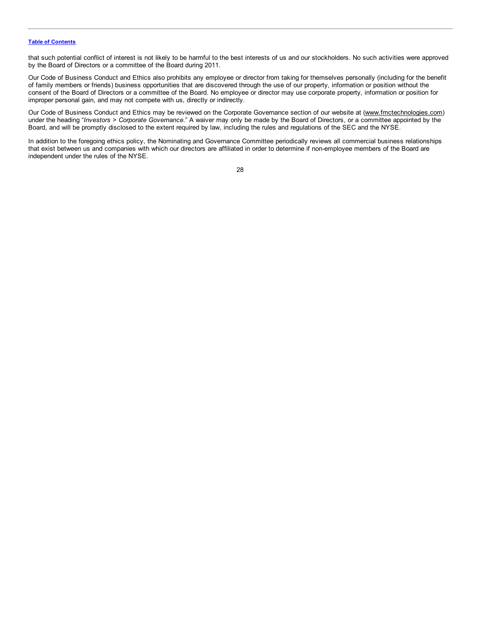that such potential conflict of interest is not likely to be harmful to the best interests of us and our stockholders. No such activities were approved by the Board of Directors or a committee of the Board during 2011.

Our Code of Business Conduct and Ethics also prohibits any employee or director from taking for themselves personally (including for the benefit of family members or friends) business opportunities that are discovered through the use of our property, information or position without the consent of the Board of Directors or a committee of the Board. No employee or director may use corporate property, information or position for improper personal gain, and may not compete with us, directly or indirectly.

Our Code of Business Conduct and Ethics may be reviewed on the Corporate Governance section of our website at (www.fmctechnologies.com) under the heading "*Investors > Corporate Governance*." A waiver may only be made by the Board of Directors, or a committee appointed by the Board, and will be promptly disclosed to the extent required by law, including the rules and regulations of the SEC and the NYSE.

In addition to the foregoing ethics policy, the Nominating and Governance Committee periodically reviews all commercial business relationships that exist between us and companies with which our directors are affiliated in order to determine if non-employee members of the Board are independent under the rules of the NYSE.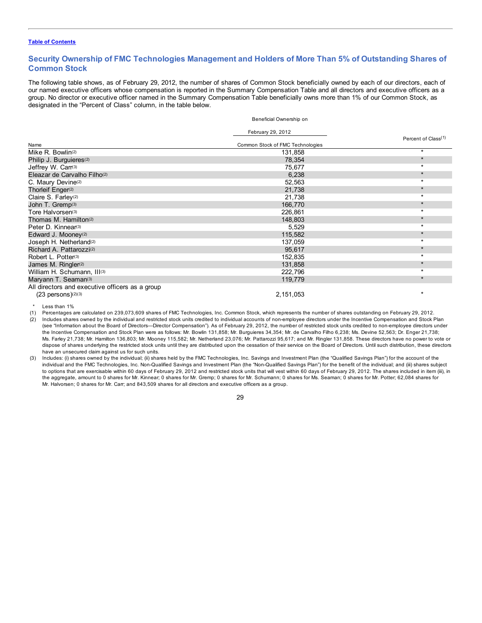# <span id="page-31-0"></span>**Security Ownership of FMC Technologies Management and Holders of More Than 5% of Outstanding Shares of Common Stock**

The following table shows, as of February 29, 2012, the number of shares of Common Stock beneficially owned by each of our directors, each of our named executive officers whose compensation is reported in the Summary Compensation Table and all directors and executive officers as a group. No director or executive officer named in the Summary Compensation Table beneficially owns more than 1% of our Common Stock, as designated in the "Percent of Class" column, in the table below.

Beneficial Ownership on

|                                                 | February 29, 2012                |                                 |
|-------------------------------------------------|----------------------------------|---------------------------------|
| Name                                            | Common Stock of FMC Technologies | Percent of Class <sup>(1)</sup> |
| Mike R. Bowlin(2)                               |                                  | $\star$                         |
|                                                 | 131,858                          | $\star$                         |
| Philip J. Burguieres <sup>(2)</sup>             | 78,354                           |                                 |
| Jeffrey W. Carr(3)                              | 75,677                           | $\star$                         |
| Eleazar de Carvalho Filho(2)                    | 6,238                            | $\star$                         |
| C. Maury Devine <sup>(2)</sup>                  | 52,563                           | $\star$                         |
| Thorleif Enger <sup>(2)</sup>                   | 21,738                           | $\star$                         |
| Claire S. Farley <sup>(2)</sup>                 | 21,738                           | $\star$                         |
| John T. Gremp(3)                                | 166,770                          | $\star$                         |
| Tore Halvorsen <sup>(3)</sup>                   | 226,861                          | $\star$                         |
| Thomas M. Hamilton <sup>(2)</sup>               | 148,803                          | $\star$                         |
| Peter D. Kinnear <sup>(3)</sup>                 | 5,529                            | $\star$                         |
| Edward J. Mooney <sup>(2)</sup>                 | 115,582                          | $\star$                         |
| Joseph H. Netherland <sup>(2)</sup>             | 137,059                          | $\star$                         |
| Richard A. Pattarozzi <sup>(2)</sup>            | 95,617                           | $\star$                         |
| Robert L. Potter <sup>(3)</sup>                 | 152,835                          | $\star$                         |
| James M. Ringler(2)                             | 131,858                          | $\star$                         |
| William H. Schumann, III(3)                     | 222,796                          | $\star$                         |
| Maryann T. Seaman <sup>(3)</sup>                | 119,779                          | $\star$                         |
| All directors and executive officers as a group |                                  |                                 |
| $(23$ persons $)(2)(3)$                         | 2, 151, 053                      | $\star$                         |
| Less than 1%                                    |                                  |                                 |

(1) Percentages are calculated on 239,073,609 shares of FMC Technologies, Inc. Common Stock, which represents the number of shares outstanding on February 29, 2012.

(2) Includes shares owned by the individual and restricted stock units credited to individual accounts of non-employee directors under the Incentive Compensation and Stock Plan (see "Information about the Board of Directors—Director Compensation"). As of February 29, 2012, the number of restricted stock units credited to non-employee directors under the Incentive Compensation and Stock Plan were as follows: Mr. Bowlin 131,858; Mr. Burguieres 34,354; Mr. de Carvalho Filho 6,238; Ms. Devine 52,563; Dr. Enger 21,738; Ms. Farley 21,738; Mr. Hamilton 136,803; Mr. Mooney 115,582; Mr. Netherland 23,076; Mr. Pattarozzi 95,617; and Mr. Ringler 131,858. These directors have no power to vote or dispose of shares underlying the restricted stock units until they are distributed upon the cessation of their service on the Board of Directors. Until such distribution, these directors have an unsecured claim against us for such units.

(3) Includes: (i) shares owned by the individual; (ii) shares held by the FMC Technologies, Inc. Savings and Investment Plan (the "Qualified Savings Plan") for the account of the individual and the FMC Technologies, Inc. Non-Qualified Savings and Investment Plan (the "Non-Qualified Savings Plan") for the benefit of the individual; and (iii) shares subject to options that are exercisable within 60 days of February 29, 2012 and restricted stock units that will vest within 60 days of February 29, 2012. The shares included in item (iii), in the aggregate, amount to 0 shares for Mr. Kinnear; 0 shares for Mr. Gremp; 0 shares for Mr. Schumann; 0 shares for Ms. Seaman; 0 shares for Mr. Potter; 62,084 shares for Mr. Halvorsen; 0 shares for Mr. Carr; and 843,509 shares for all directors and executive officers as a group.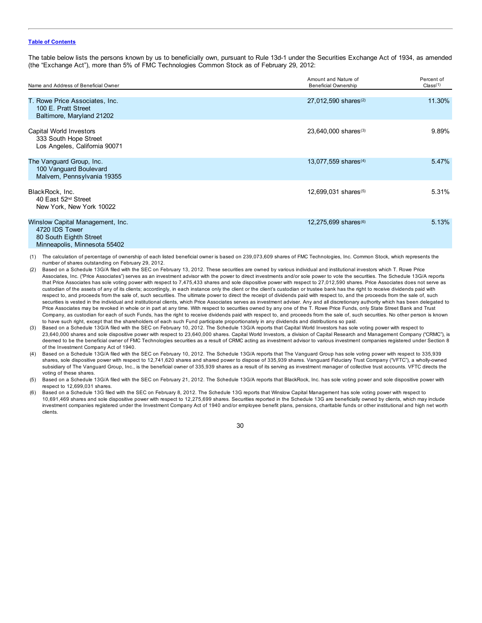The table below lists the persons known by us to beneficially own, pursuant to Rule 13d-1 under the Securities Exchange Act of 1934, as amended (the "Exchange Act"), more than 5% of FMC Technologies Common Stock as of February 29, 2012:

| Name and Address of Beneficial Owner                                                                         | Amount and Nature of<br><b>Beneficial Ownership</b> | Percent of<br>Class <sup>(1)</sup> |
|--------------------------------------------------------------------------------------------------------------|-----------------------------------------------------|------------------------------------|
| T. Rowe Price Associates, Inc.<br>100 E. Pratt Street<br>Baltimore, Maryland 21202                           | 27,012,590 shares <sup>(2)</sup>                    | 11.30%                             |
| Capital World Investors<br>333 South Hope Street<br>Los Angeles, California 90071                            | 23,640,000 shares <sup>(3)</sup>                    | 9.89%                              |
| The Vanguard Group, Inc.<br>100 Vanguard Boulevard<br>Malvern, Pennsylvania 19355                            | 13,077,559 shares <sup>(4)</sup>                    | 5.47%                              |
| BlackRock, Inc.<br>40 East 52 <sup>nd</sup> Street<br>New York, New York 10022                               | 12,699,031 shares <sup>(5)</sup>                    | 5.31%                              |
| Winslow Capital Management, Inc.<br>4720 IDS Tower<br>80 South Eighth Street<br>Minneapolis, Minnesota 55402 | 12,275,699 shares <sup>(6)</sup>                    | 5.13%                              |

(1) The calculation of percentage of ownership of each listed beneficial owner is based on 239,073,609 shares of FMC Technologies, Inc. Common Stock, which represents the number of shares outstanding on February 29, 2012.

- Based on a Schedule 13G/A filed with the SEC on February 13, 2012. These securities are owned by various individual and institutional investors which T. Rowe Price Associates, Inc. ("Price Associates") serves as an investment advisor with the power to direct investments and/or sole power to vote the securities. The Schedule 13G/A reports that Price Associates has sole voting power with respect to 7,475,433 shares and sole dispositive power with respect to 27,012,590 shares. Price Associates does not serve as custodian of the assets of any of its clients; accordingly, in each instance only the client or the client's custodian or trustee bank has the right to receive dividends paid with respect to, and proceeds from the sale of, such securities. The ultimate power to direct the receipt of dividends paid with respect to, and the proceeds from the sale of, such securities is vested in the individual and institutional clients, which Price Associates serves as investment adviser. Any and all discretionary authority which has been delegated to Price Associates may be revoked in whole or in part at any time. With respect to securities owned by any one of the T. Rowe Price Funds, only State Street Bank and Trust Company, as custodian for each of such Funds, has the right to receive dividends paid with respect to, and proceeds from the sale of, such securities. No other person is known to have such right, except that the shareholders of each such Fund participate proportionately in any dividends and distributions so paid.
- Based on a Schedule 13G/A filed with the SEC on February 10, 2012. The Schedule 13G/A reports that Capital World Investors has sole voting power with respect to 23,640,000 shares and sole dispositive power with respect to 23,640,000 shares. Capital World Investors, a division of Capital Research and Management Company ("CRMC"), is deemed to be the beneficial owner of FMC Technologies securities as a result of CRMC acting as investment advisor to various investment companies registered under Section 8 of the Investment Company Act of 1940.
- (4) Based on a Schedule 13G/A filed with the SEC on February 10, 2012. The Schedule 13G/A reports that The Vanguard Group has sole voting power with respect to 335,939 shares, sole dispositive power with respect to 12,741,620 shares and shared power to dispose of 335,939 shares. Vanguard Fiduciary Trust Company ("VFTC"), a wholly-owned subsidiary of The Vanguard Group, Inc., is the beneficial owner of 335,939 shares as a result of its serving as investment manager of collective trust accounts. VFTC directs the voting of these shares.
- (5) Based on a Schedule 13G/A filed with the SEC on February 21, 2012. The Schedule 13G/A reports that BlackRock, Inc. has sole voting power and sole dispositive power with respect to 12,699,031 shares.
- (6) Based on a Schedule 13G filed with the SEC on February 8, 2012. The Schedule 13G reports that Winslow Capital Management has sole voting power with respect to 10,691,469 shares and sole dispositive power with respect to 12,275,699 shares. Securities reported in the Schedule 13G are beneficially owned by clients, which may include investment companies registered under the Investment Company Act of 1940 and/or employee benefit plans, pensions, charitable funds or other institutional and high net worth clients.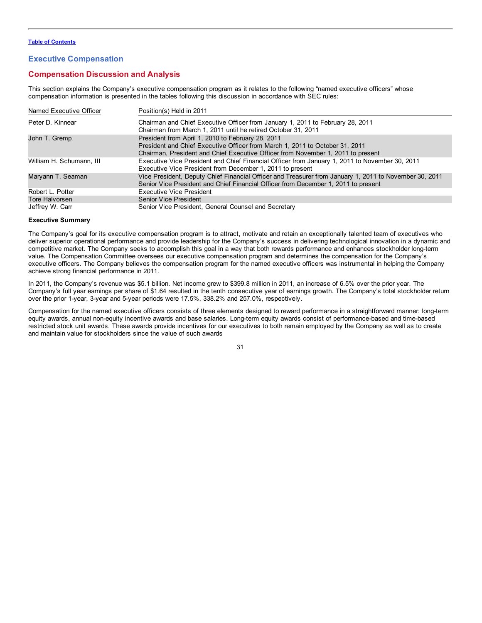# <span id="page-33-0"></span>**Executive Compensation**

# **Compensation Discussion and Analysis**

This section explains the Company's executive compensation program as it relates to the following "named executive officers" whose compensation information is presented in the tables following this discussion in accordance with SEC rules:

| Named Executive Officer  | Position(s) Held in 2011                                                                                                                                                                                              |
|--------------------------|-----------------------------------------------------------------------------------------------------------------------------------------------------------------------------------------------------------------------|
| Peter D. Kinnear         | Chairman and Chief Executive Officer from January 1, 2011 to February 28, 2011<br>Chairman from March 1, 2011 until he retired October 31, 2011                                                                       |
| John T. Gremp            | President from April 1, 2010 to February 28, 2011<br>President and Chief Executive Officer from March 1, 2011 to October 31, 2011<br>Chairman, President and Chief Executive Officer from November 1, 2011 to present |
| William H. Schumann, III | Executive Vice President and Chief Financial Officer from January 1, 2011 to November 30, 2011<br>Executive Vice President from December 1, 2011 to present                                                           |
| Maryann T. Seaman        | Vice President, Deputy Chief Financial Officer and Treasurer from January 1, 2011 to November 30, 2011<br>Senior Vice President and Chief Financial Officer from December 1, 2011 to present                          |
| Robert L. Potter         | <b>Executive Vice President</b>                                                                                                                                                                                       |
| Tore Halvorsen           | <b>Senior Vice President</b>                                                                                                                                                                                          |
| Jeffrey W. Carr          | Senior Vice President, General Counsel and Secretary                                                                                                                                                                  |

### **Executive Summary**

The Company's goal for its executive compensation program is to attract, motivate and retain an exceptionally talented team of executives who deliver superior operational performance and provide leadership for the Company's success in delivering technological innovation in a dynamic and competitive market. The Company seeks to accomplish this goal in a way that both rewards performance and enhances stockholder long-term value. The Compensation Committee oversees our executive compensation program and determines the compensation for the Company's executive officers. The Company believes the compensation program for the named executive officers was instrumental in helping the Company achieve strong financial performance in 2011.

In 2011, the Company's revenue was \$5.1 billion. Net income grew to \$399.8 million in 2011, an increase of 6.5% over the prior year. The Company's full year earnings per share of \$1.64 resulted in the tenth consecutive year of earnings growth. The Company's total stockholder return over the prior 1-year, 3-year and 5-year periods were 17.5%, 338.2% and 257.0%, respectively.

Compensation for the named executive officers consists of three elements designed to reward performance in a straightforward manner: long-term equity awards, annual non-equity incentive awards and base salaries. Long-term equity awards consist of performance-based and time-based restricted stock unit awards. These awards provide incentives for our executives to both remain employed by the Company as well as to create and maintain value for stockholders since the value of such awards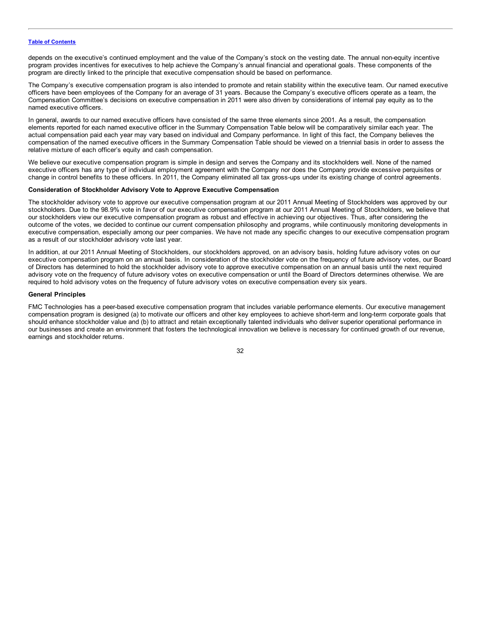depends on the executive's continued employment and the value of the Company's stock on the vesting date. The annual non-equity incentive program provides incentives for executives to help achieve the Company's annual financial and operational goals. These components of the program are directly linked to the principle that executive compensation should be based on performance.

The Company's executive compensation program is also intended to promote and retain stability within the executive team. Our named executive officers have been employees of the Company for an average of 31 years. Because the Company's executive officers operate as a team, the Compensation Committee's decisions on executive compensation in 2011 were also driven by considerations of internal pay equity as to the named executive officers.

In general, awards to our named executive officers have consisted of the same three elements since 2001. As a result, the compensation elements reported for each named executive officer in the Summary Compensation Table below will be comparatively similar each year. The actual compensation paid each year may vary based on individual and Company performance. In light of this fact, the Company believes the compensation of the named executive officers in the Summary Compensation Table should be viewed on a triennial basis in order to assess the relative mixture of each officer's equity and cash compensation.

We believe our executive compensation program is simple in design and serves the Company and its stockholders well. None of the named executive officers has any type of individual employment agreement with the Company nor does the Company provide excessive perquisites or change in control benefits to these officers. In 2011, the Company eliminated all tax gross-ups under its existing change of control agreements.

# **Consideration of Stockholder Advisory Vote to Approve Executive Compensation**

The stockholder advisory vote to approve our executive compensation program at our 2011 Annual Meeting of Stockholders was approved by our stockholders. Due to the 98.9% vote in favor of our executive compensation program at our 2011 Annual Meeting of Stockholders, we believe that our stockholders view our executive compensation program as robust and effective in achieving our objectives. Thus, after considering the outcome of the votes, we decided to continue our current compensation philosophy and programs, while continuously monitoring developments in executive compensation, especially among our peer companies. We have not made any specific changes to our executive compensation program as a result of our stockholder advisory vote last year.

In addition, at our 2011 Annual Meeting of Stockholders, our stockholders approved, on an advisory basis, holding future advisory votes on our executive compensation program on an annual basis. In consideration of the stockholder vote on the frequency of future advisory votes, our Board of Directors has determined to hold the stockholder advisory vote to approve executive compensation on an annual basis until the next required advisory vote on the frequency of future advisory votes on executive compensation or until the Board of Directors determines otherwise. We are required to hold advisory votes on the frequency of future advisory votes on executive compensation every six years.

### **General Principles**

FMC Technologies has a peer-based executive compensation program that includes variable performance elements. Our executive management compensation program is designed (a) to motivate our officers and other key employees to achieve short-term and long-term corporate goals that should enhance stockholder value and (b) to attract and retain exceptionally talented individuals who deliver superior operational performance in our businesses and create an environment that fosters the technological innovation we believe is necessary for continued growth of our revenue, earnings and stockholder returns.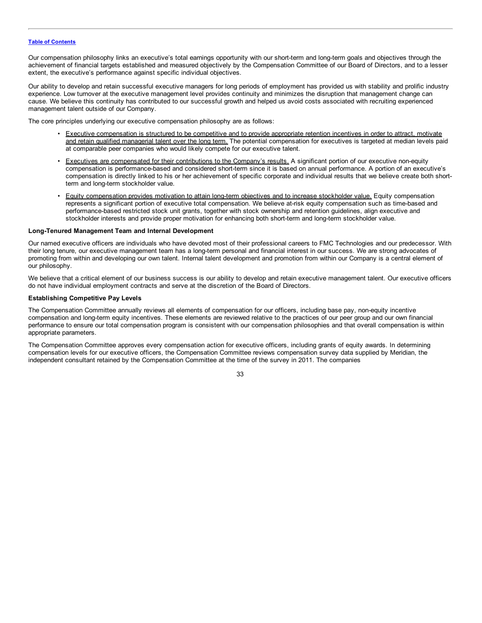Our compensation philosophy links an executive's total earnings opportunity with our short-term and long-term goals and objectives through the achievement of financial targets established and measured objectively by the Compensation Committee of our Board of Directors, and to a lesser extent, the executive's performance against specific individual objectives.

Our ability to develop and retain successful executive managers for long periods of employment has provided us with stability and prolific industry experience. Low turnover at the executive management level provides continuity and minimizes the disruption that management change can cause. We believe this continuity has contributed to our successful growth and helped us avoid costs associated with recruiting experienced management talent outside of our Company.

The core principles underlying our executive compensation philosophy are as follows:

- Executive compensation is structured to be competitive and to provide appropriate retention incentives in order to attract, motivate and retain qualified managerial talent over the long term. The potential compensation for executives is targeted at median levels paid at comparable peer companies who would likely compete for our executive talent.
- Executives are compensated for their contributions to the Company's results. A significant portion of our executive non-equity compensation is performance-based and considered short-term since it is based on annual performance. A portion of an executive's compensation is directly linked to his or her achievement of specific corporate and individual results that we believe create both shortterm and long-term stockholder value.
- Equity compensation provides motivation to attain long-term objectives and to increase stockholder value. Equity compensation represents a significant portion of executive total compensation. We believe at-risk equity compensation such as time-based and performance-based restricted stock unit grants, together with stock ownership and retention guidelines, align executive and stockholder interests and provide proper motivation for enhancing both short-term and long-term stockholder value.

### **Long-Tenured Management Team and Internal Development**

Our named executive officers are individuals who have devoted most of their professional careers to FMC Technologies and our predecessor. With their long tenure, our executive management team has a long-term personal and financial interest in our success. We are strong advocates of promoting from within and developing our own talent. Internal talent development and promotion from within our Company is a central element of our philosophy.

We believe that a critical element of our business success is our ability to develop and retain executive management talent. Our executive officers do not have individual employment contracts and serve at the discretion of the Board of Directors.

### **Establishing Competitive Pay Levels**

The Compensation Committee annually reviews all elements of compensation for our officers, including base pay, non-equity incentive compensation and long-term equity incentives. These elements are reviewed relative to the practices of our peer group and our own financial performance to ensure our total compensation program is consistent with our compensation philosophies and that overall compensation is within appropriate parameters.

The Compensation Committee approves every compensation action for executive officers, including grants of equity awards. In determining compensation levels for our executive officers, the Compensation Committee reviews compensation survey data supplied by Meridian, the independent consultant retained by the Compensation Committee at the time of the survey in 2011. The companies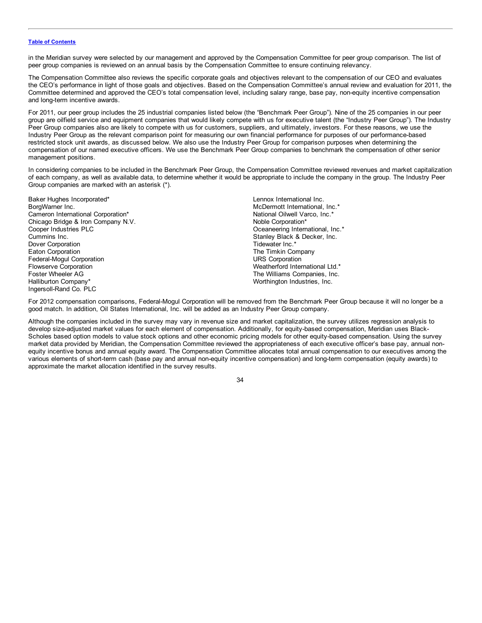in the Meridian survey were selected by our management and approved by the Compensation Committee for peer group comparison. The list of peer group companies is reviewed on an annual basis by the Compensation Committee to ensure continuing relevancy.

The Compensation Committee also reviews the specific corporate goals and objectives relevant to the compensation of our CEO and evaluates the CEO's performance in light of those goals and objectives. Based on the Compensation Committee's annual review and evaluation for 2011, the Committee determined and approved the CEO's total compensation level, including salary range, base pay, non-equity incentive compensation and long-term incentive awards.

For 2011, our peer group includes the 25 industrial companies listed below (the "Benchmark Peer Group"). Nine of the 25 companies in our peer group are oilfield service and equipment companies that would likely compete with us for executive talent (the "Industry Peer Group"). The Industry Peer Group companies also are likely to compete with us for customers, suppliers, and ultimately, investors. For these reasons, we use the Industry Peer Group as the relevant comparison point for measuring our own financial performance for purposes of our performance-based restricted stock unit awards, as discussed below. We also use the Industry Peer Group for comparison purposes when determining the compensation of our named executive officers. We use the Benchmark Peer Group companies to benchmark the compensation of other senior management positions.

In considering companies to be included in the Benchmark Peer Group, the Compensation Committee reviewed revenues and market capitalization of each company, as well as available data, to determine whether it would be appropriate to include the company in the group. The Industry Peer Group companies are marked with an asterisk (\*).

| Baker Hughes Incorporated*         |
|------------------------------------|
| BorgWarner Inc.                    |
| Cameron International Corporation* |
| Chicago Bridge & Iron Company N.V. |
| Cooper Industries PLC              |
| Cummins Inc.                       |
| Dover Corporation                  |
| <b>Eaton Corporation</b>           |
| Federal-Mogul Corporation          |
| <b>Flowserve Corporation</b>       |
| Foster Wheeler AG                  |
| Halliburton Company*               |
| Ingersoll-Rand Co. PLC             |

Lennox International Inc. McDermott International, Inc.\* National Oilwell Varco, Inc.\* Noble Corporation\* Oceaneering International, Inc.\* Stanley Black & Decker, Inc. Tidewater Inc.\* The Timkin Company URS Corporation Weatherford International Ltd.\* The Williams Companies, Inc. Worthington Industries, Inc.

For 2012 compensation comparisons, Federal-Mogul Corporation will be removed from the Benchmark Peer Group because it will no longer be a good match. In addition, Oil States International, Inc. will be added as an Industry Peer Group company.

Although the companies included in the survey may vary in revenue size and market capitalization, the survey utilizes regression analysis to develop size-adjusted market values for each element of compensation. Additionally, for equity-based compensation, Meridian uses Black-Scholes based option models to value stock options and other economic pricing models for other equity-based compensation. Using the survey market data provided by Meridian, the Compensation Committee reviewed the appropriateness of each executive officer's base pay, annual nonequity incentive bonus and annual equity award. The Compensation Committee allocates total annual compensation to our executives among the various elements of short-term cash (base pay and annual non-equity incentive compensation) and long-term compensation (equity awards) to approximate the market allocation identified in the survey results.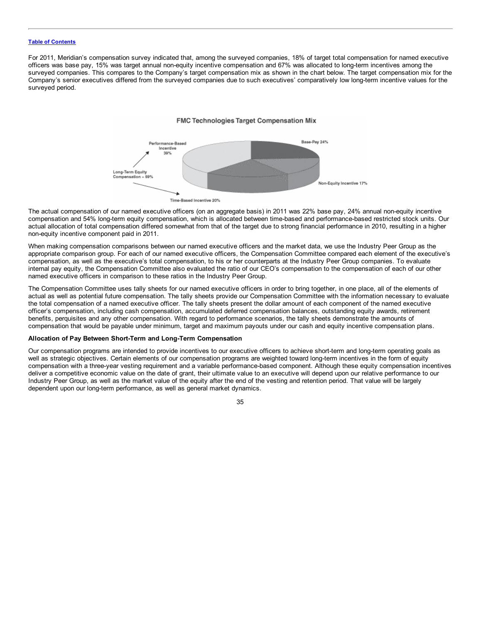For 2011, Meridian's compensation survey indicated that, among the surveyed companies, 18% of target total compensation for named executive officers was base pay, 15% was target annual non-equity incentive compensation and 67% was allocated to long-term incentives among the surveyed companies. This compares to the Company's target compensation mix as shown in the chart below. The target compensation mix for the Company's senior executives differed from the surveyed companies due to such executives' comparatively low long-term incentive values for the surveyed period.

## FMC Technologies Target Compensation Mix



The actual compensation of our named executive officers (on an aggregate basis) in 2011 was 22% base pay, 24% annual non-equity incentive compensation and 54% long-term equity compensation, which is allocated between time-based and performance-based restricted stock units. Our actual allocation of total compensation differed somewhat from that of the target due to strong financial performance in 2010, resulting in a higher non-equity incentive component paid in 2011.

When making compensation comparisons between our named executive officers and the market data, we use the Industry Peer Group as the appropriate comparison group. For each of our named executive officers, the Compensation Committee compared each element of the executive's compensation, as well as the executive's total compensation, to his or her counterparts at the Industry Peer Group companies. To evaluate internal pay equity, the Compensation Committee also evaluated the ratio of our CEO's compensation to the compensation of each of our other named executive officers in comparison to these ratios in the Industry Peer Group.

The Compensation Committee uses tally sheets for our named executive officers in order to bring together, in one place, all of the elements of actual as well as potential future compensation. The tally sheets provide our Compensation Committee with the information necessary to evaluate the total compensation of a named executive officer. The tally sheets present the dollar amount of each component of the named executive officer's compensation, including cash compensation, accumulated deferred compensation balances, outstanding equity awards, retirement benefits, perquisites and any other compensation. With regard to performance scenarios, the tally sheets demonstrate the amounts of compensation that would be payable under minimum, target and maximum payouts under our cash and equity incentive compensation plans.

## **Allocation of Pay Between Short-Term and Long-Term Compensation**

Our compensation programs are intended to provide incentives to our executive officers to achieve short-term and long-term operating goals as well as strategic objectives. Certain elements of our compensation programs are weighted toward long-term incentives in the form of equity compensation with a three-year vesting requirement and a variable performance-based component. Although these equity compensation incentives deliver a competitive economic value on the date of grant, their ultimate value to an executive will depend upon our relative performance to our Industry Peer Group, as well as the market value of the equity after the end of the vesting and retention period. That value will be largely dependent upon our long-term performance, as well as general market dynamics.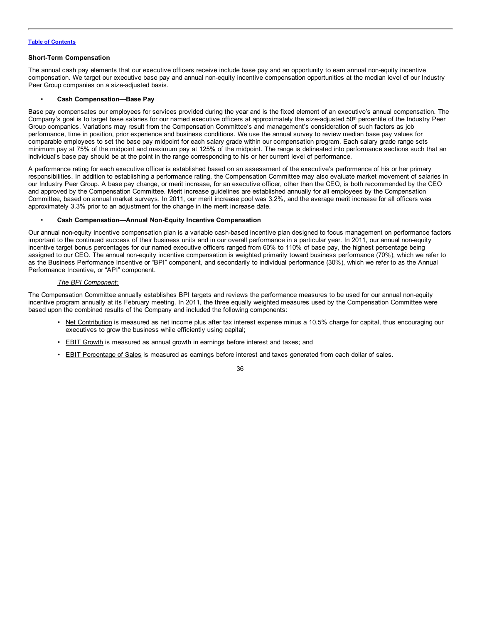## **Short-Term Compensation**

The annual cash pay elements that our executive officers receive include base pay and an opportunity to earn annual non-equity incentive compensation. We target our executive base pay and annual non-equity incentive compensation opportunities at the median level of our Industry Peer Group companies on a size-adjusted basis.

## • **Cash Compensation—Base Pay**

Base pay compensates our employees for services provided during the year and is the fixed element of an executive's annual compensation. The Company's goal is to target base salaries for our named executive officers at approximately the size-adjusted 50<sup>th</sup> percentile of the Industry Peer Group companies. Variations may result from the Compensation Committee's and management's consideration of such factors as job performance, time in position, prior experience and business conditions. We use the annual survey to review median base pay values for comparable employees to set the base pay midpoint for each salary grade within our compensation program. Each salary grade range sets minimum pay at 75% of the midpoint and maximum pay at 125% of the midpoint. The range is delineated into performance sections such that an individual's base pay should be at the point in the range corresponding to his or her current level of performance.

A performance rating for each executive officer is established based on an assessment of the executive's performance of his or her primary responsibilities. In addition to establishing a performance rating, the Compensation Committee may also evaluate market movement of salaries in our Industry Peer Group. A base pay change, or merit increase, for an executive officer, other than the CEO, is both recommended by the CEO and approved by the Compensation Committee. Merit increase guidelines are established annually for all employees by the Compensation Committee, based on annual market surveys. In 2011, our merit increase pool was 3.2%, and the average merit increase for all officers was approximately 3.3% prior to an adjustment for the change in the merit increase date.

## • **Cash Compensation—Annual Non-Equity Incentive Compensation**

Our annual non-equity incentive compensation plan is a variable cash-based incentive plan designed to focus management on performance factors important to the continued success of their business units and in our overall performance in a particular year. In 2011, our annual non-equity incentive target bonus percentages for our named executive officers ranged from 60% to 110% of base pay, the highest percentage being assigned to our CEO. The annual non-equity incentive compensation is weighted primarily toward business performance (70%), which we refer to as the Business Performance Incentive or "BPI" component, and secondarily to individual performance (30%), which we refer to as the Annual Performance Incentive, or "API" component.

## *The BPI Component:*

The Compensation Committee annually establishes BPI targets and reviews the performance measures to be used for our annual non-equity incentive program annually at its February meeting. In 2011, the three equally weighted measures used by the Compensation Committee were based upon the combined results of the Company and included the following components:

- Net Contribution is measured as net income plus after tax interest expense minus a 10.5% charge for capital, thus encouraging our executives to grow the business while efficiently using capital;
- EBIT Growth is measured as annual growth in earnings before interest and taxes; and
- EBIT Percentage of Sales is measured as earnings before interest and taxes generated from each dollar of sales.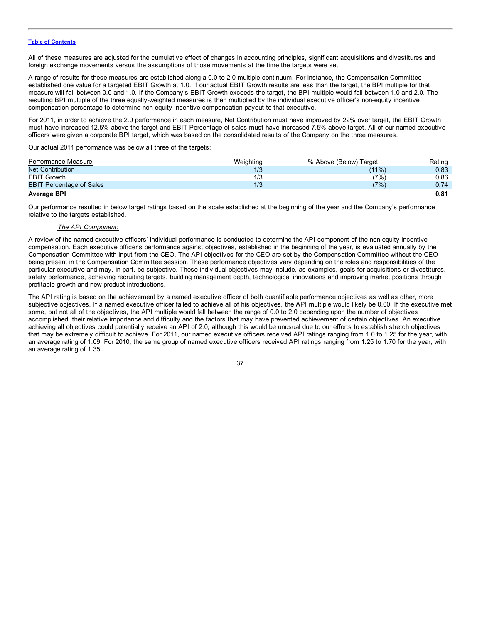All of these measures are adjusted for the cumulative effect of changes in accounting principles, significant acquisitions and divestitures and foreign exchange movements versus the assumptions of those movements at the time the targets were set.

A range of results for these measures are established along a 0.0 to 2.0 multiple continuum. For instance, the Compensation Committee established one value for a targeted EBIT Growth at 1.0. If our actual EBIT Growth results are less than the target, the BPI multiple for that measure will fall between 0.0 and 1.0. If the Company's EBIT Growth exceeds the target, the BPI multiple would fall between 1.0 and 2.0. The resulting BPI multiple of the three equally-weighted measures is then multiplied by the individual executive officer's non-equity incentive compensation percentage to determine non-equity incentive compensation payout to that executive.

For 2011, in order to achieve the 2.0 performance in each measure, Net Contribution must have improved by 22% over target, the EBIT Growth must have increased 12.5% above the target and EBIT Percentage of sales must have increased 7.5% above target. All of our named executive officers were given a corporate BPI target, which was based on the consolidated results of the Company on the three measures.

Our actual 2011 performance was below all three of the targets:

| Performance Measure             | Weighting | % Above (Below) Target | Rating |
|---------------------------------|-----------|------------------------|--------|
| <b>Net Contribution</b>         |           | $(11\%)$               | 0.83   |
| <b>EBIT Growth</b>              | 1/3       | (7%)                   | 0.86   |
| <b>EBIT Percentage of Sales</b> | 1/3       | (7%)                   | 0.74   |
| <b>Average BPI</b>              |           |                        | 0.81   |

Our performance resulted in below target ratings based on the scale established at the beginning of the year and the Company's performance relative to the targets established.

## *The API Component:*

A review of the named executive officers' individual performance is conducted to determine the API component of the non-equity incentive compensation. Each executive officer's performance against objectives, established in the beginning of the year, is evaluated annually by the Compensation Committee with input from the CEO. The API objectives for the CEO are set by the Compensation Committee without the CEO being present in the Compensation Committee session. These performance objectives vary depending on the roles and responsibilities of the particular executive and may, in part, be subjective. These individual objectives may include, as examples, goals for acquisitions or divestitures, safety performance, achieving recruiting targets, building management depth, technological innovations and improving market positions through profitable growth and new product introductions.

The API rating is based on the achievement by a named executive officer of both quantifiable performance objectives as well as other, more subjective objectives. If a named executive officer failed to achieve all of his objectives, the API multiple would likely be 0.00. If the executive met some, but not all of the objectives, the API multiple would fall between the range of 0.0 to 2.0 depending upon the number of objectives accomplished, their relative importance and difficulty and the factors that may have prevented achievement of certain objectives. An executive achieving all objectives could potentially receive an API of 2.0, although this would be unusual due to our efforts to establish stretch objectives that may be extremely difficult to achieve. For 2011, our named executive officers received API ratings ranging from 1.0 to 1.25 for the year, with an average rating of 1.09. For 2010, the same group of named executive officers received API ratings ranging from 1.25 to 1.70 for the year, with an average rating of 1.35.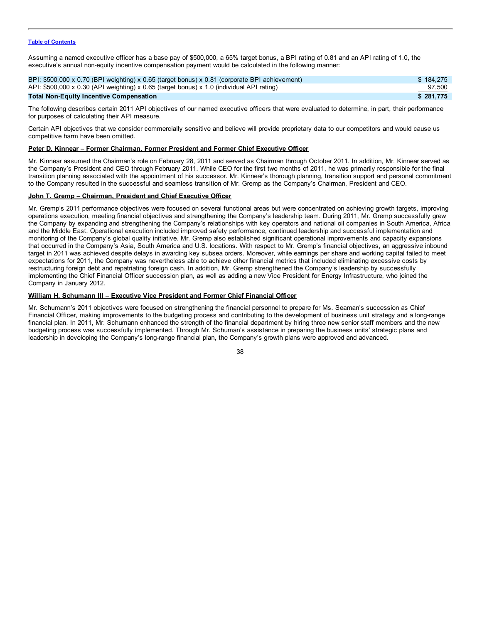Assuming a named executive officer has a base pay of \$500,000, a 65% target bonus, a BPI rating of 0.81 and an API rating of 1.0, the executive's annual non-equity incentive compensation payment would be calculated in the following manner:

| BPI: \$500,000 x 0.70 (BPI weighting) x 0.65 (target bonus) x 0.81 (corporate BPI achievement) | \$184.275 |
|------------------------------------------------------------------------------------------------|-----------|
| API: \$500,000 x 0.30 (API weighting) x 0.65 (target bonus) x 1.0 (individual API rating)      | 97,500    |
| <b>Total Non-Equity Incentive Compensation</b>                                                 | \$281.775 |

The following describes certain 2011 API objectives of our named executive officers that were evaluated to determine, in part, their performance for purposes of calculating their API measure.

Certain API objectives that we consider commercially sensitive and believe will provide proprietary data to our competitors and would cause us competitive harm have been omitted.

## **Peter D. Kinnear – Former Chairman, Former President and Former Chief Executive Officer**

Mr. Kinnear assumed the Chairman's role on February 28, 2011 and served as Chairman through October 2011. In addition, Mr. Kinnear served as the Company's President and CEO through February 2011. While CEO for the first two months of 2011, he was primarily responsible for the final transition planning associated with the appointment of his successor. Mr. Kinnear's thorough planning, transition support and personal commitment to the Company resulted in the successful and seamless transition of Mr. Gremp as the Company's Chairman, President and CEO.

## **John T. Gremp – Chairman, President and Chief Executive Officer**

Mr. Gremp's 2011 performance objectives were focused on several functional areas but were concentrated on achieving growth targets, improving operations execution, meeting financial objectives and strengthening the Company's leadership team. During 2011, Mr. Gremp successfully grew the Company by expanding and strengthening the Company's relationships with key operators and national oil companies in South America, Africa and the Middle East. Operational execution included improved safety performance, continued leadership and successful implementation and monitoring of the Company's global quality initiative. Mr. Gremp also established significant operational improvements and capacity expansions that occurred in the Company's Asia, South America and U.S. locations. With respect to Mr. Gremp's financial objectives, an aggressive inbound target in 2011 was achieved despite delays in awarding key subsea orders. Moreover, while earnings per share and working capital failed to meet expectations for 2011, the Company was nevertheless able to achieve other financial metrics that included eliminating excessive costs by restructuring foreign debt and repatriating foreign cash. In addition, Mr. Gremp strengthened the Company's leadership by successfully implementing the Chief Financial Officer succession plan, as well as adding a new Vice President for Energy Infrastructure, who joined the Company in January 2012.

## **William H. Schumann III – Executive Vice President and Former Chief Financial Officer**

Mr. Schumann's 2011 objectives were focused on strengthening the financial personnel to prepare for Ms. Seaman's succession as Chief Financial Officer, making improvements to the budgeting process and contributing to the development of business unit strategy and a long-range financial plan. In 2011, Mr. Schumann enhanced the strength of the financial department by hiring three new senior staff members and the new budgeting process was successfully implemented. Through Mr. Schuman's assistance in preparing the business units' strategic plans and leadership in developing the Company's long-range financial plan, the Company's growth plans were approved and advanced.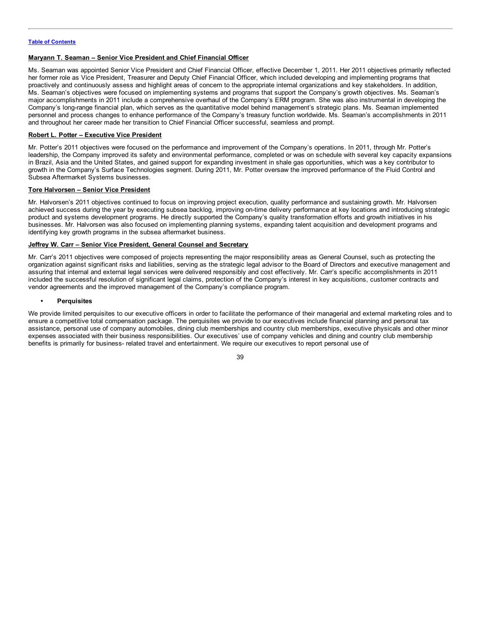## **Maryann T. Seaman – Senior Vice President and Chief Financial Officer**

Ms. Seaman was appointed Senior Vice President and Chief Financial Officer, effective December 1, 2011. Her 2011 objectives primarily reflected her former role as Vice President, Treasurer and Deputy Chief Financial Officer, which included developing and implementing programs that proactively and continuously assess and highlight areas of concern to the appropriate internal organizations and key stakeholders. In addition, Ms. Seaman's objectives were focused on implementing systems and programs that support the Company's growth objectives. Ms. Seaman's major accomplishments in 2011 include a comprehensive overhaul of the Company's ERM program. She was also instrumental in developing the Company's long-range financial plan, which serves as the quantitative model behind management's strategic plans. Ms. Seaman implemented personnel and process changes to enhance performance of the Company's treasury function worldwide. Ms. Seaman's accomplishments in 2011 and throughout her career made her transition to Chief Financial Officer successful, seamless and prompt.

## **Robert L. Potter – Executive Vice President**

Mr. Potter's 2011 objectives were focused on the performance and improvement of the Company's operations. In 2011, through Mr. Potter's leadership, the Company improved its safety and environmental performance, completed or was on schedule with several key capacity expansions in Brazil, Asia and the United States, and gained support for expanding investment in shale gas opportunities, which was a key contributor to growth in the Company's Surface Technologies segment. During 2011, Mr. Potter oversaw the improved performance of the Fluid Control and Subsea Aftermarket Systems businesses.

## **Tore Halvorsen – Senior Vice President**

Mr. Halvorsen's 2011 objectives continued to focus on improving project execution, quality performance and sustaining growth. Mr. Halvorsen achieved success during the year by executing subsea backlog, improving on-time delivery performance at key locations and introducing strategic product and systems development programs. He directly supported the Company's quality transformation efforts and growth initiatives in his businesses. Mr. Halvorsen was also focused on implementing planning systems, expanding talent acquisition and development programs and identifying key growth programs in the subsea aftermarket business.

## **Jeffrey W. Carr – Senior Vice President, General Counsel and Secretary**

Mr. Carr's 2011 objectives were composed of projects representing the major responsibility areas as General Counsel, such as protecting the organization against significant risks and liabilities, serving as the strategic legal advisor to the Board of Directors and executive management and assuring that internal and external legal services were delivered responsibly and cost effectively. Mr. Carr's specific accomplishments in 2011 included the successful resolution of significant legal claims, protection of the Company's interest in key acquisitions, customer contracts and vendor agreements and the improved management of the Company's compliance program.

## **• Perquisites**

We provide limited perquisites to our executive officers in order to facilitate the performance of their managerial and external marketing roles and to ensure a competitive total compensation package. The perquisites we provide to our executives include financial planning and personal tax assistance, personal use of company automobiles, dining club memberships and country club memberships, executive physicals and other minor expenses associated with their business responsibilities. Our executives' use of company vehicles and dining and country club membership benefits is primarily for business- related travel and entertainment. We require our executives to report personal use of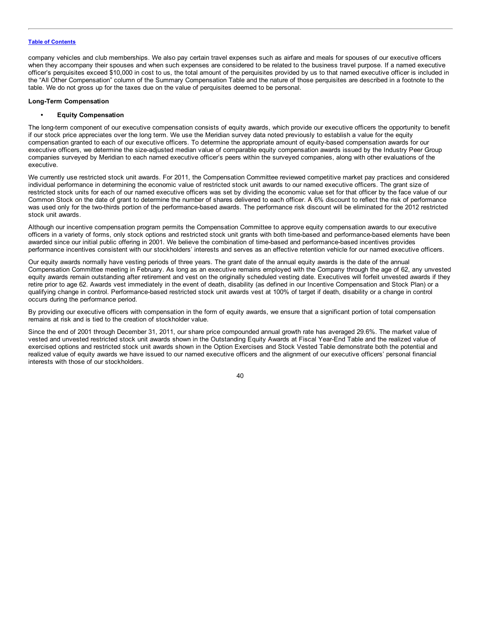company vehicles and club memberships. We also pay certain travel expenses such as airfare and meals for spouses of our executive officers when they accompany their spouses and when such expenses are considered to be related to the business travel purpose. If a named executive officer's perquisites exceed \$10,000 in cost to us, the total amount of the perquisites provided by us to that named executive officer is included in the "All Other Compensation" column of the Summary Compensation Table and the nature of those perquisites are described in a footnote to the table. We do not gross up for the taxes due on the value of perquisites deemed to be personal.

## **Long-Term Compensation**

## **• Equity Compensation**

The long-term component of our executive compensation consists of equity awards, which provide our executive officers the opportunity to benefit if our stock price appreciates over the long term. We use the Meridian survey data noted previously to establish a value for the equity compensation granted to each of our executive officers. To determine the appropriate amount of equity-based compensation awards for our executive officers, we determine the size-adjusted median value of comparable equity compensation awards issued by the Industry Peer Group companies surveyed by Meridian to each named executive officer's peers within the surveyed companies, along with other evaluations of the executive.

We currently use restricted stock unit awards. For 2011, the Compensation Committee reviewed competitive market pay practices and considered individual performance in determining the economic value of restricted stock unit awards to our named executive officers. The grant size of restricted stock units for each of our named executive officers was set by dividing the economic value set for that officer by the face value of our Common Stock on the date of grant to determine the number of shares delivered to each officer. A 6% discount to reflect the risk of performance was used only for the two-thirds portion of the performance-based awards. The performance risk discount will be eliminated for the 2012 restricted stock unit awards.

Although our incentive compensation program permits the Compensation Committee to approve equity compensation awards to our executive officers in a variety of forms, only stock options and restricted stock unit grants with both time-based and performance-based elements have been awarded since our initial public offering in 2001. We believe the combination of time-based and performance-based incentives provides performance incentives consistent with our stockholders' interests and serves as an effective retention vehicle for our named executive officers.

Our equity awards normally have vesting periods of three years. The grant date of the annual equity awards is the date of the annual Compensation Committee meeting in February. As long as an executive remains employed with the Company through the age of 62, any unvested equity awards remain outstanding after retirement and vest on the originally scheduled vesting date. Executives will forfeit unvested awards if they retire prior to age 62. Awards vest immediately in the event of death, disability (as defined in our Incentive Compensation and Stock Plan) or a qualifying change in control. Performance-based restricted stock unit awards vest at 100% of target if death, disability or a change in control occurs during the performance period.

By providing our executive officers with compensation in the form of equity awards, we ensure that a significant portion of total compensation remains at risk and is tied to the creation of stockholder value.

Since the end of 2001 through December 31, 2011, our share price compounded annual growth rate has averaged 29.6%. The market value of vested and unvested restricted stock unit awards shown in the Outstanding Equity Awards at Fiscal Year-End Table and the realized value of exercised options and restricted stock unit awards shown in the Option Exercises and Stock Vested Table demonstrate both the potential and realized value of equity awards we have issued to our named executive officers and the alignment of our executive officers' personal financial interests with those of our stockholders.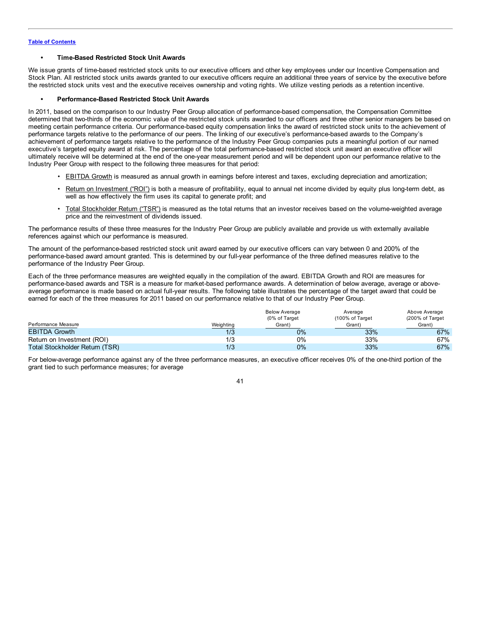## **• Time-Based Restricted Stock Unit Awards**

We issue grants of time-based restricted stock units to our executive officers and other key employees under our Incentive Compensation and Stock Plan. All restricted stock units awards granted to our executive officers require an additional three years of service by the executive before the restricted stock units vest and the executive receives ownership and voting rights. We utilize vesting periods as a retention incentive.

## **• Performance-Based Restricted Stock Unit Awards**

In 2011, based on the comparison to our Industry Peer Group allocation of performance-based compensation, the Compensation Committee determined that two-thirds of the economic value of the restricted stock units awarded to our officers and three other senior managers be based on meeting certain performance criteria. Our performance-based equity compensation links the award of restricted stock units to the achievement of performance targets relative to the performance of our peers. The linking of our executive's performance-based awards to the Company's achievement of performance targets relative to the performance of the Industry Peer Group companies puts a meaningful portion of our named executive's targeted equity award at risk. The percentage of the total performance-based restricted stock unit award an executive officer will ultimately receive will be determined at the end of the one-year measurement period and will be dependent upon our performance relative to the Industry Peer Group with respect to the following three measures for that period:

- EBITDA Growth is measured as annual growth in earnings before interest and taxes, excluding depreciation and amortization;
- Return on Investment ("ROI") is both a measure of profitability, equal to annual net income divided by equity plus long-term debt, as well as how effectively the firm uses its capital to generate profit; and
- Total Stockholder Return ("TSR") is measured as the total returns that an investor receives based on the volume-weighted average price and the reinvestment of dividends issued.

The performance results of these three measures for the Industry Peer Group are publicly available and provide us with externally available references against which our performance is measured.

The amount of the performance-based restricted stock unit award earned by our executive officers can vary between 0 and 200% of the performance-based award amount granted. This is determined by our full-year performance of the three defined measures relative to the performance of the Industry Peer Group.

Each of the three performance measures are weighted equally in the compilation of the award. EBITDA Growth and ROI are measures for performance-based awards and TSR is a measure for market-based performance awards. A determination of below average, average or aboveaverage performance is made based on actual full-year results. The following table illustrates the percentage of the target award that could be earned for each of the three measures for 2011 based on our performance relative to that of our Industry Peer Group.

|                                |           | <b>Below Average</b><br>(0% of Target | Average<br>(100% of Target) | Above Average<br>(200% of Target |
|--------------------------------|-----------|---------------------------------------|-----------------------------|----------------------------------|
| Performance Measure            | Weighting | Grant)                                | Grant)                      | Grant)                           |
| <b>EBITDA Growth</b>           | 1/3       | $0\%$                                 | 33%                         | 67%                              |
| Return on Investment (ROI)     | 1/3       | $0\%$                                 | 33%                         | 67%                              |
| Total Stockholder Return (TSR) | 1/3       | $0\%$                                 | 33%                         | 67%                              |

For below-average performance against any of the three performance measures, an executive officer receives 0% of the one-third portion of the grant tied to such performance measures; for average

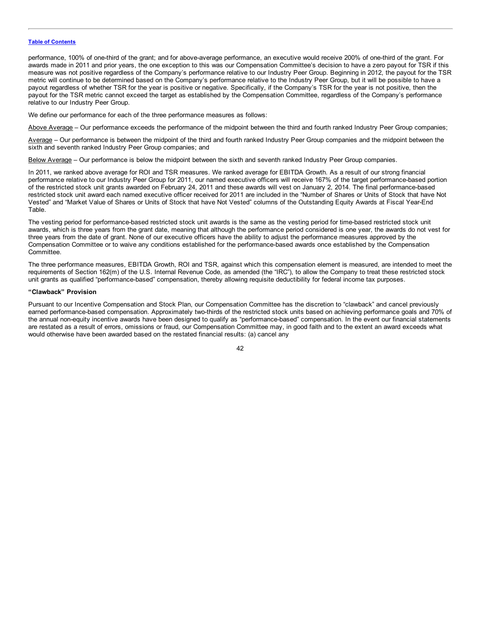performance, 100% of one-third of the grant; and for above-average performance, an executive would receive 200% of one-third of the grant. For awards made in 2011 and prior years, the one exception to this was our Compensation Committee's decision to have a zero payout for TSR if this measure was not positive regardless of the Company's performance relative to our Industry Peer Group. Beginning in 2012, the payout for the TSR metric will continue to be determined based on the Company's performance relative to the Industry Peer Group, but it will be possible to have a payout regardless of whether TSR for the year is positive or negative. Specifically, if the Company's TSR for the year is not positive, then the payout for the TSR metric cannot exceed the target as established by the Compensation Committee, regardless of the Company's performance relative to our Industry Peer Group.

We define our performance for each of the three performance measures as follows:

Above Average – Our performance exceeds the performance of the midpoint between the third and fourth ranked Industry Peer Group companies;

Average – Our performance is between the midpoint of the third and fourth ranked Industry Peer Group companies and the midpoint between the sixth and seventh ranked Industry Peer Group companies; and

Below Average – Our performance is below the midpoint between the sixth and seventh ranked Industry Peer Group companies.

In 2011, we ranked above average for ROI and TSR measures. We ranked average for EBITDA Growth. As a result of our strong financial performance relative to our Industry Peer Group for 2011, our named executive officers will receive 167% of the target performance-based portion of the restricted stock unit grants awarded on February 24, 2011 and these awards will vest on January 2, 2014. The final performance-based restricted stock unit award each named executive officer received for 2011 are included in the "Number of Shares or Units of Stock that have Not Vested" and "Market Value of Shares or Units of Stock that have Not Vested" columns of the Outstanding Equity Awards at Fiscal Year-End Table.

The vesting period for performance-based restricted stock unit awards is the same as the vesting period for time-based restricted stock unit awards, which is three years from the grant date, meaning that although the performance period considered is one year, the awards do not vest for three years from the date of grant. None of our executive officers have the ability to adjust the performance measures approved by the Compensation Committee or to waive any conditions established for the performance-based awards once established by the Compensation **Committee** 

The three performance measures, EBITDA Growth, ROI and TSR, against which this compensation element is measured, are intended to meet the requirements of Section 162(m) of the U.S. Internal Revenue Code, as amended (the "IRC"), to allow the Company to treat these restricted stock unit grants as qualified "performance-based" compensation, thereby allowing requisite deductibility for federal income tax purposes.

## **"Clawback" Provision**

Pursuant to our Incentive Compensation and Stock Plan, our Compensation Committee has the discretion to "clawback" and cancel previously earned performance-based compensation. Approximately two-thirds of the restricted stock units based on achieving performance goals and 70% of the annual non-equity incentive awards have been designed to qualify as "performance-based" compensation. In the event our financial statements are restated as a result of errors, omissions or fraud, our Compensation Committee may, in good faith and to the extent an award exceeds what would otherwise have been awarded based on the restated financial results: (a) cancel any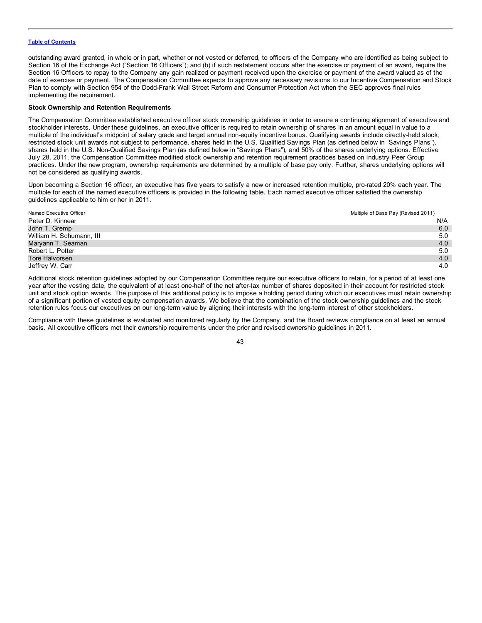outstanding award granted, in whole or in part, whether or not vested or deferred, to officers of the Company who are identified as being subject to Section 16 of the Exchange Act ("Section 16 Officers"); and (b) if such restatement occurs after the exercise or payment of an award, require the Section 16 Officers to repay to the Company any gain realized or payment received upon the exercise or payment of the award valued as of the date of exercise or payment. The Compensation Committee expects to approve any necessary revisions to our Incentive Compensation and Stock Plan to comply with Section 954 of the Dodd-Frank Wall Street Reform and Consumer Protection Act when the SEC approves final rules implementing the requirement.

## **Stock Ownership and Retention Requirements**

The Compensation Committee established executive officer stock ownership guidelines in order to ensure a continuing alignment of executive and stockholder interests. Under these guidelines, an executive officer is required to retain ownership of shares in an amount equal in value to a multiple of the individual's midpoint of salary grade and target annual non-equity incentive bonus. Qualifying awards include directly-held stock, restricted stock unit awards not subject to performance, shares held in the U.S. Qualified Savings Plan (as defined below in "Savings Plans"), shares held in the U.S. Non-Qualified Savings Plan (as defined below in "Savings Plans"), and 50% of the shares underlying options. Effective July 28, 2011, the Compensation Committee modified stock ownership and retention requirement practices based on Industry Peer Group practices. Under the new program, ownership requirements are determined by a multiple of base pay only. Further, shares underlying options will not be considered as qualifying awards.

Upon becoming a Section 16 officer, an executive has five years to satisfy a new or increased retention multiple, pro-rated 20% each year. The multiple for each of the named executive officers is provided in the following table. Each named executive officer satisfied the ownership guidelines applicable to him or her in 2011.

| Named Executive Officer  | Multiple of Base Pay (Revised 2011) |
|--------------------------|-------------------------------------|
| Peter D. Kinnear         | N/A                                 |
| John T. Gremp            | 6.0                                 |
| William H. Schumann, III | 5.0                                 |
| Maryann T. Seaman        | 4.0                                 |
| Robert L. Potter         | 5.0                                 |
| Tore Halvorsen           | 4.0                                 |
| Jeffrey W. Carr          | 4.0                                 |

Additional stock retention guidelines adopted by our Compensation Committee require our executive officers to retain, for a period of at least one year after the vesting date, the equivalent of at least one-half of the net after-tax number of shares deposited in their account for restricted stock unit and stock option awards. The purpose of this additional policy is to impose a holding period during which our executives must retain ownership of a significant portion of vested equity compensation awards. We believe that the combination of the stock ownership guidelines and the stock retention rules focus our executives on our long-term value by aligning their interests with the long-term interest of other stockholders.

Compliance with these guidelines is evaluated and monitored regularly by the Company, and the Board reviews compliance on at least an annual basis. All executive officers met their ownership requirements under the prior and revised ownership guidelines in 2011.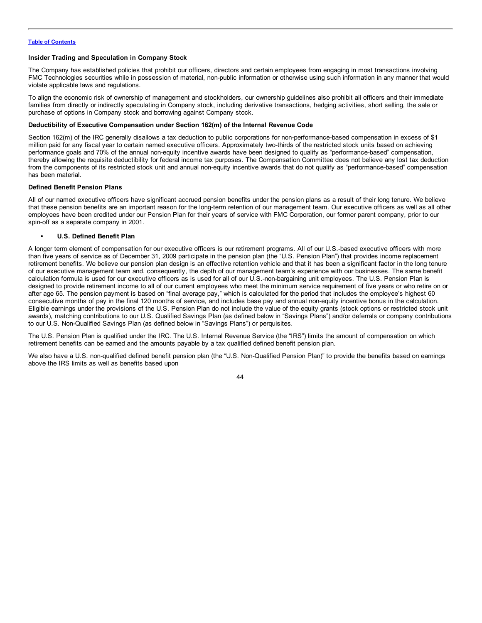## **Insider Trading and Speculation in Company Stock**

The Company has established policies that prohibit our officers, directors and certain employees from engaging in most transactions involving FMC Technologies securities while in possession of material, non-public information or otherwise using such information in any manner that would violate applicable laws and regulations.

To align the economic risk of ownership of management and stockholders, our ownership guidelines also prohibit all officers and their immediate families from directly or indirectly speculating in Company stock, including derivative transactions, hedging activities, short selling, the sale or purchase of options in Company stock and borrowing against Company stock.

## **Deductibility of Executive Compensation under Section 162(m) of the Internal Revenue Code**

Section 162(m) of the IRC generally disallows a tax deduction to public corporations for non-performance-based compensation in excess of \$1 million paid for any fiscal year to certain named executive officers. Approximately two-thirds of the restricted stock units based on achieving performance goals and 70% of the annual non-equity incentive awards have been designed to qualify as "performance-based" compensation, thereby allowing the requisite deductibility for federal income tax purposes. The Compensation Committee does not believe any lost tax deduction from the components of its restricted stock unit and annual non-equity incentive awards that do not qualify as "performance-based" compensation has been material.

## **Defined Benefit Pension Plans**

All of our named executive officers have significant accrued pension benefits under the pension plans as a result of their long tenure. We believe that these pension benefits are an important reason for the long-term retention of our management team. Our executive officers as well as all other employees have been credited under our Pension Plan for their years of service with FMC Corporation, our former parent company, prior to our spin-off as a separate company in 2001.

## **• U.S. Defined Benefit Plan**

A longer term element of compensation for our executive officers is our retirement programs. All of our U.S.-based executive officers with more than five years of service as of December 31, 2009 participate in the pension plan (the "U.S. Pension Plan") that provides income replacement retirement benefits. We believe our pension plan design is an effective retention vehicle and that it has been a significant factor in the long tenure of our executive management team and, consequently, the depth of our management team's experience with our businesses. The same benefit calculation formula is used for our executive officers as is used for all of our U.S.-non-bargaining unit employees. The U.S. Pension Plan is designed to provide retirement income to all of our current employees who meet the minimum service requirement of five years or who retire on or after age 65. The pension payment is based on "final average pay," which is calculated for the period that includes the employee's highest 60 consecutive months of pay in the final 120 months of service, and includes base pay and annual non-equity incentive bonus in the calculation. Eligible earnings under the provisions of the U.S. Pension Plan do not include the value of the equity grants (stock options or restricted stock unit awards), matching contributions to our U.S. Qualified Savings Plan (as defined below in "Savings Plans") and/or deferrals or company contributions to our U.S. Non-Qualified Savings Plan (as defined below in "Savings Plans") or perquisites.

The U.S. Pension Plan is qualified under the IRC. The U.S. Internal Revenue Service (the "IRS") limits the amount of compensation on which retirement benefits can be earned and the amounts payable by a tax qualified defined benefit pension plan.

We also have a U.S. non-qualified defined benefit pension plan (the "U.S. Non-Qualified Pension Plan)" to provide the benefits based on earnings above the IRS limits as well as benefits based upon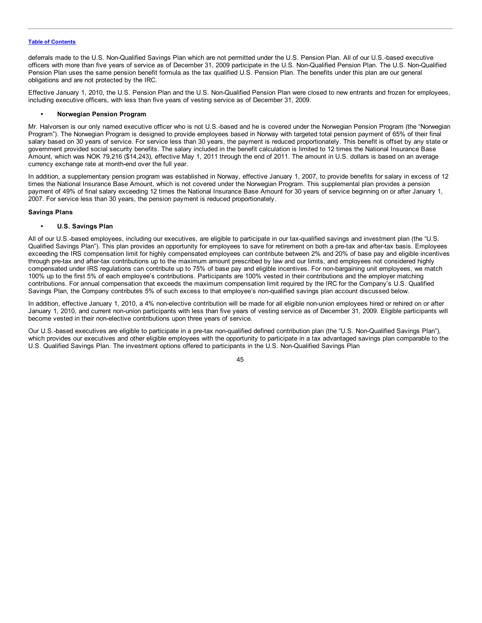deferrals made to the U.S. Non-Qualified Savings Plan which are not permitted under the U.S. Pension Plan. All of our U.S.-based executive officers with more than five years of service as of December 31, 2009 participate in the U.S. Non-Qualified Pension Plan. The U.S. Non-Qualified Pension Plan uses the same pension benefit formula as the tax qualified U.S. Pension Plan. The benefits under this plan are our general obligations and are not protected by the IRC.

Effective January 1, 2010, the U.S. Pension Plan and the U.S. Non-Qualified Pension Plan were closed to new entrants and frozen for employees, including executive officers, with less than five years of vesting service as of December 31, 2009.

## **• Norwegian Pension Program**

Mr. Halvorsen is our only named executive officer who is not U.S.-based and he is covered under the Norwegian Pension Program (the "Norwegian Program"). The Norwegian Program is designed to provide employees based in Norway with targeted total pension payment of 65% of their final salary based on 30 years of service. For service less than 30 years, the payment is reduced proportionately. This benefit is offset by any state or government provided social security benefits. The salary included in the benefit calculation is limited to 12 times the National Insurance Base Amount, which was NOK 79,216 (\$14,243), effective May 1, 2011 through the end of 2011. The amount in U.S. dollars is based on an average currency exchange rate at month-end over the full year.

In addition, a supplementary pension program was established in Norway, effective January 1, 2007, to provide benefits for salary in excess of 12 times the National Insurance Base Amount, which is not covered under the Norwegian Program. This supplemental plan provides a pension payment of 49% of final salary exceeding 12 times the National Insurance Base Amount for 30 years of service beginning on or after January 1, 2007. For service less than 30 years, the pension payment is reduced proportionately.

## **Savings Plans**

## **• U.S. Savings Plan**

All of our U.S.-based employees, including our executives, are eligible to participate in our tax-qualified savings and investment plan (the "U.S. Qualified Savings Plan"). This plan provides an opportunity for employees to save for retirement on both a pre-tax and after-tax basis. Employees exceeding the IRS compensation limit for highly compensated employees can contribute between 2% and 20% of base pay and eligible incentives through pre-tax and after-tax contributions up to the maximum amount prescribed by law and our limits, and employees not considered highly compensated under IRS regulations can contribute up to 75% of base pay and eligible incentives. For non-bargaining unit employees, we match 100% up to the first 5% of each employee's contributions. Participants are 100% vested in their contributions and the employer matching contributions. For annual compensation that exceeds the maximum compensation limit required by the IRC for the Company's U.S. Qualified Savings Plan, the Company contributes 5% of such excess to that employee's non-qualified savings plan account discussed below.

In addition, effective January 1, 2010, a 4% non-elective contribution will be made for all eligible non-union employees hired or rehired on or after January 1, 2010, and current non-union participants with less than five years of vesting service as of December 31, 2009. Eligible participants will become vested in their non-elective contributions upon three years of service.

Our U.S.-based executives are eligible to participate in a pre-tax non-qualified defined contribution plan (the "U.S. Non-Qualified Savings Plan"), which provides our executives and other eligible employees with the opportunity to participate in a tax advantaged savings plan comparable to the U.S. Qualified Savings Plan. The investment options offered to participants in the U.S. Non-Qualified Savings Plan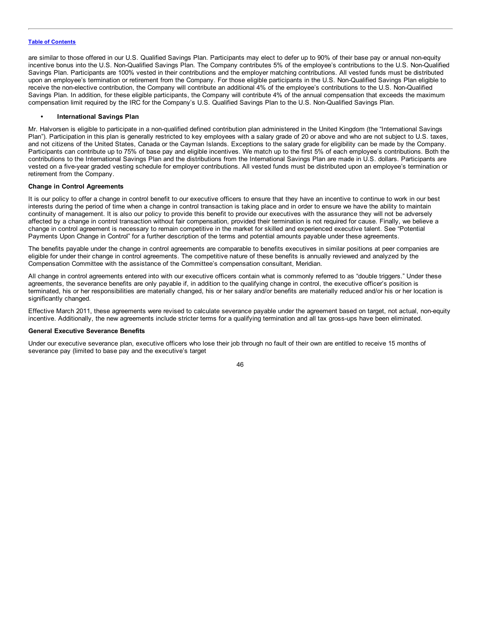are similar to those offered in our U.S. Qualified Savings Plan. Participants may elect to defer up to 90% of their base pay or annual non-equity incentive bonus into the U.S. Non-Qualified Savings Plan. The Company contributes 5% of the employee's contributions to the U.S. Non-Qualified Savings Plan. Participants are 100% vested in their contributions and the employer matching contributions. All vested funds must be distributed upon an employee's termination or retirement from the Company. For those eligible participants in the U.S. Non-Qualified Savings Plan eligible to receive the non-elective contribution, the Company will contribute an additional 4% of the employee's contributions to the U.S. Non-Qualified Savings Plan. In addition, for these eligible participants, the Company will contribute 4% of the annual compensation that exceeds the maximum compensation limit required by the IRC for the Company's U.S. Qualified Savings Plan to the U.S. Non-Qualified Savings Plan.

## **• International Savings Plan**

Mr. Halvorsen is eligible to participate in a non-qualified defined contribution plan administered in the United Kingdom (the "International Savings Plan"). Participation in this plan is generally restricted to key employees with a salary grade of 20 or above and who are not subject to U.S. taxes, and not citizens of the United States, Canada or the Cayman Islands. Exceptions to the salary grade for eligibility can be made by the Company. Participants can contribute up to 75% of base pay and eligible incentives. We match up to the first 5% of each employee's contributions. Both the contributions to the International Savings Plan and the distributions from the International Savings Plan are made in U.S. dollars. Participants are vested on a five-year graded vesting schedule for employer contributions. All vested funds must be distributed upon an employee's termination or retirement from the Company.

## **Change in Control Agreements**

It is our policy to offer a change in control benefit to our executive officers to ensure that they have an incentive to continue to work in our best interests during the period of time when a change in control transaction is taking place and in order to ensure we have the ability to maintain continuity of management. It is also our policy to provide this benefit to provide our executives with the assurance they will not be adversely affected by a change in control transaction without fair compensation, provided their termination is not required for cause. Finally, we believe a change in control agreement is necessary to remain competitive in the market for skilled and experienced executive talent. See "Potential Payments Upon Change in Control" for a further description of the terms and potential amounts payable under these agreements.

The benefits payable under the change in control agreements are comparable to benefits executives in similar positions at peer companies are eligible for under their change in control agreements. The competitive nature of these benefits is annually reviewed and analyzed by the Compensation Committee with the assistance of the Committee's compensation consultant, Meridian.

All change in control agreements entered into with our executive officers contain what is commonly referred to as "double triggers." Under these agreements, the severance benefits are only payable if, in addition to the qualifying change in control, the executive officer's position is terminated, his or her responsibilities are materially changed, his or her salary and/or benefits are materially reduced and/or his or her location is significantly changed.

Effective March 2011, these agreements were revised to calculate severance payable under the agreement based on target, not actual, non-equity incentive. Additionally, the new agreements include stricter terms for a qualifying termination and all tax gross-ups have been eliminated.

### **General Executive Severance Benefits**

Under our executive severance plan, executive officers who lose their job through no fault of their own are entitled to receive 15 months of severance pay (limited to base pay and the executive's target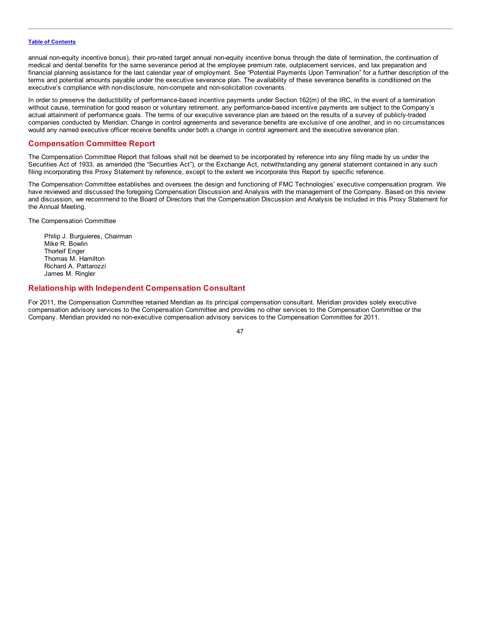annual non-equity incentive bonus), their pro-rated target annual non-equity incentive bonus through the date of termination, the continuation of medical and dental benefits for the same severance period at the employee premium rate, outplacement services, and tax preparation and financial planning assistance for the last calendar year of employment. See "Potential Payments Upon Termination" for a further description of the terms and potential amounts payable under the executive severance plan. The availability of these severance benefits is conditioned on the executive's compliance with non-disclosure, non-compete and non-solicitation covenants.

In order to preserve the deductibility of performance-based incentive payments under Section 162(m) of the IRC, in the event of a termination without cause, termination for good reason or voluntary retirement, any performance-based incentive payments are subject to the Company's actual attainment of performance goals. The terms of our executive severance plan are based on the results of a survey of publicly-traded companies conducted by Meridian. Change in control agreements and severance benefits are exclusive of one another, and in no circumstances would any named executive officer receive benefits under both a change in control agreement and the executive severance plan.

## **Compensation Committee Report**

The Compensation Committee Report that follows shall not be deemed to be incorporated by reference into any filing made by us under the Securities Act of 1933, as amended (the "Securities Act"), or the Exchange Act, notwithstanding any general statement contained in any such filing incorporating this Proxy Statement by reference, except to the extent we incorporate this Report by specific reference.

The Compensation Committee establishes and oversees the design and functioning of FMC Technologies' executive compensation program. We have reviewed and discussed the foregoing Compensation Discussion and Analysis with the management of the Company. Based on this review and discussion, we recommend to the Board of Directors that the Compensation Discussion and Analysis be included in this Proxy Statement for the Annual Meeting.

The Compensation Committee

Philip J. Burguieres, Chairman Mike R. Bowlin Thorleif Enger Thomas M. Hamilton Richard A. Pattarozzi James M. Ringler

## **Relationship with Independent Compensation Consultant**

For 2011, the Compensation Committee retained Meridian as its principal compensation consultant. Meridian provides solely executive compensation advisory services to the Compensation Committee and provides no other services to the Compensation Committee or the Company. Meridian provided no non-executive compensation advisory services to the Compensation Committee for 2011.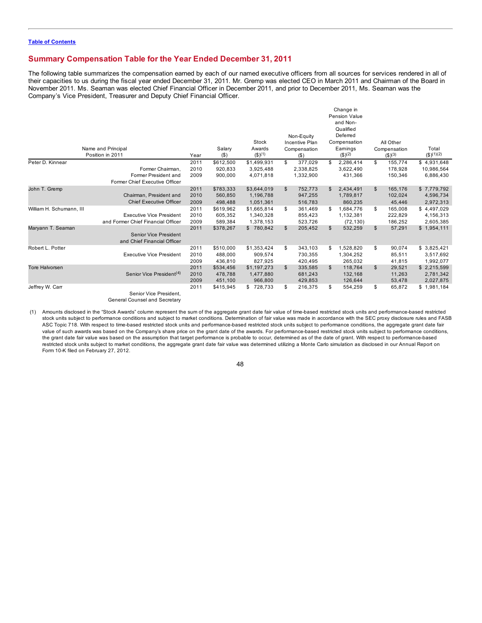## **Summary Compensation Table for the Year Ended December 31, 2011**

The following table summarizes the compensation earned by each of our named executive officers from all sources for services rendered in all of their capacities to us during the fiscal year ended December 31, 2011. Mr. Gremp was elected CEO in March 2011 and Chairman of the Board in November 2011. Ms. Seaman was elected Chief Financial Officer in December 2011, and prior to December 2011, Ms. Seaman was the Company's Vice President, Treasurer and Deputy Chief Financial Officer.

|                          | Name and Principal<br>Position in 2011                      | Year | Salary<br>$($ \$) | Stock<br>Awards<br>$($ \$) <sup>(1)</sup> | Non-Equity<br>Incentive Plan<br>Compensation<br>(S) |              | Change in<br>Pension Value<br>and Non-<br>Qualified<br>Deferred<br>Compensation<br>Earnings<br>$($ \$) <sup>(2)</sup> |    | All Other<br>Compensation<br>$($ \$) <sup>(3)</sup> | Total<br>$($ \$) $(1)(2)$ |
|--------------------------|-------------------------------------------------------------|------|-------------------|-------------------------------------------|-----------------------------------------------------|--------------|-----------------------------------------------------------------------------------------------------------------------|----|-----------------------------------------------------|---------------------------|
| Peter D. Kinnear         |                                                             | 2011 | \$612,500         | \$1,499,931                               | \$<br>377,029                                       | \$           | 2,286,414                                                                                                             | \$ | 155,774                                             | \$4,931,648               |
|                          | Former Chairman,                                            | 2010 | 920,833           | 3,925,488                                 | 2,338,825                                           |              | 3,622,490                                                                                                             |    | 178,928                                             | 10,986,564                |
|                          | Former President and<br>Former Chief Executive Officer      | 2009 | 900,000           | 4,071,818                                 | 1,332,900                                           |              | 431.366                                                                                                               |    | 150,346                                             | 6,886,430                 |
| John T. Gremp            |                                                             | 2011 | \$783,333         | \$3,644,019                               | \$<br>752,773                                       | \$           | 2,434,491                                                                                                             | \$ | 165,176                                             | \$7,779,792               |
|                          | Chairman, President and                                     | 2010 | 560,850           | 1,196,788                                 | 947,255                                             |              | 1,789,817                                                                                                             |    | 102,024                                             | 4,596,734                 |
|                          | <b>Chief Executive Officer</b>                              | 2009 | 498,488           | 1,051,361                                 | 516,783                                             |              | 860,235                                                                                                               |    | 45,446                                              | 2,972,313                 |
| William H. Schumann, III |                                                             | 2011 | \$619,962         | \$1,665,814                               | \$<br>361.469                                       | \$           | 1.684.776                                                                                                             | S  | 165.008                                             | \$4,497,029               |
|                          | <b>Executive Vice President</b>                             | 2010 | 605,352           | 1,340,328                                 | 855,423                                             |              | 1,132,381                                                                                                             |    | 222,829                                             | 4,156,313                 |
|                          | and Former Chief Financial Officer                          | 2009 | 589,384           | 1,378,153                                 | 523,726                                             |              | (72, 130)                                                                                                             |    | 186,252                                             | 2,605,385                 |
| Maryann T. Seaman        |                                                             | 2011 | \$378,267         | \$780,842                                 | \$<br>205,452                                       | $\mathbb{S}$ | 532,259                                                                                                               | \$ | 57,291                                              | \$1,954,111               |
|                          | <b>Senior Vice President</b><br>and Chief Financial Officer |      |                   |                                           |                                                     |              |                                                                                                                       |    |                                                     |                           |
| Robert L. Potter         |                                                             | 2011 | \$510,000         | \$1,353,424                               | \$<br>343,103                                       | \$           | 1,528,820                                                                                                             | \$ | 90,074                                              | \$3,825,421               |
|                          | <b>Executive Vice President</b>                             | 2010 | 488,000           | 909,574                                   | 730,355                                             |              | 1,304,252                                                                                                             |    | 85,511                                              | 3,517,692                 |
|                          |                                                             | 2009 | 436,810           | 827,925                                   | 420,495                                             |              | 265,032                                                                                                               |    | 41,815                                              | 1,992,077                 |
| <b>Tore Halvorsen</b>    |                                                             | 2011 | \$534,456         | \$1,197,273                               | \$<br>335,585                                       | \$           | 118,764                                                                                                               | \$ | 29,521                                              | \$2,215,599               |
|                          | Senior Vice President <sup>(4)</sup>                        | 2010 | 478,788           | 1,477,880                                 | 681,243                                             |              | 132,168                                                                                                               |    | 11,263                                              | 2,781,342                 |
|                          |                                                             | 2009 | 451,100           | 966,800                                   | 429,853                                             |              | 126,644                                                                                                               |    | 53,478                                              | 2,027,875                 |
| Jeffrey W. Carr          |                                                             | 2011 | \$415,945         | \$728,733                                 | \$<br>216,375                                       | \$           | 554,259                                                                                                               | \$ | 65,872                                              | \$1,981,184               |
|                          | Senior Vice President.                                      |      |                   |                                           |                                                     |              |                                                                                                                       |    |                                                     |                           |

General Counsel and Secretary

(1) Amounts disclosed in the "Stock Awards" column represent the sum of the aggregate grant date fair value of time-based restricted stock units and performance-based restricted stock units subject to performance conditions and subject to market conditions. Determination of fair value was made in accordance with the SEC proxy disclosure rules and FASB ASC Topic 718. With respect to time-based restricted stock units and performance-based restricted stock units subject to performance conditions, the aggregate grant date fair value of such awards was based on the Company's share price on the grant date of the awards. For performance-based restricted stock units subject to performance conditions, the grant date fair value was based on the assumption that target performance is probable to occur, determined as of the date of grant. With respect to performance-based restricted stock units subject to market conditions, the aggregate grant date fair value was determined utilizing a Monte Carlo simulation as disclosed in our Annual Report on Form 10-K filed on February 27, 2012.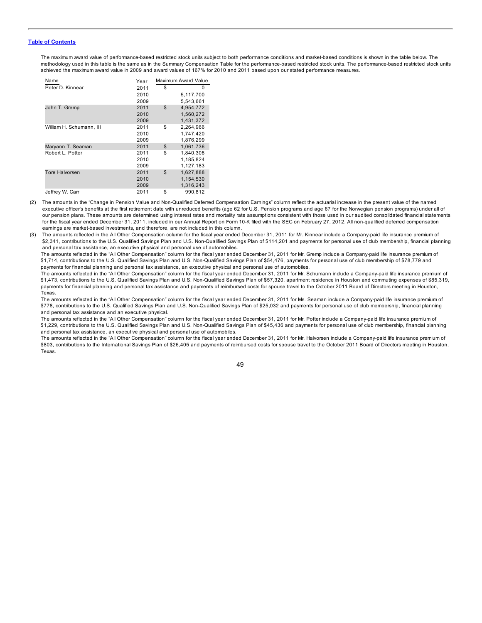The maximum award value of performance-based restricted stock units subject to both performance conditions and market-based conditions is shown in the table below. The methodology used in this table is the same as in the Summary Compensation Table for the performance-based restricted stock units. The performance-based restricted stock units achieved the maximum award value in 2009 and award values of 167% for 2010 and 2011 based upon our stated performance measures.

| Name                     | Year | Maximum Award Value |
|--------------------------|------|---------------------|
| Peter D. Kinnear         | 2011 | \$<br>0             |
|                          | 2010 | 5,117,700           |
|                          | 2009 | 5,543,661           |
| John T. Gremp            | 2011 | \$<br>4,954,772     |
|                          | 2010 | 1.560.272           |
|                          | 2009 | 1,431,372           |
| William H. Schumann, III | 2011 | \$<br>2,264,966     |
|                          | 2010 | 1.747.420           |
|                          | 2009 | 1,876,299           |
| Maryann T. Seaman        | 2011 | \$<br>1,061,736     |
| Robert L. Potter         | 2011 | \$<br>1.840.308     |
|                          | 2010 | 1,185,824           |
|                          | 2009 | 1,127,183           |
| Tore Halvorsen           | 2011 | \$<br>1,627,888     |
|                          | 2010 | 1.154.530           |
|                          | 2009 | 1,316,243           |
| Jeffrey W. Carr          | 2011 | \$<br>990,812       |

- (2) The amounts in the "Change in Pension Value and Non-Qualified Deferred Compensation Earnings" column reflect the actuarial increase in the present value of the named executive officer's benefits at the first retirement date with unreduced benefits (age 62 for U.S. Pension programs and age 67 for the Norwegian pension programs) under all of our pension plans. These amounts are determined using interest rates and mortality rate assumptions consistent with those used in our audited consolidated financial statements for the fiscal year ended December 31, 2011, included in our Annual Report on Form 10-K filed with the SEC on February 27, 2012. All non-qualified deferred compensation earnings are market-based investments, and therefore, are not included in this column.
- (3) The amounts reflected in the All Other Compensation column for the fiscal year ended December 31, 2011 for Mr. Kinnear include a Company-paid life insurance premium of \$2,341, contributions to the U.S. Qualified Savings Plan and U.S. Non-Qualified Savings Plan of \$114,201 and payments for personal use of club membership, financial planning and personal tax assistance, an executive physical and personal use of automobiles.

The amounts reflected in the "All Other Compensation" column for the fiscal year ended December 31, 2011 for Mr. Gremp include a Company-paid life insurance premium of \$1,714, contributions to the U.S. Qualified Savings Plan and U.S. Non-Qualified Savings Plan of \$54,476, payments for personal use of club membership of \$78,779 and payments for financial planning and personal tax assistance, an executive physical and personal use of automobiles.

The amounts reflected in the "All Other Compensation" column for the fiscal year ended December 31, 2011 for Mr. Schumann include a Company-paid life insurance premium of \$1,473, contributions to the U.S. Qualified Savings Plan and U.S. Non-Qualified Savings Plan of \$57,320, apartment residence in Houston and commuting expenses of \$85,319, payments for financial planning and personal tax assistance and payments of reimbursed costs for spouse travel to the October 2011 Board of Directors meeting in Houston, Texas.

The amounts reflected in the "All Other Compensation" column for the fiscal year ended December 31, 2011 for Ms. Seaman include a Company-paid life insurance premium of \$778, contributions to the U.S. Qualified Savings Plan and U.S. Non-Qualified Savings Plan of \$25,032 and payments for personal use of club membership, financial planning and personal tax assistance and an executive physical.

The amounts reflected in the "All Other Compensation" column for the fiscal year ended December 31, 2011 for Mr. Potter include a Company-paid life insurance premium of \$1,229, contributions to the U.S. Qualified Savings Plan and U.S. Non-Qualified Savings Plan of \$45,436 and payments for personal use of club membership, financial planning and personal tax assistance, an executive physical and personal use of automobiles.

The amounts reflected in the "All Other Compensation" column for the fiscal year ended December 31, 2011 for Mr. Halvorsen include a Company-paid life insurance premium of \$803, contributions to the International Savings Plan of \$26,405 and payments of reimbursed costs for spouse travel to the October 2011 Board of Directors meeting in Houston, Texas.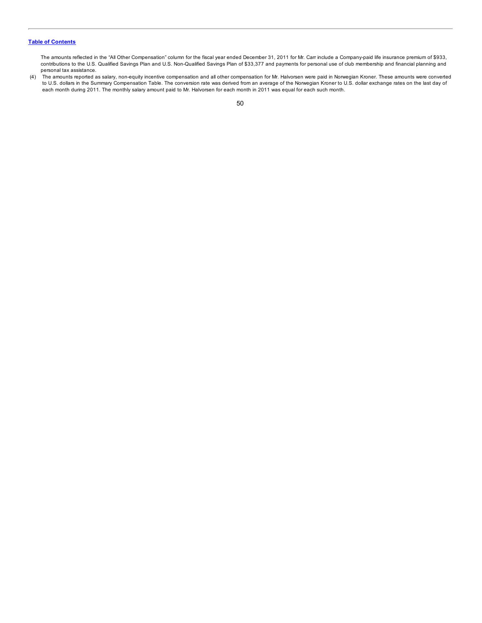The amounts reflected in the "All Other Compensation" column for the fiscal year ended December 31, 2011 for Mr. Carr include a Company-paid life insurance premium of \$933, contributions to the U.S. Qualified Savings Plan and U.S. Non-Qualified Savings Plan of \$33,377 and payments for personal use of club membership and financial planning and personal tax assistance.

(4) The amounts reported as salary, non-equity incentive compensation and all other compensation for Mr. Halvorsen were paid in Norwegian Kroner. These amounts were converted to U.S. dollars in the Summary Compensation Table. The conversion rate was derived from an average of the Norwegian Kroner to U.S. dollar exchange rates on the last day of each month during 2011. The monthly salary amount paid to Mr. Halvorsen for each month in 2011 was equal for each such month.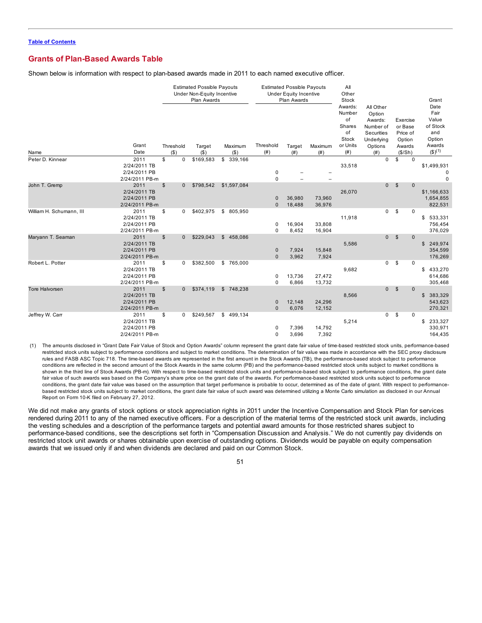## **Grants of Plan-Based Awards Table**

Shown below is information with respect to plan-based awards made in 2011 to each named executive officer.

|                          |                                                                          |       |                      | <b>Estimated Possible Payouts</b><br>Under Non-Equity Incentive<br>Plan Awards |                    |                                  | <b>Estimated Possible Payouts</b><br><b>Under Equity Incentive</b><br>Plan Awards |                  |                                                                             | Other<br>Stock<br>All Other                                                   |              |                                                                | Grant<br>Date                                                  |
|--------------------------|--------------------------------------------------------------------------|-------|----------------------|--------------------------------------------------------------------------------|--------------------|----------------------------------|-----------------------------------------------------------------------------------|------------------|-----------------------------------------------------------------------------|-------------------------------------------------------------------------------|--------------|----------------------------------------------------------------|----------------------------------------------------------------|
| Name                     | Grant<br>Date                                                            |       | Threshold<br>$($ \$) | Target<br>$($ \$)                                                              | Maximum<br>$($ \$) | Threshold<br>(# )                | Target<br>(# )                                                                    | Maximum<br>(# )  | Awards:<br>Number<br>of<br><b>Shares</b><br>of<br>Stock<br>or Units<br>(# ) | Option<br>Awards:<br>Number of<br>Securities<br>Underlying<br>Options<br>(# ) |              | Exercise<br>or Base<br>Price of<br>Option<br>Awards<br>(\$/Sh) | Fair<br>Value<br>of Stock<br>and<br>Option<br>Awards<br>(3)(1) |
| Peter D. Kinnear         | 2011<br>2/24/2011 TB<br>2/24/2011 PB                                     | \$    | 0                    | \$169,583                                                                      | \$339,166          | 0                                |                                                                                   |                  | 33,518                                                                      | $\mathbf 0$                                                                   | \$           | $\Omega$                                                       | \$1,499,931<br>$\mathbf 0$                                     |
| John T. Gremp            | 2/24/2011 PB-m<br>2011<br>2/24/2011 TB<br>2/24/2011 PB<br>2/24/2011 PB-m | $\$\$ | $\mathbf{0}$         | \$798,542                                                                      | \$1,597,084        | $\mathbf 0$<br>0<br>$\mathbf{0}$ | 36,980<br>18,488                                                                  | 73,960<br>36,976 | 26,070                                                                      | $\mathbf{0}$                                                                  | \$           | $\mathbf{0}$                                                   | $\mathbf 0$<br>\$1,166,633<br>1,654,855<br>822,531             |
| William H. Schumann, III | 2011<br>2/24/2011 TB<br>2/24/2011 PB<br>2/24/2011 PB-m                   | \$    | 0                    | \$402,975                                                                      | \$ 805,950         | 0<br>$\Omega$                    | 16,904<br>8,452                                                                   | 33,808<br>16,904 | 11,918                                                                      | 0                                                                             | \$           | 0                                                              | \$533,331<br>756,454<br>376,029                                |
| Maryann T. Seaman        | 2011<br>2/24/2011 TB<br>2/24/2011 PB<br>2/24/2011 PB-m                   | \$    | $\mathbf{0}$         | \$229,043                                                                      | \$458,086          | 0<br>$\Omega$                    | 7,924<br>3,962                                                                    | 15,848<br>7,924  | 5,586                                                                       | $\mathbf{0}$                                                                  | $\mathbb{S}$ | $\mathbf{0}$                                                   | \$249,974<br>354,599<br>176,269                                |
| Robert L. Potter         | 2011<br>2/24/2011 TB<br>2/24/2011 PB<br>2/24/2011 PB-m                   | \$    | 0                    | \$382,500                                                                      | \$765,000          | 0<br>$\mathbf 0$                 | 13,736<br>6,866                                                                   | 27,472<br>13,732 | 9,682                                                                       | 0                                                                             | \$           | $\mathbf 0$                                                    | \$433,270<br>614,686<br>305,468                                |
| <b>Tore Halvorsen</b>    | 2011<br>2/24/2011 TB<br>2/24/2011 PB<br>2/24/2011 PB-m                   | $\$\$ | $\mathbf{0}$         | \$374,119                                                                      | \$748,238          | 0<br>$\mathbf{0}$                | 12,148<br>6,076                                                                   | 24,296<br>12,152 | 8,566                                                                       | $\overline{0}$                                                                | $\mathbb{S}$ | $\mathbf{0}$                                                   | \$<br>383,329<br>543,623<br>270,321                            |
| Jeffrey W. Carr          | 2011<br>2/24/2011 TB<br>2/24/2011 PB<br>2/24/2011 PB-m                   | \$    | 0                    | \$249,567                                                                      | \$499,134          | 0<br>0                           | 7,396<br>3,696                                                                    | 14,792<br>7,392  | 5,214                                                                       | 0                                                                             | \$           | $\mathbf 0$                                                    | \$<br>233,327<br>330,971<br>164,435                            |

(1) The amounts disclosed in "Grant Date Fair Value of Stock and Option Awards" column represent the grant date fair value of time-based restricted stock units, performance-based restricted stock units subject to performance conditions and subject to market conditions. The determination of fair value was made in accordance with the SEC proxy disclosure rules and FASB ASC Topic 718. The time-based awards are represented in the first amount in the Stock Awards (TB), the performance-based stock subject to performance conditions are reflected in the second amount of the Stock Awards in the same column (PB) and the performance-based restricted stock units subject to market conditions is shown in the third line of Stock Awards (PB-m). With respect to time-based restricted stock units and performance-based stock subject to performance conditions, the grant date fair value of such awards was based on the Company's share price on the grant date of the awards. For performance-based restricted stock units subject to performance conditions, the grant date fair value was based on the assumption that target performance is probable to occur, determined as of the date of grant. With respect to performancebased restricted stock units subject to market conditions, the grant date fair value of such award was determined utilizing a Monte Carlo simulation as disclosed in our Annual Report on Form 10-K filed on February 27, 2012.

We did not make any grants of stock options or stock appreciation rights in 2011 under the Incentive Compensation and Stock Plan for services rendered during 2011 to any of the named executive officers. For a description of the material terms of the restricted stock unit awards, including the vesting schedules and a description of the performance targets and potential award amounts for those restricted shares subject to performance-based conditions, see the descriptions set forth in "Compensation Discussion and Analysis." We do not currently pay dividends on restricted stock unit awards or shares obtainable upon exercise of outstanding options. Dividends would be payable on equity compensation awards that we issued only if and when dividends are declared and paid on our Common Stock.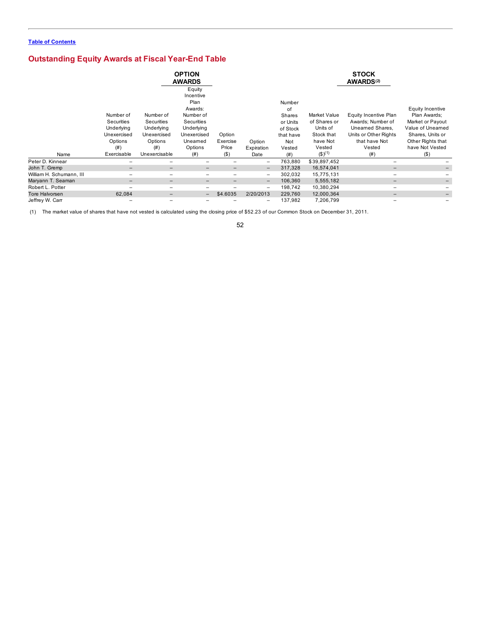# **Outstanding Equity Awards at Fiscal Year-End Table**

|                          |                                                                                       |                                                                                         | <b>OPTION</b><br><b>AWARDS</b>                                                                                               |                                       |                              |                                                                                             |                                                                                                        | <b>STOCK</b><br><b>AWARDS(2)</b>                                                                                           |                                                                                                                                                 |
|--------------------------|---------------------------------------------------------------------------------------|-----------------------------------------------------------------------------------------|------------------------------------------------------------------------------------------------------------------------------|---------------------------------------|------------------------------|---------------------------------------------------------------------------------------------|--------------------------------------------------------------------------------------------------------|----------------------------------------------------------------------------------------------------------------------------|-------------------------------------------------------------------------------------------------------------------------------------------------|
| Name                     | Number of<br>Securities<br>Underlying<br>Unexercised<br>Options<br>(#)<br>Exercisable | Number of<br>Securities<br>Underlying<br>Unexercised<br>Options<br>(#)<br>Unexercisable | Equity<br>Incentive<br>Plan<br>Awards:<br>Number of<br>Securities<br>Underlying<br>Unexercised<br>Uneamed<br>Options<br>(# ) | Option<br>Exercise<br>Price<br>$($ \$ | Option<br>Expiration<br>Date | Number<br>οf<br><b>Shares</b><br>or Units<br>of Stock<br>that have<br>Not<br>Vested<br>(# ) | Market Value<br>of Shares or<br>Units of<br>Stock that<br>have Not<br>Vested<br>$($ \$) <sup>(1)</sup> | Equity Incentive Plan<br>Awards; Number of<br>Unearned Shares,<br>Units or Other Rights<br>that have Not<br>Vested<br>(# ) | Equity Incentive<br>Plan Awards:<br>Market or Payout<br>Value of Uneamed<br>Shares, Units or<br>Other Rights that<br>have Not Vested<br>$($ \$) |
| Peter D. Kinnear         |                                                                                       |                                                                                         |                                                                                                                              |                                       | $\overline{\phantom{0}}$     | 763,880                                                                                     | \$39,897,452                                                                                           | $\overline{\phantom{m}}$                                                                                                   |                                                                                                                                                 |
| John T. Gremp            |                                                                                       | $\overline{\phantom{0}}$                                                                | -                                                                                                                            | $\qquad \qquad -$                     | -                            | 317,328                                                                                     | 16,574,041                                                                                             | $\overline{\phantom{0}}$                                                                                                   |                                                                                                                                                 |
| William H. Schumann, III |                                                                                       |                                                                                         |                                                                                                                              | $\overline{\phantom{m}}$              | -                            | 302,032                                                                                     | 15,775,131                                                                                             |                                                                                                                            |                                                                                                                                                 |
| Maryann T. Seaman        | $-$                                                                                   | $-$                                                                                     | $\overline{\phantom{0}}$                                                                                                     | $\qquad \qquad -$                     | -                            | 106,360                                                                                     | 5,555,182                                                                                              | $\qquad \qquad -$                                                                                                          |                                                                                                                                                 |
| Robert L. Potter         |                                                                                       |                                                                                         |                                                                                                                              |                                       | -                            | 198,742                                                                                     | 10,380,294                                                                                             |                                                                                                                            |                                                                                                                                                 |
| Tore Halvorsen           | 62,084                                                                                | -                                                                                       | $\qquad \qquad -$                                                                                                            | \$4.6035                              | 2/20/2013                    | 229,760                                                                                     | 12,000,364                                                                                             |                                                                                                                            |                                                                                                                                                 |
| Jeffrey W. Carr          |                                                                                       | $\overline{\phantom{0}}$                                                                |                                                                                                                              |                                       | -                            | 137,982                                                                                     | 7,206,799                                                                                              |                                                                                                                            |                                                                                                                                                 |

(1) The market value of shares that have not vested is calculated using the closing price of \$52.23 of our Common Stock on December 31, 2011.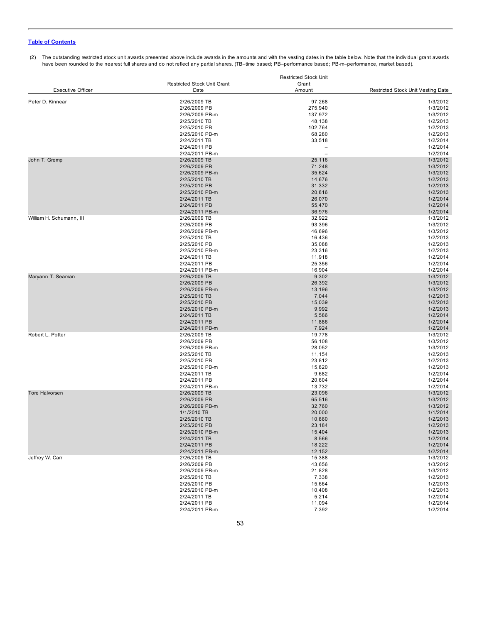#### (2) The outstanding restricted stock unit awards presented above include awards in the amounts and with the vesting dates in the table below. Note that the individual grant awards have been rounded to the nearest full shares and do not reflect any partial shares. (TB–time based; PB–performance based; PB-m–performance, market based).

|                          |                                    | <b>Restricted Stock Unit</b> |                                    |  |  |
|--------------------------|------------------------------------|------------------------------|------------------------------------|--|--|
|                          | <b>Restricted Stock Unit Grant</b> | Grant                        |                                    |  |  |
| <b>Executive Officer</b> | Date                               | Amount                       | Restricted Stock Unit Vesting Date |  |  |
| Peter D. Kinnear         | 2/26/2009 TB                       | 97,268                       | 1/3/2012                           |  |  |
|                          | 2/26/2009 PB                       | 275,940                      | 1/3/2012                           |  |  |
|                          |                                    |                              |                                    |  |  |
|                          | 2/26/2009 PB-m                     | 137,972                      | 1/3/2012                           |  |  |
|                          | 2/25/2010 TB                       | 48,138                       | 1/2/2013                           |  |  |
|                          | 2/25/2010 PB                       | 102,764                      | 1/2/2013                           |  |  |
|                          | 2/25/2010 PB-m                     | 68,280                       | 1/2/2013                           |  |  |
|                          | 2/24/2011 TB                       | 33,518                       | 1/2/2014                           |  |  |
|                          | 2/24/2011 PB                       |                              | 1/2/2014                           |  |  |
|                          | 2/24/2011 PB-m                     |                              | 1/2/2014                           |  |  |
| John T. Gremp            | 2/26/2009 TB                       | 25,116                       | 1/3/2012                           |  |  |
|                          | 2/26/2009 PB                       | 71,248                       | 1/3/2012                           |  |  |
|                          | 2/26/2009 PB-m                     | 35,624                       | 1/3/2012                           |  |  |
|                          | 2/25/2010 TB                       | 14,676                       | 1/2/2013                           |  |  |
|                          | 2/25/2010 PB                       | 31,332                       | 1/2/2013                           |  |  |
|                          | 2/25/2010 PB-m                     | 20,816                       | 1/2/2013                           |  |  |
|                          |                                    |                              |                                    |  |  |
|                          | 2/24/2011 TB                       | 26,070                       | 1/2/2014                           |  |  |
|                          | 2/24/2011 PB                       | 55,470                       | 1/2/2014                           |  |  |
|                          | 2/24/2011 PB-m                     | 36,976                       | 1/2/2014                           |  |  |
| William H. Schumann, III | 2/26/2009 TB                       | 32,922                       | 1/3/2012                           |  |  |
|                          | 2/26/2009 PB                       | 93,396                       | 1/3/2012                           |  |  |
|                          | 2/26/2009 PB-m                     | 46,696                       | 1/3/2012                           |  |  |
|                          | 2/25/2010 TB                       | 16,436                       | 1/2/2013                           |  |  |
|                          | 2/25/2010 PB                       | 35,088                       | 1/2/2013                           |  |  |
|                          | 2/25/2010 PB-m                     | 23,316                       | 1/2/2013                           |  |  |
|                          | 2/24/2011 TB                       | 11,918                       | 1/2/2014                           |  |  |
|                          | 2/24/2011 PB                       | 25,356                       | 1/2/2014                           |  |  |
|                          |                                    |                              |                                    |  |  |
|                          | 2/24/2011 PB-m                     | 16,904                       | 1/2/2014                           |  |  |
| Maryann T. Seaman        | 2/26/2009 TB                       | 9,302                        | 1/3/2012                           |  |  |
|                          | 2/26/2009 PB                       | 26,392                       | 1/3/2012                           |  |  |
|                          | 2/26/2009 PB-m                     | 13,196                       | 1/3/2012                           |  |  |
|                          | 2/25/2010 TB                       | 7,044                        | 1/2/2013                           |  |  |
|                          | 2/25/2010 PB                       | 15,039                       | 1/2/2013                           |  |  |
|                          | 2/25/2010 PB-m                     | 9,992                        | 1/2/2013                           |  |  |
|                          | 2/24/2011 TB                       | 5,586                        | 1/2/2014                           |  |  |
|                          | 2/24/2011 PB                       | 11,886                       | 1/2/2014                           |  |  |
|                          | 2/24/2011 PB-m                     | 7,924                        | 1/2/2014                           |  |  |
| Robert L. Potter         | 2/26/2009 TB                       | 19,778                       | 1/3/2012                           |  |  |
|                          |                                    |                              |                                    |  |  |
|                          | 2/26/2009 PB                       | 56,108                       | 1/3/2012                           |  |  |
|                          | 2/26/2009 PB-m                     | 28,052                       | 1/3/2012                           |  |  |
|                          | 2/25/2010 TB                       | 11,154                       | 1/2/2013                           |  |  |
|                          | 2/25/2010 PB                       | 23,812                       | 1/2/2013                           |  |  |
|                          | 2/25/2010 PB-m                     | 15,820                       | 1/2/2013                           |  |  |
|                          | 2/24/2011 TB                       | 9,682                        | 1/2/2014                           |  |  |
|                          | 2/24/2011 PB                       | 20,604                       | 1/2/2014                           |  |  |
|                          | 2/24/2011 PB-m                     | 13,732                       | 1/2/2014                           |  |  |
| <b>Tore Halvorsen</b>    | 2/26/2009 TB                       | 23,096                       | 1/3/2012                           |  |  |
|                          | 2/26/2009 PB                       | 65,516                       | 1/3/2012                           |  |  |
|                          | 2/26/2009 PB-m                     | 32,760                       | 1/3/2012                           |  |  |
|                          |                                    | 20,000                       | 1/1/2014                           |  |  |
|                          | 1/1/2010 TB                        |                              |                                    |  |  |
|                          | 2/25/2010 TB                       | 10,860                       | 1/2/2013                           |  |  |
|                          | 2/25/2010 PB                       | 23,184                       | 1/2/2013                           |  |  |
|                          | 2/25/2010 PB-m                     | 15,404                       | 1/2/2013                           |  |  |
|                          | 2/24/2011 TB                       | 8,566                        | 1/2/2014                           |  |  |
|                          | 2/24/2011 PB                       | 18,222                       | 1/2/2014                           |  |  |
|                          | 2/24/2011 PB-m                     | 12,152                       | 1/2/2014                           |  |  |
| Jeffrey W. Carr          | 2/26/2009 TB                       | 15,388                       | 1/3/2012                           |  |  |
|                          | 2/26/2009 PB                       | 43,656                       | 1/3/2012                           |  |  |
|                          | 2/26/2009 PB-m                     | 21,828                       | 1/3/2012                           |  |  |
|                          | 2/25/2010 TB                       | 7,338                        | 1/2/2013                           |  |  |
|                          | 2/25/2010 PB                       | 15,664                       | 1/2/2013                           |  |  |
|                          | 2/25/2010 PB-m                     |                              |                                    |  |  |
|                          |                                    | 10,408                       | 1/2/2013                           |  |  |
|                          | 2/24/2011 TB                       | 5,214                        | 1/2/2014                           |  |  |
|                          | 2/24/2011 PB                       | 11,094                       | 1/2/2014                           |  |  |
|                          | 2/24/2011 PB-m                     | 7,392                        | 1/2/2014                           |  |  |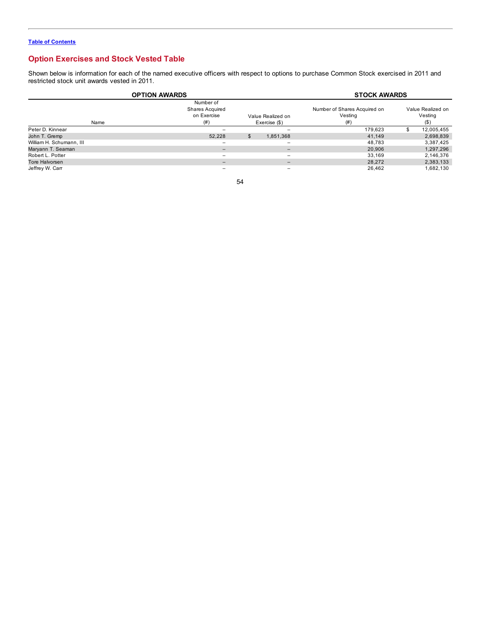## **Option Exercises and Stock Vested Table**

Shown below is information for each of the named executive officers with respect to options to purchase Common Stock exercised in 2011 and restricted stock unit awards vested in 2011.

| <b>OPTION AWARDS</b>     | <b>STOCK AWARDS</b>                         |                                    |           |                              |                    |
|--------------------------|---------------------------------------------|------------------------------------|-----------|------------------------------|--------------------|
|                          | Number of<br>Shares Acquired<br>on Exercise |                                    |           | Number of Shares Acquired on | Value Realized on  |
| Name                     | (# )                                        | Value Realized on<br>Exercise (\$) |           | Vesting<br>(# )              | Vesting<br>$($ \$) |
| Peter D. Kinnear         |                                             |                                    |           | 179,623                      | 12,005,455         |
| John T. Gremp            | 52.228                                      | \$.                                | 1,851,368 | 41,149                       | 2,698,839          |
| William H. Schumann, III | $\overline{\phantom{0}}$                    |                                    | -         | 48,783                       | 3,387,425          |
| Maryann T. Seaman        | $\overline{\phantom{0}}$                    |                                    | -         | 20,906                       | 1,297,296          |
| Robert L. Potter         | -                                           |                                    |           | 33.169                       | 2,146,376          |
| Tore Halvorsen           | $\qquad \qquad -$                           |                                    | -         | 28,272                       | 2,383,133          |
| Jeffrey W. Carr          | $\overline{\phantom{0}}$                    |                                    | -         | 26,462                       | 1,682,130          |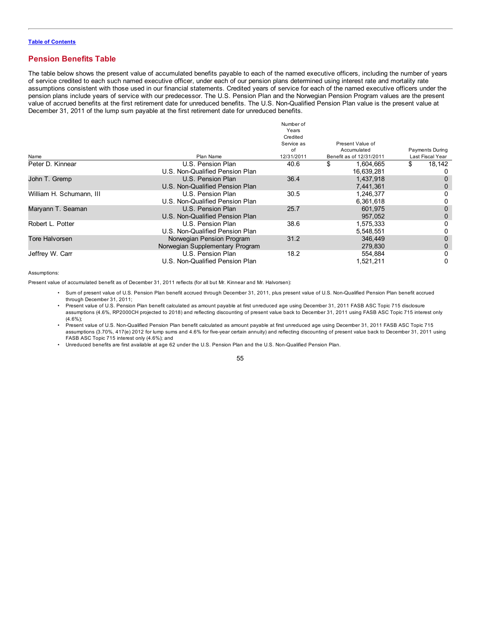## **Pension Benefits Table**

The table below shows the present value of accumulated benefits payable to each of the named executive officers, including the number of years of service credited to each such named executive officer, under each of our pension plans determined using interest rate and mortality rate assumptions consistent with those used in our financial statements. Credited years of service for each of the named executive officers under the pension plans include years of service with our predecessor. The U.S. Pension Plan and the Norwegian Pension Program values are the present value of accrued benefits at the first retirement date for unreduced benefits. The U.S. Non-Qualified Pension Plan value is the present value at December 31, 2011 of the lump sum payable at the first retirement date for unreduced benefits.

| Name                     | Plan Name                       | Number of<br>Years<br>Credited<br>Service as<br>of<br>12/31/2011 | Present Value of<br>Accumulated<br>Benefit as of 12/31/2011 | <b>Payments During</b><br>Last Fiscal Year |
|--------------------------|---------------------------------|------------------------------------------------------------------|-------------------------------------------------------------|--------------------------------------------|
| Peter D. Kinnear         | U.S. Pension Plan               | 40.6                                                             | 1.604.665                                                   | \$<br>18,142                               |
|                          | U.S. Non-Qualified Pension Plan |                                                                  | 16,639,281                                                  | $\Omega$                                   |
| John T. Gremp            | U.S. Pension Plan               | 36.4                                                             | 1,437,918                                                   | 0                                          |
|                          | U.S. Non-Qualified Pension Plan |                                                                  | 7,441,361                                                   | 0                                          |
| William H. Schumann, III | U.S. Pension Plan               | 30.5                                                             | 1,246,377                                                   | 0                                          |
|                          | U.S. Non-Qualified Pension Plan |                                                                  | 6,361,618                                                   | 0                                          |
| Maryann T. Seaman        | U.S. Pension Plan               | 25.7                                                             | 601.975                                                     | 0                                          |
|                          | U.S. Non-Qualified Pension Plan |                                                                  | 957.052                                                     | 0                                          |
| Robert L. Potter         | U.S. Pension Plan               | 38.6                                                             | 1,575,333                                                   | 0                                          |
|                          | U.S. Non-Qualified Pension Plan |                                                                  | 5,548,551                                                   | 0                                          |
| <b>Tore Halvorsen</b>    | Norwegian Pension Program       | 31.2                                                             | 346,449                                                     | 0                                          |
|                          | Norwegian Supplementary Program |                                                                  | 279.830                                                     | 0                                          |
| Jeffrey W. Carr          | U.S. Pension Plan               | 18.2                                                             | 554.884                                                     | 0                                          |
|                          | U.S. Non-Qualified Pension Plan |                                                                  | 1,521,211                                                   | 0                                          |

#### Assumptions:

Present value of accumulated benefit as of December 31, 2011 reflects (for all but Mr. Kinnear and Mr. Halvorsen):

- Sum of present value of U.S. Pension Plan benefit accrued through December 31, 2011, plus present value of U.S. Non-Qualified Pension Plan benefit accrued through December 31, 2011;
- Present value of U.S. Pension Plan benefit calculated as amount payable at first unreduced age using December 31, 2011 FASB ASC Topic 715 disclosure assumptions (4.6%, RP2000CH projected to 2018) and reflecting discounting of present value back to December 31, 2011 using FASB ASC Topic 715 interest only (4.6%);
- Present value of U.S. Non-Qualified Pension Plan benefit calculated as amount payable at first unreduced age using December 31, 2011 FASB ASC Topic 715 assumptions (3.70%, 417(e) 2012 for lump sums and 4.6% for five-year certain annuity) and reflecting discounting of present value back to December 31, 2011 using FASB ASC Topic 715 interest only (4.6%); and
- Unreduced benefits are first available at age 62 under the U.S. Pension Plan and the U.S. Non-Qualified Pension Plan.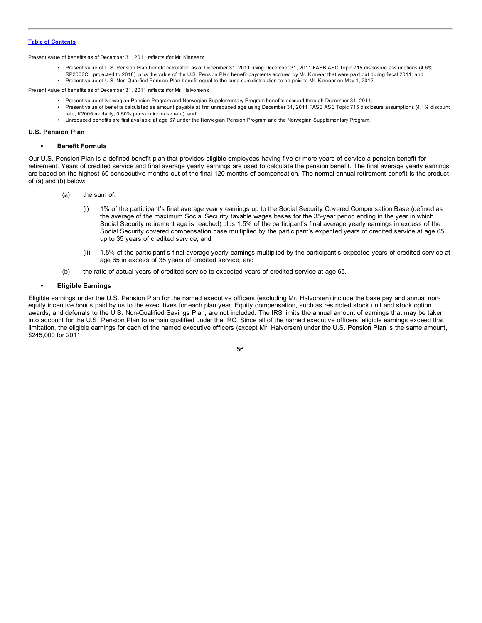Present value of benefits as of December 31, 2011 reflects (for Mr. Kinnear):

- Present value of U.S. Pension Plan benefit calculated as of December 31, 2011 using December 31, 2011 FASB ASC Topic 715 disclosure assumptions (4.6%, RP2000CH projected to 2018), plus the value of the U.S. Pension Plan benefit payments accrued by Mr. Kinnear that were paid out during fiscal 2011; and
- Present value of U.S. Non-Qualified Pension Plan benefit equal to the lump sum distribution to be paid to Mr. Kinnear on May 1, 2012.

Present value of benefits as of December 31, 2011 reflects (for Mr. Halvorsen):

- Present value of Norwegian Pension Program and Norwegian Supplementary Program benefits accrued through December 31, 2011;
- Present value of benefits calculated as amount payable at first unreduced age using December 31, 2011 FASB ASC Topic 715 disclosure assumptions (4.1% discount rate, K2005 mortality, 0.50% pension increase rate); and
- Unreduced benefits are first available at age 67 under the Norwegian Pension Program and the Norwegian Supplementary Program.

## **U.S. Pension Plan**

### **• Benefit Formula**

Our U.S. Pension Plan is a defined benefit plan that provides eligible employees having five or more years of service a pension benefit for retirement. Years of credited service and final average yearly earnings are used to calculate the pension benefit. The final average yearly earnings are based on the highest 60 consecutive months out of the final 120 months of compensation. The normal annual retirement benefit is the product of (a) and (b) below:

- (a) the sum of:
	- (i) 1% of the participant's final average yearly earnings up to the Social Security Covered Compensation Base (defined as the average of the maximum Social Security taxable wages bases for the 35-year period ending in the year in which Social Security retirement age is reached) plus 1.5% of the participant's final average yearly earnings in excess of the Social Security covered compensation base multiplied by the participant's expected years of credited service at age 65 up to 35 years of credited service; and
	- (ii) 1.5% of the participant's final average yearly earnings multiplied by the participant's expected years of credited service at age 65 in excess of 35 years of credited service; and
- (b) the ratio of actual years of credited service to expected years of credited service at age 65.

## **• Eligible Earnings**

Eligible earnings under the U.S. Pension Plan for the named executive officers (excluding Mr. Halvorsen) include the base pay and annual nonequity incentive bonus paid by us to the executives for each plan year. Equity compensation, such as restricted stock unit and stock option awards, and deferrals to the U.S. Non-Qualified Savings Plan, are not included. The IRS limits the annual amount of earnings that may be taken into account for the U.S. Pension Plan to remain qualified under the IRC. Since all of the named executive officers' eligible earnings exceed that limitation, the eligible earnings for each of the named executive officers (except Mr. Halvorsen) under the U.S. Pension Plan is the same amount, \$245,000 for 2011.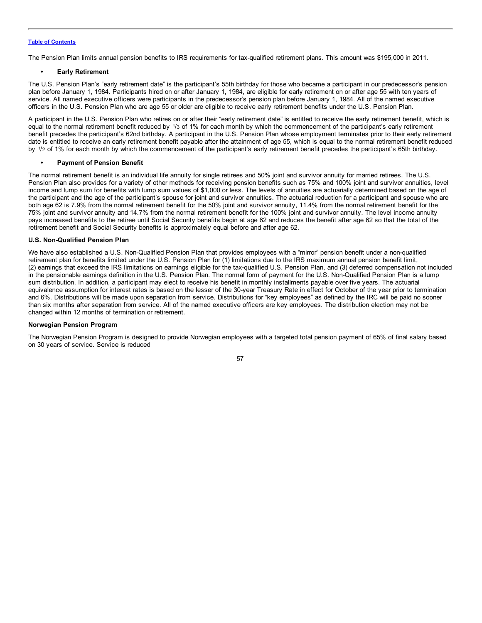The Pension Plan limits annual pension benefits to IRS requirements for tax-qualified retirement plans. This amount was \$195,000 in 2011.

## **• Early Retirement**

The U.S. Pension Plan's "early retirement date" is the participant's 55th birthday for those who became a participant in our predecessor's pension plan before January 1, 1984. Participants hired on or after January 1, 1984, are eligible for early retirement on or after age 55 with ten years of service. All named executive officers were participants in the predecessor's pension plan before January 1, 1984. All of the named executive officers in the U.S. Pension Plan who are age 55 or older are eligible to receive early retirement benefits under the U.S. Pension Plan.

A participant in the U.S. Pension Plan who retires on or after their "early retirement date" is entitled to receive the early retirement benefit, which is equal to the normal retirement benefit reduced by 1/3 of 1% for each month by which the commencement of the participant's early retirement benefit precedes the participant's 62nd birthday. A participant in the U.S. Pension Plan whose employment terminates prior to their early retirement date is entitled to receive an early retirement benefit payable after the attainment of age 55, which is equal to the normal retirement benefit reduced by 1/2 of 1% for each month by which the commencement of the participant's early retirement benefit precedes the participant's 65th birthday.

## **• Payment of Pension Benefit**

The normal retirement benefit is an individual life annuity for single retirees and 50% joint and survivor annuity for married retirees. The U.S. Pension Plan also provides for a variety of other methods for receiving pension benefits such as 75% and 100% joint and survivor annuities, level income and lump sum for benefits with lump sum values of \$1,000 or less. The levels of annuities are actuarially determined based on the age of the participant and the age of the participant's spouse for joint and survivor annuities. The actuarial reduction for a participant and spouse who are both age 62 is 7.9% from the normal retirement benefit for the 50% joint and survivor annuity, 11.4% from the normal retirement benefit for the 75% joint and survivor annuity and 14.7% from the normal retirement benefit for the 100% joint and survivor annuity. The level income annuity pays increased benefits to the retiree until Social Security benefits begin at age 62 and reduces the benefit after age 62 so that the total of the retirement benefit and Social Security benefits is approximately equal before and after age 62.

## **U.S. Non-Qualified Pension Plan**

We have also established a U.S. Non-Qualified Pension Plan that provides employees with a "mirror" pension benefit under a non-qualified retirement plan for benefits limited under the U.S. Pension Plan for (1) limitations due to the IRS maximum annual pension benefit limit, (2) earnings that exceed the IRS limitations on earnings eligible for the tax-qualified U.S. Pension Plan, and (3) deferred compensation not included in the pensionable earnings definition in the U.S. Pension Plan. The normal form of payment for the U.S. Non-Qualified Pension Plan is a lump sum distribution. In addition, a participant may elect to receive his benefit in monthly installments payable over five years. The actuarial equivalence assumption for interest rates is based on the lesser of the 30-year Treasury Rate in effect for October of the year prior to termination and 6%. Distributions will be made upon separation from service. Distributions for "key employees" as defined by the IRC will be paid no sooner than six months after separation from service. All of the named executive officers are key employees. The distribution election may not be changed within 12 months of termination or retirement.

## **Norwegian Pension Program**

The Norwegian Pension Program is designed to provide Norwegian employees with a targeted total pension payment of 65% of final salary based on 30 years of service. Service is reduced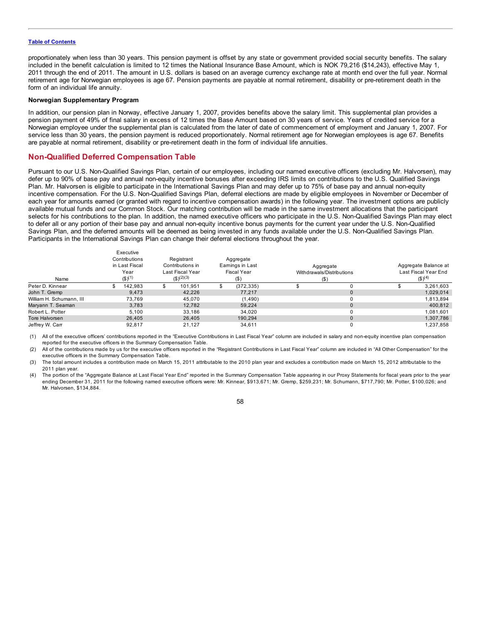proportionately when less than 30 years. This pension payment is offset by any state or government provided social security benefits. The salary included in the benefit calculation is limited to 12 times the National Insurance Base Amount, which is NOK 79,216 (\$14,243), effective May 1, 2011 through the end of 2011. The amount in U.S. dollars is based on an average currency exchange rate at month end over the full year. Normal retirement age for Norwegian employees is age 67. Pension payments are payable at normal retirement, disability or pre-retirement death in the form of an individual life annuity.

## **Norwegian Supplementary Program**

In addition, our pension plan in Norway, effective January 1, 2007, provides benefits above the salary limit. This supplemental plan provides a pension payment of 49% of final salary in excess of 12 times the Base Amount based on 30 years of service. Years of credited service for a Norwegian employee under the supplemental plan is calculated from the later of date of commencement of employment and January 1, 2007. For service less than 30 years, the pension payment is reduced proportionately. Normal retirement age for Norwegian employees is age 67. Benefits are payable at normal retirement, disability or pre-retirement death in the form of individual life annuities.

## **Non-Qualified Deferred Compensation Table**

Pursuant to our U.S. Non-Qualified Savings Plan, certain of our employees, including our named executive officers (excluding Mr. Halvorsen), may defer up to 90% of base pay and annual non-equity incentive bonuses after exceeding IRS limits on contributions to the U.S. Qualified Savings Plan. Mr. Halvorsen is eligible to participate in the International Savings Plan and may defer up to 75% of base pay and annual non-equity incentive compensation. For the U.S. Non-Qualified Savings Plan, deferral elections are made by eligible employees in November or December of each year for amounts earned (or granted with regard to incentive compensation awards) in the following year. The investment options are publicly available mutual funds and our Common Stock. Our matching contribution will be made in the same investment allocations that the participant selects for his contributions to the plan. In addition, the named executive officers who participate in the U.S. Non-Qualified Savings Plan may elect to defer all or any portion of their base pay and annual non-equity incentive bonus payments for the current year under the U.S. Non-Qualified Savings Plan, and the deferred amounts will be deemed as being invested in any funds available under the U.S. Non-Qualified Savings Plan. Participants in the International Savings Plan can change their deferral elections throughout the year.

| Name                     | Executive<br>Contributions<br>in Last Fiscal<br>Year<br>$($ \$) <sup>(1)</sup> | Registrant<br>Contributions in<br>Last Fiscal Year<br>(S)(2)(3) | Aggregate<br>Eamings in Last<br><b>Fiscal Year</b><br>$($ \$ | Aggregate<br>Withdrawals/Distributions<br>$($ \$ | Aggregate Balance at<br>Last Fiscal Year End<br>$($ \$) <sup>(4)</sup> |  |
|--------------------------|--------------------------------------------------------------------------------|-----------------------------------------------------------------|--------------------------------------------------------------|--------------------------------------------------|------------------------------------------------------------------------|--|
| Peter D. Kinnear         | 142.983                                                                        | 101.951                                                         | (372, 335)<br>\$                                             |                                                  | 3,261,603                                                              |  |
| John T. Gremp            | 9.473                                                                          | 42,226                                                          | 77.217                                                       | $\Omega$                                         | 1,029,014                                                              |  |
| William H. Schumann, III | 73.769                                                                         | 45.070                                                          | (1,490)                                                      |                                                  | 1,813,894                                                              |  |
| Maryann T. Seaman        | 3.783                                                                          | 12.782                                                          | 59.224                                                       | 0                                                | 400.812                                                                |  |
| Robert L. Potter         | 5,100                                                                          | 33.186                                                          | 34.020                                                       |                                                  | 1.081.601                                                              |  |
| Tore Halvorsen           | 26,405                                                                         | 26.405                                                          | 190.294                                                      | $\Omega$                                         | 1,307,786                                                              |  |
| Jeffrey W. Carr          | 92,817                                                                         | 21.127                                                          | 34.611                                                       |                                                  | 1,237,858                                                              |  |

(1) All of the executive officers' contributions reported in the "Executive Contributions in Last Fiscal Year" column are included in salary and non-equity incentive plan compensation reported for the executive officers in the Summary Compensation Table.

(2) All of the contributions made by us for the executive officers reported in the "Registrant Contributions in Last Fiscal Year" column are included in "All Other Compensation" for the executive officers in the Summary Compensation Table.

(3) The total amount includes a contribution made on March 15, 2011 attributable to the 2010 plan year and excludes a contribution made on March 15, 2012 attributable to the 2011 plan year.

(4) The portion of the "Aggregate Balance at Last Fiscal Year End" reported in the Summary Compensation Table appearing in our Proxy Statements for fiscal years prior to the year ending December 31, 2011 for the following named executive officers were: Mr. Kinnear, \$913,671; Mr. Gremp, \$259,231; Mr. Schumann, \$717,790; Mr. Potter, \$100,026; and Mr. Halvorsen, \$134,884.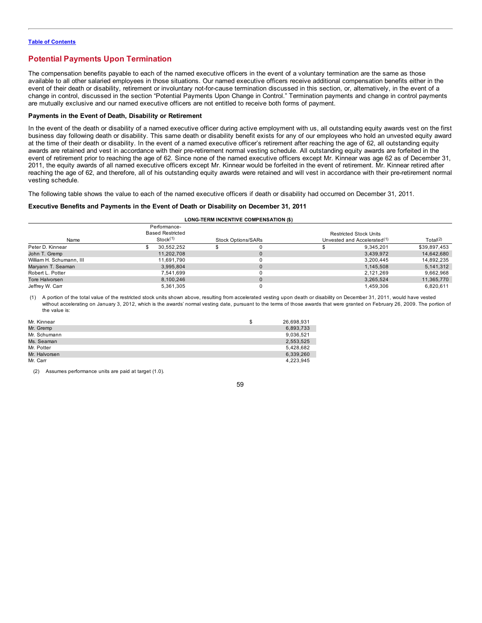## **Potential Payments Upon Termination**

The compensation benefits payable to each of the named executive officers in the event of a voluntary termination are the same as those available to all other salaried employees in those situations. Our named executive officers receive additional compensation benefits either in the event of their death or disability, retirement or involuntary not-for-cause termination discussed in this section, or, alternatively, in the event of a change in control, discussed in the section "Potential Payments Upon Change in Control." Termination payments and change in control payments are mutually exclusive and our named executive officers are not entitled to receive both forms of payment.

## **Payments in the Event of Death, Disability or Retirement**

In the event of the death or disability of a named executive officer during active employment with us, all outstanding equity awards vest on the first business day following death or disability. This same death or disability benefit exists for any of our employees who hold an unvested equity award at the time of their death or disability. In the event of a named executive officer's retirement after reaching the age of 62, all outstanding equity awards are retained and vest in accordance with their pre-retirement normal vesting schedule. All outstanding equity awards are forfeited in the event of retirement prior to reaching the age of 62. Since none of the named executive officers except Mr. Kinnear was age 62 as of December 31, 2011, the equity awards of all named executive officers except Mr. Kinnear would be forfeited in the event of retirement. Mr. Kinnear retired after reaching the age of 62, and therefore, all of his outstanding equity awards were retained and will vest in accordance with their pre-retirement normal vesting schedule.

The following table shows the value to each of the named executive officers if death or disability had occurred on December 31, 2011.

## **Executive Benefits and Payments in the Event of Death or Disability on December 31, 2011**

| <b>LONG-TERM INCENTIVE COMPENSATION (\$)</b> |  |
|----------------------------------------------|--|
|----------------------------------------------|--|

|                          |          | Performance-            |                           |                                         |                               |              |
|--------------------------|----------|-------------------------|---------------------------|-----------------------------------------|-------------------------------|--------------|
|                          |          | <b>Based Restricted</b> |                           |                                         | <b>Restricted Stock Units</b> |              |
| Name                     | Stock(1) |                         | <b>Stock Options/SARs</b> | Unvested and Accelerated <sup>(1)</sup> |                               | Total $(2)$  |
| Peter D. Kinnear         |          | 30.552.252              |                           |                                         | 9.345.201                     | \$39,897,453 |
| John T. Gremp            |          | 11.202.708              |                           |                                         | 3.439.972                     | 14,642,680   |
| William H. Schumann, III |          | 11.691.790              |                           |                                         | 3,200,445                     | 14,892,235   |
| Maryann T. Seaman        |          | 3.995.804               |                           |                                         | 1.145.508                     | 5,141,312    |
| Robert L. Potter         |          | 7.541.699               |                           |                                         | 2.121.269                     | 9.662.968    |
| Tore Halvorsen           |          | 8.100.246               |                           |                                         | 3,265,524                     | 11,365,770   |
| Jeffrey W. Carr          |          | 5,361,305               |                           |                                         | 1.459.306                     | 6,820,611    |

(1) A portion of the total value of the restricted stock units shown above, resulting from accelerated vesting upon death or disability on December 31, 2011, would have vested without accelerating on January 3, 2012, which is the awards' normal vesting date, pursuant to the terms of those awards that were granted on February 26, 2009. The portion of the value is:

| Mr. Kinnear   | ъ | 26,698,931 |
|---------------|---|------------|
| Mr. Gremp     |   | 6,893,733  |
| Mr. Schumann  |   | 9,036,521  |
| Ms. Seaman    |   | 2,553,525  |
| Mr. Potter    |   | 5,428,682  |
| Mr. Halvorsen |   | 6,339,260  |
| Mr. Carr      |   | 4.223.945  |

(2) Assumes performance units are paid at target (1.0).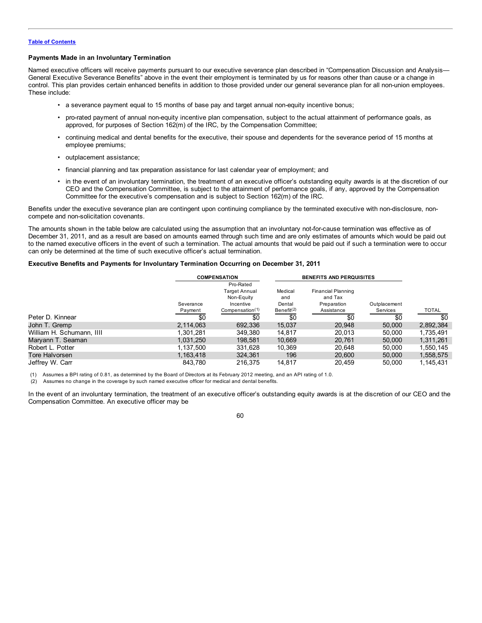## **Payments Made in an Involuntary Termination**

Named executive officers will receive payments pursuant to our executive severance plan described in "Compensation Discussion and Analysis-General Executive Severance Benefits" above in the event their employment is terminated by us for reasons other than cause or a change in control. This plan provides certain enhanced benefits in addition to those provided under our general severance plan for all non-union employees. These include:

- a severance payment equal to 15 months of base pay and target annual non-equity incentive bonus;
- pro-rated payment of annual non-equity incentive plan compensation, subject to the actual attainment of performance goals, as approved, for purposes of Section 162(m) of the IRC, by the Compensation Committee;
- continuing medical and dental benefits for the executive, their spouse and dependents for the severance period of 15 months at employee premiums;
- outplacement assistance;
- financial planning and tax preparation assistance for last calendar year of employment; and
- in the event of an involuntary termination, the treatment of an executive officer's outstanding equity awards is at the discretion of our CEO and the Compensation Committee, is subject to the attainment of performance goals, if any, approved by the Compensation Committee for the executive's compensation and is subject to Section 162(m) of the IRC.

Benefits under the executive severance plan are contingent upon continuing compliance by the terminated executive with non-disclosure, noncompete and non-solicitation covenants.

The amounts shown in the table below are calculated using the assumption that an involuntary not-for-cause termination was effective as of December 31, 2011, and as a result are based on amounts earned through such time and are only estimates of amounts which would be paid out to the named executive officers in the event of such a termination. The actual amounts that would be paid out if such a termination were to occur can only be determined at the time of such executive officer's actual termination.

## **Executive Benefits and Payments for Involuntary Termination Occurring on December 31, 2011**

|                           | <b>COMPENSATION</b> |                             |               | <b>BENEFITS AND PERQUISITES</b> |              |           |  |
|---------------------------|---------------------|-----------------------------|---------------|---------------------------------|--------------|-----------|--|
|                           |                     | Pro-Rated                   |               |                                 |              |           |  |
|                           |                     | <b>Target Annual</b>        | Medical       | <b>Financial Planning</b>       |              |           |  |
|                           |                     | Non-Equity                  | and           | and Tax                         |              |           |  |
|                           | Severance           | Incentive                   | Dental        | Preparation                     | Outplacement |           |  |
|                           | Payment             | Compensation <sup>(1)</sup> | Benefit $(2)$ | Assistance                      | Services     | TOTAL     |  |
| Peter D. Kinnear          | \$0                 | \$0                         | \$0           | \$0                             | \$0          | \$0       |  |
| John T. Gremp             | 2.114.063           | 692.336                     | 15.037        | 20.948                          | 50,000       | 2,892,384 |  |
| William H. Schumann, IIII | 1.301.281           | 349.380                     | 14.817        | 20.013                          | 50,000       | 1,735,491 |  |
| Maryann T. Seaman         | 1,031,250           | 198.581                     | 10.669        | 20.761                          | 50,000       | 1,311,261 |  |
| Robert L. Potter          | 1.137.500           | 331.628                     | 10,369        | 20.648                          | 50.000       | 1,550,145 |  |
| Tore Halvorsen            | 1,163,418           | 324,361                     | 196           | 20,600                          | 50,000       | 1,558,575 |  |
| Jeffrey W. Carr           | 843.780             | 216.375                     | 14.817        | 20.459                          | 50.000       | 1.145.431 |  |

(1) Assumes a BPI rating of 0.81, as determined by the Board of Directors at its February 2012 meeting, and an API rating of 1.0.

(2) Assumes no change in the coverage by such named executive officer for medical and dental benefits.

In the event of an involuntary termination, the treatment of an executive officer's outstanding equity awards is at the discretion of our CEO and the Compensation Committee. An executive officer may be

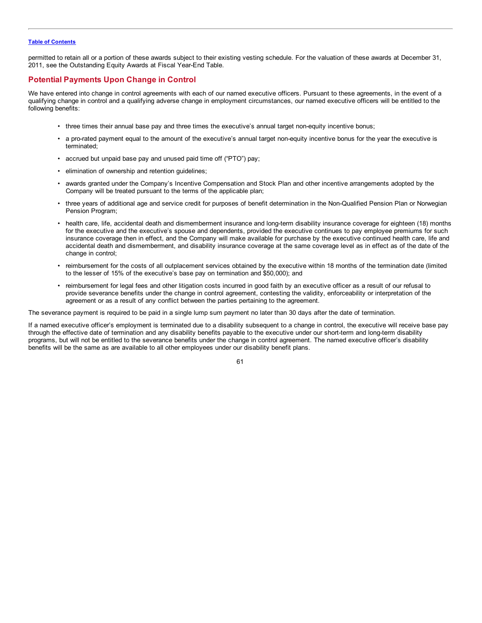permitted to retain all or a portion of these awards subject to their existing vesting schedule. For the valuation of these awards at December 31, 2011, see the Outstanding Equity Awards at Fiscal Year-End Table.

## **Potential Payments Upon Change in Control**

We have entered into change in control agreements with each of our named executive officers. Pursuant to these agreements, in the event of a qualifying change in control and a qualifying adverse change in employment circumstances, our named executive officers will be entitled to the following benefits:

- three times their annual base pay and three times the executive's annual target non-equity incentive bonus;
- a pro-rated payment equal to the amount of the executive's annual target non-equity incentive bonus for the year the executive is terminated;
- accrued but unpaid base pay and unused paid time off ("PTO") pay;
- elimination of ownership and retention guidelines;
- awards granted under the Company's Incentive Compensation and Stock Plan and other incentive arrangements adopted by the Company will be treated pursuant to the terms of the applicable plan;
- three years of additional age and service credit for purposes of benefit determination in the Non-Qualified Pension Plan or Norwegian Pension Program;
- health care, life, accidental death and dismemberment insurance and long-term disability insurance coverage for eighteen (18) months for the executive and the executive's spouse and dependents, provided the executive continues to pay employee premiums for such insurance coverage then in effect, and the Company will make available for purchase by the executive continued health care, life and accidental death and dismemberment, and disability insurance coverage at the same coverage level as in effect as of the date of the change in control;
- reimbursement for the costs of all outplacement services obtained by the executive within 18 months of the termination date (limited to the lesser of 15% of the executive's base pay on termination and \$50,000); and
- reimbursement for legal fees and other litigation costs incurred in good faith by an executive officer as a result of our refusal to provide severance benefits under the change in control agreement, contesting the validity, enforceability or interpretation of the agreement or as a result of any conflict between the parties pertaining to the agreement.

The severance payment is required to be paid in a single lump sum payment no later than 30 days after the date of termination.

If a named executive officer's employment is terminated due to a disability subsequent to a change in control, the executive will receive base pay through the effective date of termination and any disability benefits payable to the executive under our short-term and long-term disability programs, but will not be entitled to the severance benefits under the change in control agreement. The named executive officer's disability benefits will be the same as are available to all other employees under our disability benefit plans.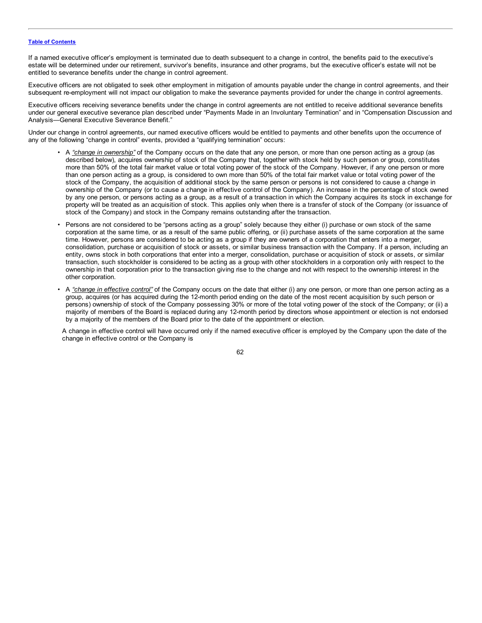If a named executive officer's employment is terminated due to death subsequent to a change in control, the benefits paid to the executive's estate will be determined under our retirement, survivor's benefits, insurance and other programs, but the executive officer's estate will not be entitled to severance benefits under the change in control agreement.

Executive officers are not obligated to seek other employment in mitigation of amounts payable under the change in control agreements, and their subsequent re-employment will not impact our obligation to make the severance payments provided for under the change in control agreements.

Executive officers receiving severance benefits under the change in control agreements are not entitled to receive additional severance benefits under our general executive severance plan described under "Payments Made in an Involuntary Termination" and in "Compensation Discussion and Analysis—General Executive Severance Benefit."

Under our change in control agreements, our named executive officers would be entitled to payments and other benefits upon the occurrence of any of the following "change in control" events, provided a "qualifying termination" occurs:

- A *"change in ownership"* of the Company occurs on the date that any one person, or more than one person acting as a group (as described below), acquires ownership of stock of the Company that, together with stock held by such person or group, constitutes more than 50% of the total fair market value or total voting power of the stock of the Company. However, if any one person or more than one person acting as a group, is considered to own more than 50% of the total fair market value or total voting power of the stock of the Company, the acquisition of additional stock by the same person or persons is not considered to cause a change in ownership of the Company (or to cause a change in effective control of the Company). An increase in the percentage of stock owned by any one person, or persons acting as a group, as a result of a transaction in which the Company acquires its stock in exchange for property will be treated as an acquisition of stock. This applies only when there is a transfer of stock of the Company (or issuance of stock of the Company) and stock in the Company remains outstanding after the transaction.
- Persons are not considered to be "persons acting as a group" solely because they either (i) purchase or own stock of the same corporation at the same time, or as a result of the same public offering, or (ii) purchase assets of the same corporation at the same time. However, persons are considered to be acting as a group if they are owners of a corporation that enters into a merger, consolidation, purchase or acquisition of stock or assets, or similar business transaction with the Company. If a person, including an entity, owns stock in both corporations that enter into a merger, consolidation, purchase or acquisition of stock or assets, or similar transaction, such stockholder is considered to be acting as a group with other stockholders in a corporation only with respect to the ownership in that corporation prior to the transaction giving rise to the change and not with respect to the ownership interest in the other corporation.
- A *"change in effective control"* of the Company occurs on the date that either (i) any one person, or more than one person acting as a group, acquires (or has acquired during the 12-month period ending on the date of the most recent acquisition by such person or persons) ownership of stock of the Company possessing 30% or more of the total voting power of the stock of the Company; or (ii) a majority of members of the Board is replaced during any 12-month period by directors whose appointment or election is not endorsed by a majority of the members of the Board prior to the date of the appointment or election.

A change in effective control will have occurred only if the named executive officer is employed by the Company upon the date of the change in effective control or the Company is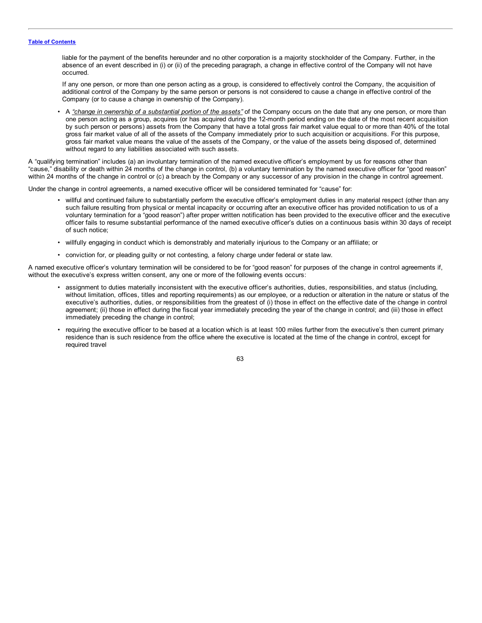liable for the payment of the benefits hereunder and no other corporation is a majority stockholder of the Company. Further, in the absence of an event described in (i) or (ii) of the preceding paragraph, a change in effective control of the Company will not have occurred.

If any one person, or more than one person acting as a group, is considered to effectively control the Company, the acquisition of additional control of the Company by the same person or persons is not considered to cause a change in effective control of the Company (or to cause a change in ownership of the Company).

• A *"change in ownership of a substantial portion of the assets"* of the Company occurs on the date that any one person, or more than one person acting as a group, acquires (or has acquired during the 12-month period ending on the date of the most recent acquisition by such person or persons) assets from the Company that have a total gross fair market value equal to or more than 40% of the total gross fair market value of all of the assets of the Company immediately prior to such acquisition or acquisitions. For this purpose, gross fair market value means the value of the assets of the Company, or the value of the assets being disposed of, determined without regard to any liabilities associated with such assets.

A "qualifying termination" includes (a) an involuntary termination of the named executive officer's employment by us for reasons other than "cause," disability or death within 24 months of the change in control, (b) a voluntary termination by the named executive officer for "good reason" within 24 months of the change in control or (c) a breach by the Company or any successor of any provision in the change in control agreement.

Under the change in control agreements, a named executive officer will be considered terminated for "cause" for:

- willful and continued failure to substantially perform the executive officer's employment duties in any material respect (other than any such failure resulting from physical or mental incapacity or occurring after an executive officer has provided notification to us of a voluntary termination for a "good reason") after proper written notification has been provided to the executive officer and the executive officer fails to resume substantial performance of the named executive officer's duties on a continuous basis within 30 days of receipt of such notice;
- willfully engaging in conduct which is demonstrably and materially injurious to the Company or an affiliate; or
- conviction for, or pleading guilty or not contesting, a felony charge under federal or state law.

A named executive officer's voluntary termination will be considered to be for "good reason" for purposes of the change in control agreements if, without the executive's express written consent, any one or more of the following events occurs:

- assignment to duties materially inconsistent with the executive officer's authorities, duties, responsibilities, and status (including, without limitation, offices, titles and reporting requirements) as our employee, or a reduction or alteration in the nature or status of the executive's authorities, duties, or responsibilities from the greatest of (i) those in effect on the effective date of the change in control agreement; (ii) those in effect during the fiscal year immediately preceding the year of the change in control; and (iii) those in effect immediately preceding the change in control;
- requiring the executive officer to be based at a location which is at least 100 miles further from the executive's then current primary residence than is such residence from the office where the executive is located at the time of the change in control, except for required travel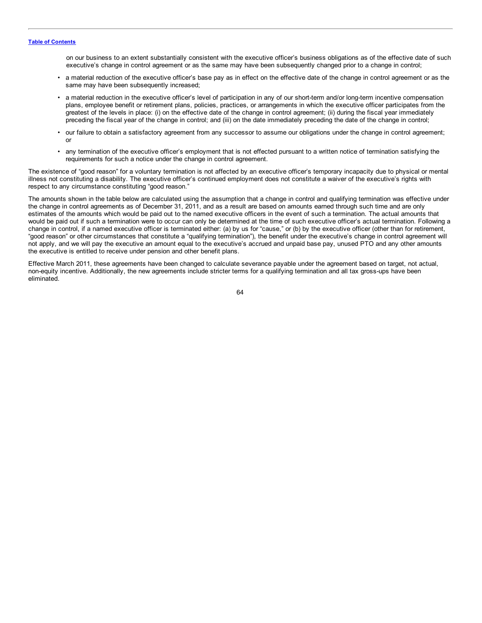on our business to an extent substantially consistent with the executive officer's business obligations as of the effective date of such executive's change in control agreement or as the same may have been subsequently changed prior to a change in control;

- a material reduction of the executive officer's base pay as in effect on the effective date of the change in control agreement or as the same may have been subsequently increased;
- a material reduction in the executive officer's level of participation in any of our short-term and/or long-term incentive compensation plans, employee benefit or retirement plans, policies, practices, or arrangements in which the executive officer participates from the greatest of the levels in place: (i) on the effective date of the change in control agreement; (ii) during the fiscal year immediately preceding the fiscal year of the change in control; and (iii) on the date immediately preceding the date of the change in control;
- our failure to obtain a satisfactory agreement from any successor to assume our obligations under the change in control agreement; or
- any termination of the executive officer's employment that is not effected pursuant to a written notice of termination satisfying the requirements for such a notice under the change in control agreement.

The existence of "good reason" for a voluntary termination is not affected by an executive officer's temporary incapacity due to physical or mental illness not constituting a disability. The executive officer's continued employment does not constitute a waiver of the executive's rights with respect to any circumstance constituting "good reason."

The amounts shown in the table below are calculated using the assumption that a change in control and qualifying termination was effective under the change in control agreements as of December 31, 2011, and as a result are based on amounts earned through such time and are only estimates of the amounts which would be paid out to the named executive officers in the event of such a termination. The actual amounts that would be paid out if such a termination were to occur can only be determined at the time of such executive officer's actual termination. Following a change in control, if a named executive officer is terminated either: (a) by us for "cause," or (b) by the executive officer (other than for retirement, "good reason" or other circumstances that constitute a "qualifying termination"), the benefit under the executive's change in control agreement will not apply, and we will pay the executive an amount equal to the executive's accrued and unpaid base pay, unused PTO and any other amounts the executive is entitled to receive under pension and other benefit plans.

Effective March 2011, these agreements have been changed to calculate severance payable under the agreement based on target, not actual, non-equity incentive. Additionally, the new agreements include stricter terms for a qualifying termination and all tax gross-ups have been eliminated.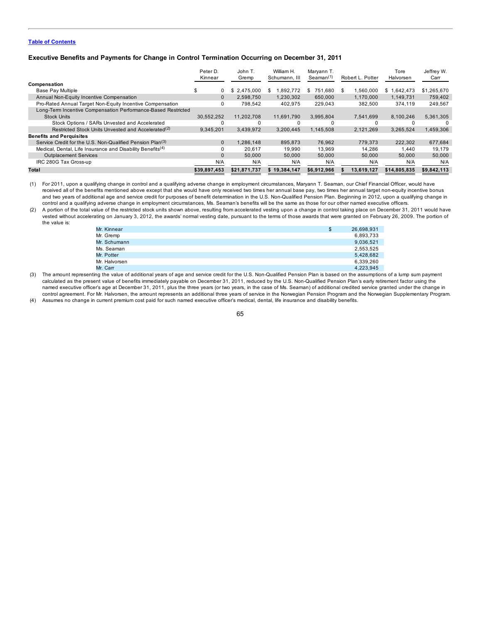## **Executive Benefits and Payments for Change in Control Termination Occurring on December 31, 2011**

|                                                                        | Peter D.<br>Kinnear | John T.<br>Gremp | William H.<br>Schumann, III | Maryann T.<br>Seaman <sup>(1)</sup> | Robert L. Potter | Tore<br>Halvorsen | Jeffrey W.<br>Carr |
|------------------------------------------------------------------------|---------------------|------------------|-----------------------------|-------------------------------------|------------------|-------------------|--------------------|
| Compensation                                                           |                     |                  |                             |                                     |                  |                   |                    |
| <b>Base Pay Multiple</b>                                               | 0                   | \$<br>2.475.000  | ,892,772<br>S               | 751.680<br>S                        | .560.000<br>-SS  | \$1.642.473       | \$1,265,670        |
| Annual Non-Equity Incentive Compensation                               | $\mathbf{0}$        | 2.598.750        | 1.230.302                   | 650,000                             | 1.170.000        | 1.149.731         | 759.402            |
| Pro-Rated Annual Target Non-Equity Incentive Compensation              | 0                   | 798.542          | 402.975                     | 229.043                             | 382.500          | 374.119           | 249.567            |
| Long-Term Incentive Compensation Performance-Based Restricted          |                     |                  |                             |                                     |                  |                   |                    |
| <b>Stock Units</b>                                                     | 30.552.252          | 11.202.708       | 11.691.790                  | 3.995.804                           | 7.541.699        | 8.100.246         | 5,361,305          |
| Stock Options / SARs Unvested and Accelerated                          |                     |                  |                             |                                     |                  |                   | $\Omega$           |
| Restricted Stock Units Unvested and Accelerated <sup>(2)</sup>         | 9.345.201           | 3.439.972        | 3.200.445                   | 1.145.508                           | 2.121.269        | 3.265.524         | 1.459.306          |
| <b>Benefits and Perquisites</b>                                        |                     |                  |                             |                                     |                  |                   |                    |
| Service Credit for the U.S. Non-Qualified Pension Plan <sup>(3)</sup>  | $\mathbf{0}$        | .286.148         | 895.873                     | 76.962                              | 779.373          | 222.302           | 677.684            |
| Medical, Dental, Life Insurance and Disability Benefits <sup>(4)</sup> | 0                   | 20.617           | 19.990                      | 13.969                              | 14.286           | 1.440             | 19,179             |
| <b>Outplacement Services</b>                                           | $\mathbf{0}$        | 50,000           | 50,000                      | 50,000                              | 50,000           | 50,000            | 50,000             |
| IRC 280G Tax Gross-up                                                  | N/A                 | N/A              | N/A                         | N/A                                 | N/A              | N/A               | N/A                |
| Total                                                                  | \$39,897,453        | \$21.871.737     | \$19.384.147                | \$6.912.966                         | 13.619.127       | \$14.805.835      | \$9.842.113        |

(1) For 2011, upon a qualifying change in control and a qualifying adverse change in employment circumstances, Maryann T. Seaman, our Chief Financial Officer, would have received all of the benefits mentioned above except that she would have only received two times her annual base pay, two times her annual target non-equity incentive bonus and two years of additional age and service credit for purposes of benefit determination in the U.S. Non-Qualified Pension Plan. Beginning in 2012, upon a qualifying change in control and a qualifying adverse change in employment circumstances, Ms. Seaman's benefits will be the same as those for our other named executive officers.

(2) A portion of the total value of the restricted stock units shown above, resulting from accelerated vesting upon a change in control taking place on December 31, 2011 would have vested without accelerating on January 3, 2012, the awards' normal vesting date, pursuant to the terms of those awards that were granted on February 26, 2009. The portion of the value is:

| Mr. Kinnear   | \$<br>26,698,931 |
|---------------|------------------|
| Mr. Gremp     | 6,893,733        |
| Mr. Schumann  | 9,036,521        |
| Ms. Seaman    | 2,553,525        |
| Mr. Potter    | 5.428.682        |
| Mr. Halvorsen | 6,339,260        |
| Mr. Carr      | 4.223.945        |

(3) The amount representing the value of additional years of age and service credit for the U.S. Non-Qualified Pension Plan is based on the assumptions of a lump sum payment calculated as the present value of benefits immediately payable on December 31, 2011, reduced by the U.S. Non-Qualified Pension Plan's early retirement factor using the named executive officer's age at December 31, 2011, plus the three years (or two years, in the case of Ms. Seaman) of additional credited service granted under the change in control agreement. For Mr. Halvorsen, the amount represents an additional three years of service in the Norwegian Pension Program and the Norwegian Supplementary Program. (4) Assumes no change in current premium cost paid for such named executive officer's medical, dental, life insurance and disability benefits.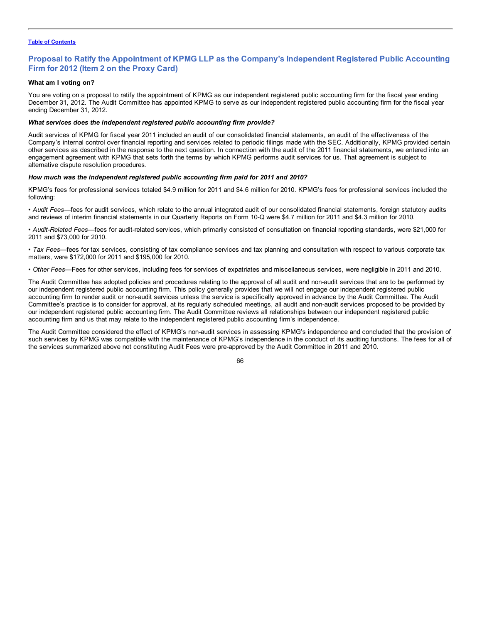## **Proposal to Ratify the Appointment of KPMG LLP as the Company's Independent Registered Public Accounting Firm for 2012 (Item 2 on the Proxy Card)**

## **What am I voting on?**

You are voting on a proposal to ratify the appointment of KPMG as our independent registered public accounting firm for the fiscal year ending December 31, 2012. The Audit Committee has appointed KPMG to serve as our independent registered public accounting firm for the fiscal year ending December 31, 2012.

## *What services does the independent registered public accounting firm provide?*

Audit services of KPMG for fiscal year 2011 included an audit of our consolidated financial statements, an audit of the effectiveness of the Company's internal control over financial reporting and services related to periodic filings made with the SEC. Additionally, KPMG provided certain other services as described in the response to the next question. In connection with the audit of the 2011 financial statements, we entered into an engagement agreement with KPMG that sets forth the terms by which KPMG performs audit services for us. That agreement is subject to alternative dispute resolution procedures.

## *How much was the independent registered public accounting firm paid for 2011 and 2010?*

KPMG's fees for professional services totaled \$4.9 million for 2011 and \$4.6 million for 2010. KPMG's fees for professional services included the following:

• *Audit Fees—*fees for audit services, which relate to the annual integrated audit of our consolidated financial statements, foreign statutory audits and reviews of interim financial statements in our Quarterly Reports on Form 10-Q were \$4.7 million for 2011 and \$4.3 million for 2010.

• *Audit-Related Fees*—fees for audit-related services, which primarily consisted of consultation on financial reporting standards, were \$21,000 for 2011 and \$73,000 for 2010.

• *Tax Fees*—fees for tax services, consisting of tax compliance services and tax planning and consultation with respect to various corporate tax matters, were \$172,000 for 2011 and \$195,000 for 2010.

• *Other Fees*—Fees for other services, including fees for services of expatriates and miscellaneous services, were negligible in 2011 and 2010.

The Audit Committee has adopted policies and procedures relating to the approval of all audit and non-audit services that are to be performed by our independent registered public accounting firm. This policy generally provides that we will not engage our independent registered public accounting firm to render audit or non-audit services unless the service is specifically approved in advance by the Audit Committee. The Audit Committee's practice is to consider for approval, at its regularly scheduled meetings, all audit and non-audit services proposed to be provided by our independent registered public accounting firm. The Audit Committee reviews all relationships between our independent registered public accounting firm and us that may relate to the independent registered public accounting firm's independence.

The Audit Committee considered the effect of KPMG's non-audit services in assessing KPMG's independence and concluded that the provision of such services by KPMG was compatible with the maintenance of KPMG's independence in the conduct of its auditing functions. The fees for all of the services summarized above not constituting Audit Fees were pre-approved by the Audit Committee in 2011 and 2010.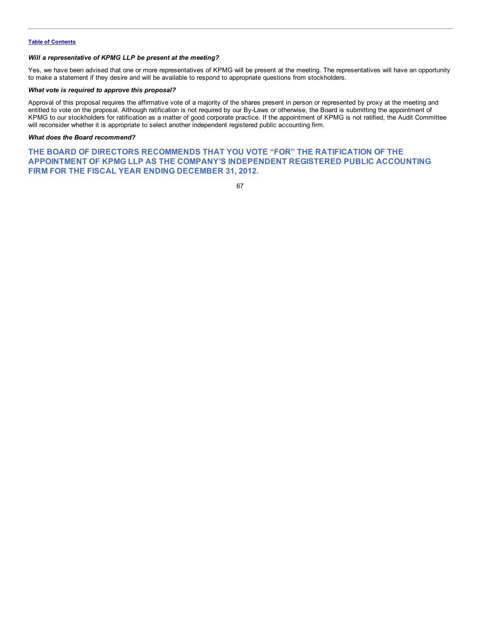## *Will a representative of KPMG LLP be present at the meeting?*

Yes, we have been advised that one or more representatives of KPMG will be present at the meeting. The representatives will have an opportunity to make a statement if they desire and will be available to respond to appropriate questions from stockholders.

## *What vote is required to approve this proposal?*

Approval of this proposal requires the affirmative vote of a majority of the shares present in person or represented by proxy at the meeting and entitled to vote on the proposal. Although ratification is not required by our By-Laws or otherwise, the Board is submitting the appointment of KPMG to our stockholders for ratification as a matter of good corporate practice. If the appointment of KPMG is not ratified, the Audit Committee will reconsider whether it is appropriate to select another independent registered public accounting firm.

## *What does the Board recommend?*

**THE BOARD OF DIRECTORS RECOMMENDS THAT YOU VOTE "FOR" THE RATIFICATION OF THE APPOINTMENT OF KPMG LLP AS THE COMPANY'S INDEPENDENT REGISTERED PUBLIC ACCOUNTING FIRM FOR THE FISCAL YEAR ENDING DECEMBER 31, 2012.**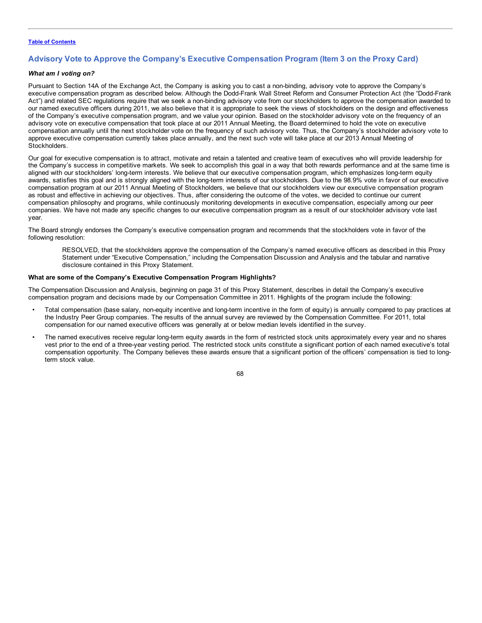## **Advisory Vote to Approve the Company's Executive Compensation Program (Item 3 on the Proxy Card)**

## *What am I voting on?*

Pursuant to Section 14A of the Exchange Act, the Company is asking you to cast a non-binding, advisory vote to approve the Company's executive compensation program as described below. Although the Dodd-Frank Wall Street Reform and Consumer Protection Act (the "Dodd-Frank Act") and related SEC regulations require that we seek a non-binding advisory vote from our stockholders to approve the compensation awarded to our named executive officers during 2011, we also believe that it is appropriate to seek the views of stockholders on the design and effectiveness of the Company's executive compensation program, and we value your opinion. Based on the stockholder advisory vote on the frequency of an advisory vote on executive compensation that took place at our 2011 Annual Meeting, the Board determined to hold the vote on executive compensation annually until the next stockholder vote on the frequency of such advisory vote. Thus, the Company's stockholder advisory vote to approve executive compensation currently takes place annually, and the next such vote will take place at our 2013 Annual Meeting of Stockholders.

Our goal for executive compensation is to attract, motivate and retain a talented and creative team of executives who will provide leadership for the Company's success in competitive markets. We seek to accomplish this goal in a way that both rewards performance and at the same time is aligned with our stockholders' long-term interests. We believe that our executive compensation program, which emphasizes long-term equity awards, satisfies this goal and is strongly aligned with the long-term interests of our stockholders. Due to the 98.9% vote in favor of our executive compensation program at our 2011 Annual Meeting of Stockholders, we believe that our stockholders view our executive compensation program as robust and effective in achieving our objectives. Thus, after considering the outcome of the votes, we decided to continue our current compensation philosophy and programs, while continuously monitoring developments in executive compensation, especially among our peer companies. We have not made any specific changes to our executive compensation program as a result of our stockholder advisory vote last year.

The Board strongly endorses the Company's executive compensation program and recommends that the stockholders vote in favor of the following resolution:

RESOLVED, that the stockholders approve the compensation of the Company's named executive officers as described in this Proxy Statement under "Executive Compensation," including the Compensation Discussion and Analysis and the tabular and narrative disclosure contained in this Proxy Statement.

## **What are some of the Company's Executive Compensation Program Highlights?**

The Compensation Discussion and Analysis, beginning on page 31 of this Proxy Statement, describes in detail the Company's executive compensation program and decisions made by our Compensation Committee in 2011. Highlights of the program include the following:

- Total compensation (base salary, non-equity incentive and long-term incentive in the form of equity) is annually compared to pay practices at the Industry Peer Group companies. The results of the annual survey are reviewed by the Compensation Committee. For 2011, total compensation for our named executive officers was generally at or below median levels identified in the survey.
- The named executives receive regular long-term equity awards in the form of restricted stock units approximately every year and no shares vest prior to the end of a three-year vesting period. The restricted stock units constitute a significant portion of each named executive's total compensation opportunity. The Company believes these awards ensure that a significant portion of the officers' compensation is tied to longterm stock value.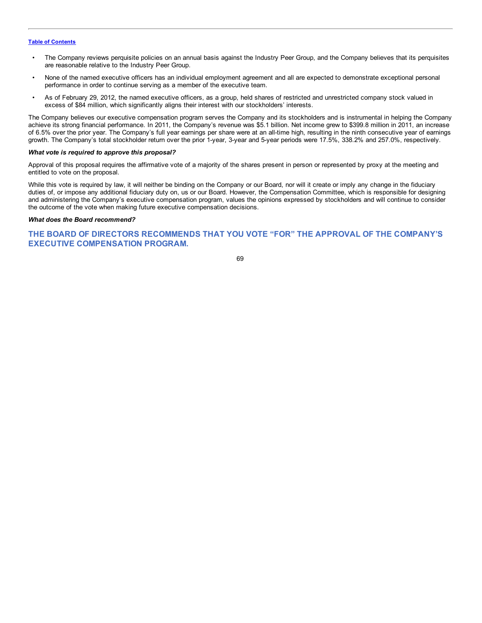- The Company reviews perquisite policies on an annual basis against the Industry Peer Group, and the Company believes that its perquisites are reasonable relative to the Industry Peer Group.
- None of the named executive officers has an individual employment agreement and all are expected to demonstrate exceptional personal performance in order to continue serving as a member of the executive team.
- As of February 29, 2012, the named executive officers, as a group, held shares of restricted and unrestricted company stock valued in excess of \$84 million, which significantly aligns their interest with our stockholders' interests.

The Company believes our executive compensation program serves the Company and its stockholders and is instrumental in helping the Company achieve its strong financial performance. In 2011, the Company's revenue was \$5.1 billion. Net income grew to \$399.8 million in 2011, an increase of 6.5% over the prior year. The Company's full year earnings per share were at an all-time high, resulting in the ninth consecutive year of earnings growth. The Company's total stockholder return over the prior 1-year, 3-year and 5-year periods were 17.5%, 338.2% and 257.0%, respectively.

## *What vote is required to approve this proposal?*

Approval of this proposal requires the affirmative vote of a majority of the shares present in person or represented by proxy at the meeting and entitled to vote on the proposal.

While this vote is required by law, it will neither be binding on the Company or our Board, nor will it create or imply any change in the fiduciary duties of, or impose any additional fiduciary duty on, us or our Board. However, the Compensation Committee, which is responsible for designing and administering the Company's executive compensation program, values the opinions expressed by stockholders and will continue to consider the outcome of the vote when making future executive compensation decisions.

## *What does the Board recommend?*

## **THE BOARD OF DIRECTORS RECOMMENDS THAT YOU VOTE "FOR" THE APPROVAL OF THE COMPANY'S EXECUTIVE COMPENSATION PROGRAM.**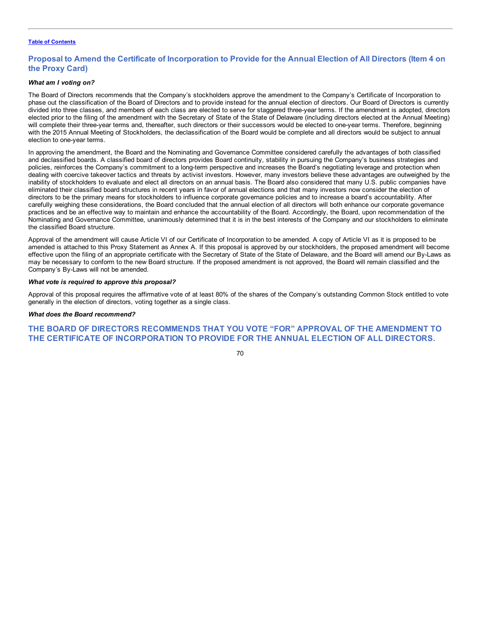# Proposal to Amend the Certificate of Incorporation to Provide for the Annual Election of All Directors (Item 4 on **the Proxy Card)**

#### *What am I voting on?*

The Board of Directors recommends that the Company's stockholders approve the amendment to the Company's Certificate of Incorporation to phase out the classification of the Board of Directors and to provide instead for the annual election of directors. Our Board of Directors is currently divided into three classes, and members of each class are elected to serve for staggered three-year terms. If the amendment is adopted, directors elected prior to the filing of the amendment with the Secretary of State of the State of Delaware (including directors elected at the Annual Meeting) will complete their three-year terms and, thereafter, such directors or their successors would be elected to one-year terms. Therefore, beginning with the 2015 Annual Meeting of Stockholders, the declassification of the Board would be complete and all directors would be subject to annual election to one-year terms.

In approving the amendment, the Board and the Nominating and Governance Committee considered carefully the advantages of both classified and declassified boards. A classified board of directors provides Board continuity, stability in pursuing the Company's business strategies and policies, reinforces the Company's commitment to a long-term perspective and increases the Board's negotiating leverage and protection when dealing with coercive takeover tactics and threats by activist investors. However, many investors believe these advantages are outweighed by the inability of stockholders to evaluate and elect all directors on an annual basis. The Board also considered that many U.S. public companies have eliminated their classified board structures in recent years in favor of annual elections and that many investors now consider the election of directors to be the primary means for stockholders to influence corporate governance policies and to increase a board's accountability. After carefully weighing these considerations, the Board concluded that the annual election of all directors will both enhance our corporate governance practices and be an effective way to maintain and enhance the accountability of the Board. Accordingly, the Board, upon recommendation of the Nominating and Governance Committee, unanimously determined that it is in the best interests of the Company and our stockholders to eliminate the classified Board structure.

Approval of the amendment will cause Article VI of our Certificate of Incorporation to be amended. A copy of Article VI as it is proposed to be amended is attached to this Proxy Statement as Annex A. If this proposal is approved by our stockholders, the proposed amendment will become effective upon the filing of an appropriate certificate with the Secretary of State of the State of Delaware, and the Board will amend our By-Laws as may be necessary to conform to the new Board structure. If the proposed amendment is not approved, the Board will remain classified and the Company's By-Laws will not be amended.

#### *What vote is required to approve this proposal?*

Approval of this proposal requires the affirmative vote of at least 80% of the shares of the Company's outstanding Common Stock entitled to vote generally in the election of directors, voting together as a single class.

#### *What does the Board recommend?*

# **THE BOARD OF DIRECTORS RECOMMENDS THAT YOU VOTE "FOR" APPROVAL OF THE AMENDMENT TO THE CERTIFICATE OF INCORPORATION TO PROVIDE FOR THE ANNUAL ELECTION OF ALL DIRECTORS.**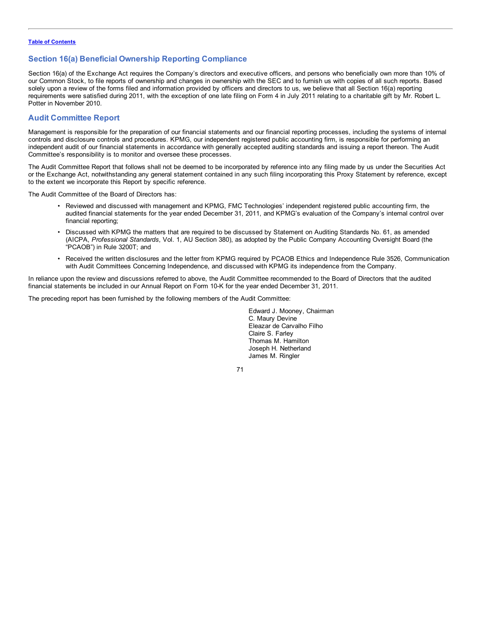# **Section 16(a) Beneficial Ownership Reporting Compliance**

Section 16(a) of the Exchange Act requires the Company's directors and executive officers, and persons who beneficially own more than 10% of our Common Stock, to file reports of ownership and changes in ownership with the SEC and to furnish us with copies of all such reports. Based solely upon a review of the forms filed and information provided by officers and directors to us, we believe that all Section 16(a) reporting requirements were satisfied during 2011, with the exception of one late filing on Form 4 in July 2011 relating to a charitable gift by Mr. Robert L. Potter in November 2010.

# **Audit Committee Report**

Management is responsible for the preparation of our financial statements and our financial reporting processes, including the systems of internal controls and disclosure controls and procedures. KPMG, our independent registered public accounting firm, is responsible for performing an independent audit of our financial statements in accordance with generally accepted auditing standards and issuing a report thereon. The Audit Committee's responsibility is to monitor and oversee these processes.

The Audit Committee Report that follows shall not be deemed to be incorporated by reference into any filing made by us under the Securities Act or the Exchange Act, notwithstanding any general statement contained in any such filing incorporating this Proxy Statement by reference, except to the extent we incorporate this Report by specific reference.

The Audit Committee of the Board of Directors has:

- Reviewed and discussed with management and KPMG, FMC Technologies' independent registered public accounting firm, the audited financial statements for the year ended December 31, 2011, and KPMG's evaluation of the Company's internal control over financial reporting;
- Discussed with KPMG the matters that are required to be discussed by Statement on Auditing Standards No. 61, as amended (AICPA, *Professional Standards*, Vol. 1, AU Section 380), as adopted by the Public Company Accounting Oversight Board (the "PCAOB") in Rule 3200T; and
- Received the written disclosures and the letter from KPMG required by PCAOB Ethics and Independence Rule 3526, Communication with Audit Committees Concerning Independence, and discussed with KPMG its independence from the Company.

In reliance upon the review and discussions referred to above, the Audit Committee recommended to the Board of Directors that the audited financial statements be included in our Annual Report on Form 10-K for the year ended December 31, 2011.

The preceding report has been furnished by the following members of the Audit Committee:

Edward J. Mooney, Chairman C. Maury Devine Eleazar de Carvalho Filho Claire S. Farley Thomas M. Hamilton Joseph H. Netherland James M. Ringler

71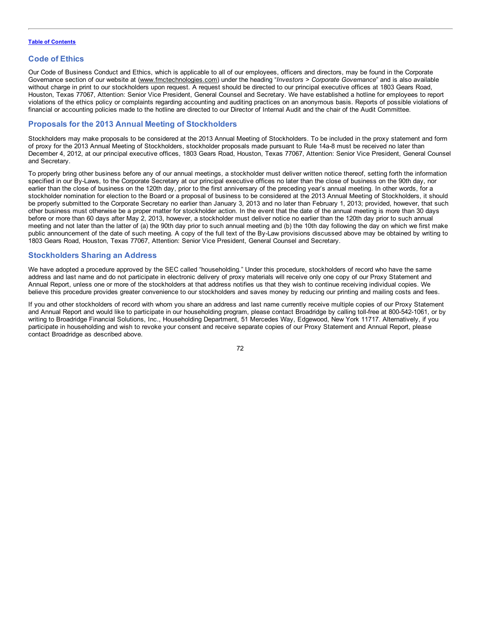# **Code of Ethics**

Our Code of Business Conduct and Ethics, which is applicable to all of our employees, officers and directors, may be found in the Corporate Governance section of our website at (www.fmctechnologies.com) under the heading "*Investors > Corporate Governance*" and is also available without charge in print to our stockholders upon request. A request should be directed to our principal executive offices at 1803 Gears Road, Houston, Texas 77067, Attention: Senior Vice President, General Counsel and Secretary. We have established a hotline for employees to report violations of the ethics policy or complaints regarding accounting and auditing practices on an anonymous basis. Reports of possible violations of financial or accounting policies made to the hotline are directed to our Director of Internal Audit and the chair of the Audit Committee.

# **Proposals for the 2013 Annual Meeting of Stockholders**

Stockholders may make proposals to be considered at the 2013 Annual Meeting of Stockholders. To be included in the proxy statement and form of proxy for the 2013 Annual Meeting of Stockholders, stockholder proposals made pursuant to Rule 14a-8 must be received no later than December 4, 2012, at our principal executive offices, 1803 Gears Road, Houston, Texas 77067, Attention: Senior Vice President, General Counsel and Secretary.

To properly bring other business before any of our annual meetings, a stockholder must deliver written notice thereof, setting forth the information specified in our By-Laws, to the Corporate Secretary at our principal executive offices no later than the close of business on the 90th day, nor earlier than the close of business on the 120th day, prior to the first anniversary of the preceding year's annual meeting. In other words, for a stockholder nomination for election to the Board or a proposal of business to be considered at the 2013 Annual Meeting of Stockholders, it should be properly submitted to the Corporate Secretary no earlier than January 3, 2013 and no later than February 1, 2013; provided, however, that such other business must otherwise be a proper matter for stockholder action. In the event that the date of the annual meeting is more than 30 days before or more than 60 days after May 2, 2013, however, a stockholder must deliver notice no earlier than the 120th day prior to such annual meeting and not later than the latter of (a) the 90th day prior to such annual meeting and (b) the 10th day following the day on which we first make public announcement of the date of such meeting. A copy of the full text of the By-Law provisions discussed above may be obtained by writing to 1803 Gears Road, Houston, Texas 77067, Attention: Senior Vice President, General Counsel and Secretary.

# **Stockholders Sharing an Address**

We have adopted a procedure approved by the SEC called "householding." Under this procedure, stockholders of record who have the same address and last name and do not participate in electronic delivery of proxy materials will receive only one copy of our Proxy Statement and Annual Report, unless one or more of the stockholders at that address notifies us that they wish to continue receiving individual copies. We believe this procedure provides greater convenience to our stockholders and saves money by reducing our printing and mailing costs and fees.

If you and other stockholders of record with whom you share an address and last name currently receive multiple copies of our Proxy Statement and Annual Report and would like to participate in our householding program, please contact Broadridge by calling toll-free at 800-542-1061, or by writing to Broadridge Financial Solutions, Inc., Householding Department, 51 Mercedes Way, Edgewood, New York 11717. Alternatively, if you participate in householding and wish to revoke your consent and receive separate copies of our Proxy Statement and Annual Report, please contact Broadridge as described above.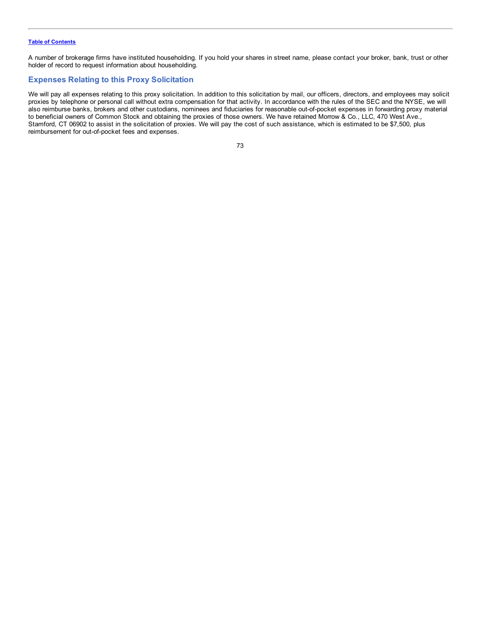A number of brokerage firms have instituted householding. If you hold your shares in street name, please contact your broker, bank, trust or other holder of record to request information about householding.

# **Expenses Relating to this Proxy Solicitation**

We will pay all expenses relating to this proxy solicitation. In addition to this solicitation by mail, our officers, directors, and employees may solicit proxies by telephone or personal call without extra compensation for that activity. In accordance with the rules of the SEC and the NYSE, we will also reimburse banks, brokers and other custodians, nominees and fiduciaries for reasonable out-of-pocket expenses in forwarding proxy material to beneficial owners of Common Stock and obtaining the proxies of those owners. We have retained Morrow & Co., LLC, 470 West Ave., Stamford, CT 06902 to assist in the solicitation of proxies. We will pay the cost of such assistance, which is estimated to be \$7,500, plus reimbursement for out-of-pocket fees and expenses.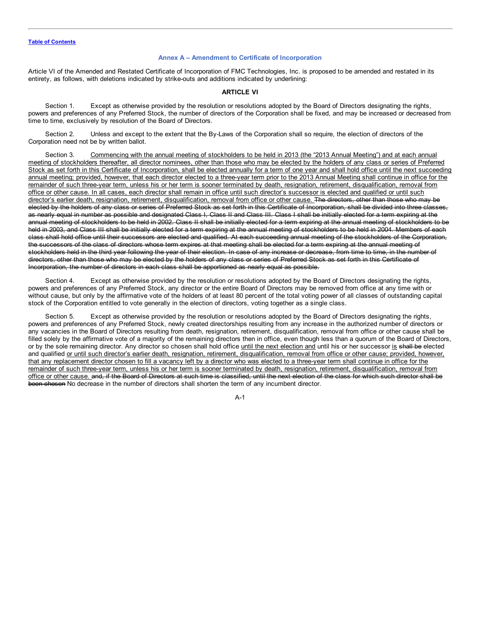#### **Annex A – Amendment to Certificate of Incorporation**

Article VI of the Amended and Restated Certificate of Incorporation of FMC Technologies, Inc. is proposed to be amended and restated in its entirety, as follows, with deletions indicated by strike-outs and additions indicated by underlining:

#### **ARTICLE VI**

Section 1. Except as otherwise provided by the resolution or resolutions adopted by the Board of Directors designating the rights, powers and preferences of any Preferred Stock, the number of directors of the Corporation shall be fixed, and may be increased or decreased from time to time, exclusively by resolution of the Board of Directors.

Section 2. Unless and except to the extent that the By-Laws of the Corporation shall so require, the election of directors of the Corporation need not be by written ballot.

Section 3. Commencing with the annual meeting of stockholders to be held in 2013 (the "2013 Annual Meeting") and at each annual meeting of stockholders thereafter, all director nominees, other than those who may be elected by the holders of any class or series of Preferred Stock as set forth in this Certificate of Incorporation, shall be elected annually for a term of one year and shall hold office until the next succeeding annual meeting; provided, however, that each director elected to a three-year term prior to the 2013 Annual Meeting shall continue in office for the remainder of such three-year term, unless his or her term is sooner terminated by death, resignation, retirement, disqualification, removal from office or other cause. In all cases, each director shall remain in office until such director's successor is elected and qualified or until such director's earlier death, resignation, retirement, disqualification, removal from office or other cause. The directors, other than those who may be elected by the holders of any class or series of Preferred Stock as set forth in this Certificate of Incorporation, shall be divided into three classes, as nearly equal in number as possible and designated Class I, Class II and Class III. Class I shall be initially elected for a term expiring at the annual meeting of stockholders to be held in 2002. Class II shall be initially elected for a term expiring at the annual meeting of stockholders to be held in 2003, and Class III shall be initially elected for a term expiring at the annual meeting of stockholders to be held in 2004. Members of each class shall hold office until their successors are elected and qualified. At each succeeding annual meeting of the stockholders of the Corporation, the successors of the class of directors whose term expires at that meeting shall be elected for a term expiring at the annual meeting of stockholders held in the third year following the year of their election. In case of any increase or decrease, from time to time, in the number of directors, other than those who may be elected by the holders of any class or series of Preferred Stock as set forth in this Certificate of Incorporation, the number of directors in each class shall be apportioned as nearly equal as possible.

Section 4. Except as otherwise provided by the resolution or resolutions adopted by the Board of Directors designating the rights, powers and preferences of any Preferred Stock, any director or the entire Board of Directors may be removed from office at any time with or without cause, but only by the affirmative vote of the holders of at least 80 percent of the total voting power of all classes of outstanding capital stock of the Corporation entitled to vote generally in the election of directors, voting together as a single class.

Section 5. Except as otherwise provided by the resolution or resolutions adopted by the Board of Directors designating the rights, powers and preferences of any Preferred Stock, newly created directorships resulting from any increase in the authorized number of directors or any vacancies in the Board of Directors resulting from death, resignation, retirement, disqualification, removal from office or other cause shall be filled solely by the affirmative vote of a majority of the remaining directors then in office, even though less than a quorum of the Board of Directors, or by the sole remaining director. Any director so chosen shall hold office until the next election and until his or her successor is shall be elected and qualified or until such director's earlier death, resignation, retirement, disqualification, removal from office or other cause; provided, however, that any replacement director chosen to fill a vacancy left by a director who was elected to a three-year term shall continue in office for the remainder of such three-year term, unless his or her term is sooner terminated by death, resignation, retirement, disqualification, removal from office or other cause. and, if the Board of Directors at such time is classified, until the next election of the class for which such director shall be been chosen No decrease in the number of directors shall shorten the term of any incumbent director.

 $A - 1$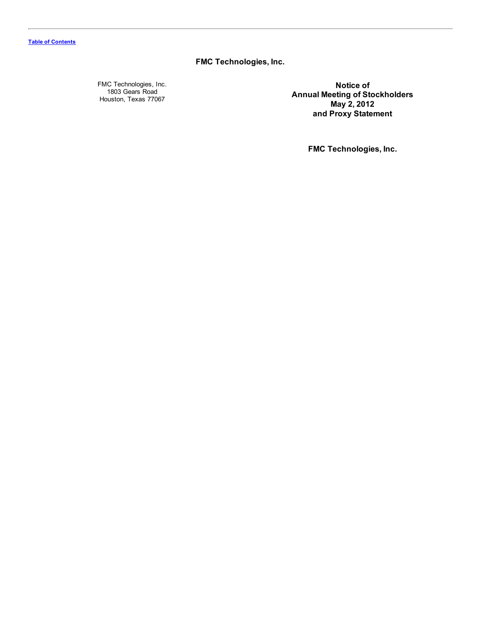**FMC Technologies, Inc.**

FMC Technologies, Inc. 1803 Gears Road Houston, Texas 77067

**Notice of Annual Meeting of Stockholders May 2, 2012 and Proxy Statement**

**FMC Technologies, Inc.**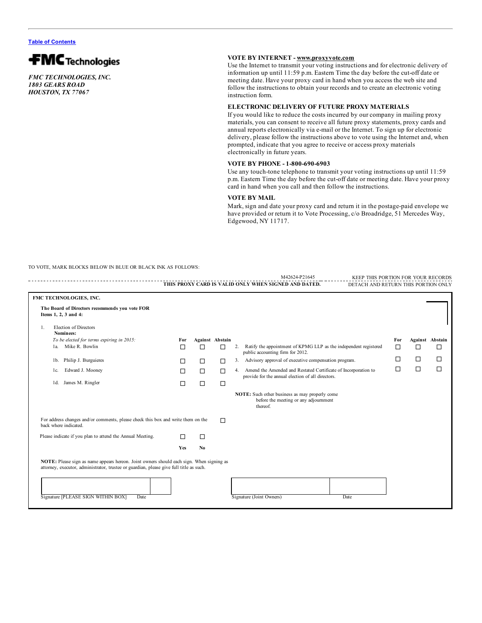

*FMC TECHNOLOGIES, INC. 1803 GEARS ROAD HOUSTON, TX 77067*

# **VOTE BY INTERNET - www.proxyvote.com**

Use the Internet to transmit your voting instructions and for electronic delivery of information up until 11:59 p.m. Eastern Time the day before the cut-off date or meeting date. Have your proxy card in hand when you access the web site and follow the instructions to obtain your records and to create an electronic voting instruction form.

# **ELECTRONIC DELIVERY OF FUTURE PROXY MATERIALS**

If you would like to reduce the costs incurred by our company in mailing proxy materials, you can consent to receive all future proxy statements, proxy cards and annual reports electronically via e-mail or the Internet. To sign up for electronic delivery, please follow the instructions above to vote using the Internet and, when prompted, indicate that you agree to receive or access proxy materials electronically in future years.

## **VOTE BY PHONE - 1-800-690-6903**

Use any touch-tone telephone to transmit your voting instructions up until 11:59 p.m. Eastern Time the day before the cut-off date or meeting date. Have your proxy card in hand when you call and then follow the instructions.

# **VOTE BY MAIL**

Mark, sign and date your proxy card and return it in the postage-paid envelope we have provided or return it to Vote Processing, c/o Broadridge, 51 Mercedes Way, Edgewood, NY 11717.

TO VOTE, MARK BLOCKS BELOW IN BLUE OR BLACK INK AS FOLLOWS:

|                                                                                                           |                                                                                                                                                                                     |     |                |                        |    | M42624-P21645<br>KEEP THIS PORTION FOR YOUR RECORDS                                                                    |     |        |                        |
|-----------------------------------------------------------------------------------------------------------|-------------------------------------------------------------------------------------------------------------------------------------------------------------------------------------|-----|----------------|------------------------|----|------------------------------------------------------------------------------------------------------------------------|-----|--------|------------------------|
|                                                                                                           |                                                                                                                                                                                     |     |                |                        |    | THIS PROXY CARD IS VALID ONLY WHEN SIGNED AND DATED.<br>DETACH AND RETURN THIS PORTION ONLY                            |     |        |                        |
|                                                                                                           | FMC TECHNOLOGIES, INC.                                                                                                                                                              |     |                |                        |    |                                                                                                                        |     |        |                        |
|                                                                                                           | The Board of Directors recommends you vote FOR<br>Items 1, 2, 3 and 4:                                                                                                              |     |                |                        |    |                                                                                                                        |     |        |                        |
| 1.                                                                                                        | <b>Election of Directors</b><br>Nominees:                                                                                                                                           |     |                |                        |    |                                                                                                                        |     |        |                        |
|                                                                                                           | To be elected for terms expiring in 2015:                                                                                                                                           | For |                | <b>Against Abstain</b> |    |                                                                                                                        | For |        | <b>Against</b> Abstain |
|                                                                                                           | Mike R. Bowlin<br>1a                                                                                                                                                                | □   | $\Box$         | $\Box$                 | 2. | Ratify the appointment of KPMG LLP as the independent registered<br>public accounting firm for 2012.                   | П   | □      | □                      |
|                                                                                                           | Philip J. Burguieres<br>lb.                                                                                                                                                         | □   | $\Box$         | □                      | 3. | Advisory approval of executive compensation program.                                                                   | П   | □      | □                      |
|                                                                                                           | Edward J. Mooney<br>1c.                                                                                                                                                             | П   | $\Box$         | □                      |    | 4. Amend the Amended and Restated Certificate of Incorporation to<br>provide for the annual election of all directors. | Л   | $\Box$ | $\Box$                 |
|                                                                                                           | James M. Ringler<br>1d.                                                                                                                                                             | П   | $\Box$         | □                      |    |                                                                                                                        |     |        |                        |
|                                                                                                           |                                                                                                                                                                                     |     |                |                        |    | NOTE: Such other business as may properly come<br>before the meeting or any adjournment<br>thereof.                    |     |        |                        |
| For address changes and/or comments, please check this box and write them on the<br>back where indicated. |                                                                                                                                                                                     |     | $\Box$         |                        |    |                                                                                                                        |     |        |                        |
|                                                                                                           | Please indicate if you plan to attend the Annual Meeting.                                                                                                                           | п   | $\Box$         |                        |    |                                                                                                                        |     |        |                        |
|                                                                                                           |                                                                                                                                                                                     | Yes | N <sub>0</sub> |                        |    |                                                                                                                        |     |        |                        |
|                                                                                                           | NOTE: Please sign as name appears hereon. Joint owners should each sign. When signing as<br>attorney, executor, administrator, trustee or guardian, please give full title as such. |     |                |                        |    |                                                                                                                        |     |        |                        |
|                                                                                                           |                                                                                                                                                                                     |     |                |                        |    |                                                                                                                        |     |        |                        |
|                                                                                                           | Signature [PLEASE SIGN WITHIN BOX]<br>Date                                                                                                                                          |     |                |                        |    | Signature (Joint Owners)<br>Date                                                                                       |     |        |                        |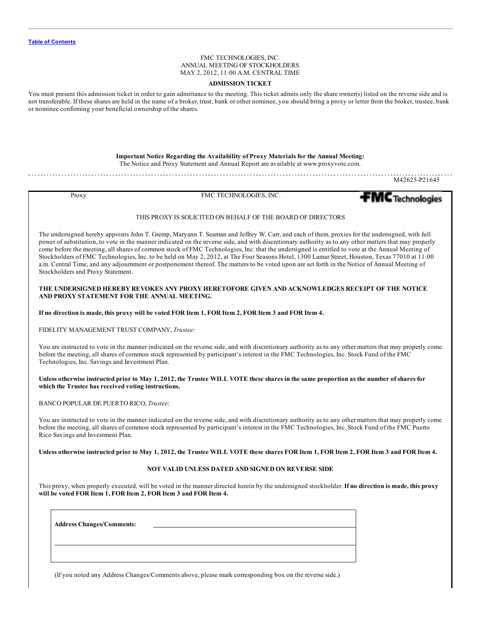## FMC TECHNOLOGIES, INC. ANNUAL MEETING OF STOCKHOLDERS MAY 2, 2012, 11:00 A.M. CENTRAL TIME

### **ADMISSION TICKET**

You must present this admission ticket in order to gain admittance to the meeting. This ticket admits only the share owner(s) listed on the reverse side and is not transferable. If these shares are held in the name of a broker, trust, bank or other nominee, you should bring a proxy or letter from the broker, trustee, bank or nominee confirming your beneficial ownership of the shares.

**Important Notice Regarding the Availability of Proxy Materials for the Annual Meeting:**

The Notice and Proxy Statement and Annual Report are available at www.proxyvote.com.

M42625-P21645

Proxy FMC TECHNOLOGIES, INC.



#### THIS PROXY IS SOLICITED ON BEHALF OF THE BOARD OF DIRECTORS

The undersigned hereby appoints John T. Gremp, Maryann T. Seaman and Jeffrey W. Carr, and each of them, proxies for the undersigned, with full power of substitution, to vote in the manner indicated on the reverse side, and with discretionary authority as to any other matters that may properly come before the meeting, all shares of common stock of FMC Technologies, Inc. that the undersigned is entitled to vote at the Annual Meeting of Stockholders of FMC Technologies, Inc. to be held on May 2, 2012, at The Four Seasons Hotel, 1300 Lamar Street, Houston, Texas 77010 at 11:00 a.m. Central Time, and any adjournment or postponement thereof. The matters to be voted upon are set forth in the Notice of Annual Meeting of Stockholders and Proxy Statement.

#### **THE UNDERSIGNED HEREBY REVOKES ANY PROXY HERETOFORE GIVEN AND ACKNOWLEDGES RECEIPT OF THE NOTICE AND PROXY STATEMENT FOR THE ANNUAL MEETING.**

If no direction is made, this proxy will be voted FOR Item 1, FOR Item 2, FOR Item 3 and FOR Item 4.

FIDELITY MANAGEMENT TRUST COMPANY, *Trustee:*

You are instructed to vote in the manner indicated on the reverse side, and with discretionary authority as to any other matters that may properly come before the meeting, all shares of common stock represented by participant's interest in the FMC Technologies, Inc. Stock Fund of the FMC Technologies, Inc. Savings and Investment Plan.

### Unless otherwise instructed prior to May 1, 2012, the Trustee WILL VOTE these shares in the same proportion as the number of shares for **which the Trustee has received voting instructions.**

BANCO POPULAR DE PUERTO RICO, *Trustee*:

You are instructed to vote in the manner indicated on the reverse side, and with discretionary authority as to any other matters that may properly come before the meeting, all shares of common stock represented by participant's interest in the FMC Technologies, Inc. Stock Fund of the FMC Puerto Rico Savings and Investment Plan.

Unless otherwise instructed prior to May 1, 2012, the Trustee WILL VOTE these shares FOR Item 1, FOR Item 2, FOR Item 3 and FOR Item 4.

### **NOT VALID UNLESS DATED AND SIGNED ON REVERSE SIDE**

This proxy, when properly executed, will be voted in the manner directed herein by the undersigned stockholder. **If no direction is made, this proxy will be voted FOR Item 1, FOR Item 2, FOR Item 3 and FOR Item 4.**

| <b>Address Changes/Comments:</b> |  |  |
|----------------------------------|--|--|
|                                  |  |  |
|                                  |  |  |

(If you noted any Address Changes/Comments above, please mark corresponding box on the reverse side.)